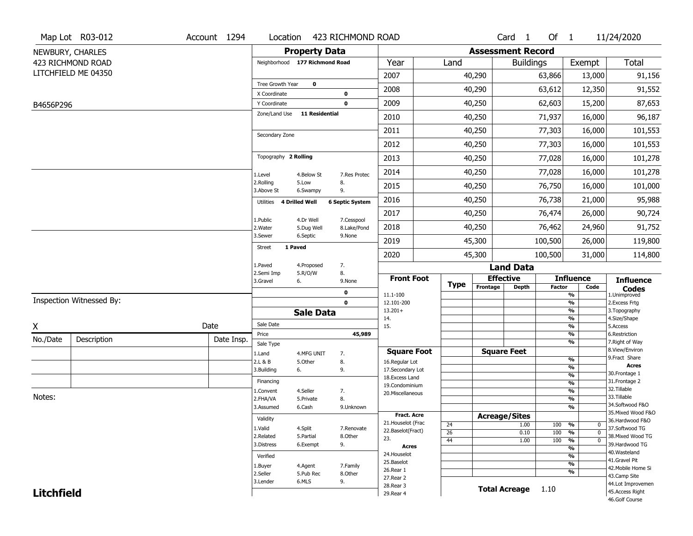|                   | Map Lot R03-012          | Account 1294 | Location                            |                       | 423 RICHMOND ROAD      |                                    |                      |                              | Card <sub>1</sub> | Of $1$        |                                           | 11/24/2020                          |
|-------------------|--------------------------|--------------|-------------------------------------|-----------------------|------------------------|------------------------------------|----------------------|------------------------------|-------------------|---------------|-------------------------------------------|-------------------------------------|
|                   | NEWBURY, CHARLES         |              |                                     | <b>Property Data</b>  |                        |                                    |                      | <b>Assessment Record</b>     |                   |               |                                           |                                     |
|                   | 423 RICHMOND ROAD        |              | Neighborhood 177 Richmond Road      |                       |                        | Year                               | Land                 |                              | <b>Buildings</b>  |               | Exempt                                    | Total                               |
|                   | LITCHFIELD ME 04350      |              |                                     |                       |                        | 2007                               |                      | 40,290                       |                   | 63,866        | 13,000                                    | 91,156                              |
|                   |                          |              | Tree Growth Year                    | $\mathbf 0$           |                        | 2008                               |                      | 40,290                       |                   | 63,612        | 12,350                                    | 91,552                              |
| B4656P296         |                          |              | X Coordinate<br>Y Coordinate        |                       | 0<br>$\mathbf 0$       | 2009                               |                      | 40,250                       |                   | 62,603        | 15,200                                    | 87,653                              |
|                   |                          |              | Zone/Land Use                       | <b>11 Residential</b> |                        | 2010                               |                      | 40,250                       |                   | 71,937        | 16,000                                    | 96,187                              |
|                   |                          |              |                                     |                       |                        | 2011                               |                      | 40,250                       |                   | 77,303        | 16,000                                    | 101,553                             |
|                   |                          |              | Secondary Zone                      |                       |                        | 2012                               |                      | 40,250                       |                   | 77,303        | 16,000                                    | 101,553                             |
|                   |                          |              | Topography 2 Rolling                |                       |                        | 2013                               |                      | 40,250                       |                   | 77,028        | 16,000                                    | 101,278                             |
|                   |                          |              | 1.Level                             | 4.Below St            | 7.Res Protec           | 2014                               |                      | 40,250                       |                   | 77,028        | 16,000                                    | 101,278                             |
|                   |                          |              | 2.Rolling<br>3.Above St             | 5.Low<br>6.Swampy     | 8.<br>9.               | 2015                               |                      | 40,250                       |                   | 76,750        | 16,000                                    | 101,000                             |
|                   |                          |              | 4 Drilled Well<br>Utilities         |                       | <b>6 Septic System</b> | 2016                               |                      | 40,250                       |                   | 76,738        | 21,000                                    | 95,988                              |
|                   |                          |              | 1.Public                            | 4.Dr Well             | 7.Cesspool             | 2017                               |                      | 40,250                       |                   | 76,474        | 26,000                                    | 90,724                              |
|                   |                          |              | 2. Water                            | 5.Dug Well            | 8.Lake/Pond            | 2018                               |                      | 40,250                       |                   | 76,462        | 24,960                                    | 91,752                              |
|                   |                          |              | 3.Sewer<br>1 Paved<br><b>Street</b> | 6.Septic              | 9.None                 | 2019                               |                      | 45,300                       |                   | 100,500       | 26,000                                    | 119,800                             |
|                   |                          |              |                                     |                       |                        | 2020                               |                      | 45,300                       |                   | 100,500       | 31,000                                    | 114,800                             |
|                   |                          |              | 1.Paved<br>2.Semi Imp               | 4.Proposed<br>5.R/O/W | 7.<br>8.               |                                    |                      |                              | <b>Land Data</b>  |               |                                           |                                     |
|                   |                          |              | 3.Gravel<br>6.                      |                       | 9.None                 | <b>Front Foot</b>                  | <b>Type</b>          | <b>Effective</b><br>Frontage | <b>Depth</b>      | <b>Factor</b> | <b>Influence</b><br>Code                  | <b>Influence</b>                    |
|                   |                          |              |                                     |                       | 0                      | 11.1-100                           |                      |                              |                   |               | %                                         | <b>Codes</b><br>1.Unimproved        |
|                   | Inspection Witnessed By: |              |                                     |                       | $\mathbf 0$            | 12.101-200<br>$13.201+$            |                      |                              |                   |               | %<br>%                                    | 2. Excess Frtg<br>3. Topography     |
|                   |                          |              | Sale Date                           | <b>Sale Data</b>      |                        | 14.                                |                      |                              |                   |               | %                                         | 4.Size/Shape                        |
| X                 |                          | Date         | Price                               |                       | 45,989                 | 15.                                |                      |                              |                   |               | %<br>%                                    | 5.Access<br>6.Restriction           |
| No./Date          | Description              | Date Insp.   | Sale Type                           |                       |                        |                                    |                      |                              |                   |               | %                                         | 7. Right of Way                     |
|                   |                          |              | 1.Land                              | 4.MFG UNIT            | 7.                     | <b>Square Foot</b>                 |                      | <b>Square Feet</b>           |                   |               |                                           | 8.View/Environ                      |
|                   |                          |              | 2.L & B                             | 5.Other               | 8.                     | 16.Regular Lot                     |                      |                              |                   |               | %<br>%                                    | 9.Fract Share<br><b>Acres</b>       |
|                   |                          |              | 3.Building<br>6.                    |                       | 9.                     | 17.Secondary Lot<br>18.Excess Land |                      |                              |                   |               | $\frac{9}{6}$                             | 30.Frontage 1                       |
|                   |                          |              | Financing                           |                       |                        | 19.Condominium                     |                      |                              |                   |               | $\frac{9}{6}$                             | 31. Frontage 2                      |
| Notes:            |                          |              | 1.Convent                           | 4.Seller              | 7.                     | 20.Miscellaneous                   |                      |                              |                   |               | $\frac{9}{6}$                             | 32.Tillable<br>33.Tillable          |
|                   |                          |              | 2.FHA/VA<br>3.Assumed               | 5.Private<br>6.Cash   | 8.<br>9.Unknown        |                                    |                      |                              |                   |               | $\frac{9}{6}$<br>$\overline{\frac{9}{6}}$ | 34.Softwood F&O                     |
|                   |                          |              |                                     |                       |                        | Fract. Acre                        |                      | <b>Acreage/Sites</b>         |                   |               |                                           | 35. Mixed Wood F&O                  |
|                   |                          |              | Validity                            |                       |                        | 21. Houselot (Frac                 | 24                   |                              | 1.00              | 100           | %<br>$\mathbf 0$                          | 36.Hardwood F&O                     |
|                   |                          |              | 1.Valid                             | 4.Split               | 7.Renovate             | 22.Baselot(Fract)                  | $\overline{26}$      |                              | 0.10              | 100           | %<br>$\mathbf 0$                          | 37.Softwood TG                      |
|                   |                          |              | 2.Related<br>3.Distress             | 5.Partial<br>6.Exempt | 8.Other<br>9.          | 23.                                | 44                   |                              | 1.00              | 100           | $\frac{9}{6}$<br>$\mathbf 0$              | 38. Mixed Wood TG<br>39.Hardwood TG |
|                   |                          |              |                                     |                       |                        | <b>Acres</b><br>24. Houselot       |                      |                              |                   |               | %                                         | 40. Wasteland                       |
|                   |                          |              | Verified                            |                       |                        | 25.Baselot                         |                      |                              |                   |               | %<br>$\frac{9}{6}$                        | 41.Gravel Pit                       |
|                   |                          |              | 1.Buyer                             | 4.Agent               | 7.Family               | 26.Rear 1                          |                      |                              |                   |               | %                                         | 42. Mobile Home Si                  |
|                   |                          |              | 2.Seller<br>3.Lender                | 5.Pub Rec<br>6.MLS    | 8.Other<br>9.          | 27.Rear 2                          |                      |                              |                   |               |                                           | 43.Camp Site                        |
| <b>Litchfield</b> |                          |              |                                     |                       | 28. Rear 3             |                                    | <b>Total Acreage</b> |                              | 1.10              |               | 44.Lot Improvemen<br>45.Access Right      |                                     |
|                   |                          |              |                                     |                       |                        | 29. Rear 4                         |                      |                              |                   |               |                                           | 46.Golf Course                      |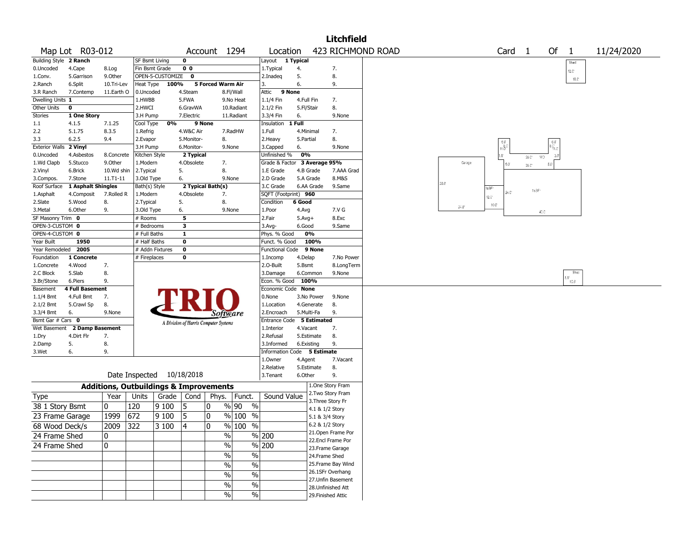|                        |                              |                                                   |                           |                    |                   |                                       |                     |                             |            |               | <b>Litchfield</b>                     |                   |              |                   |                    |                  |                     |                             |            |
|------------------------|------------------------------|---------------------------------------------------|---------------------------|--------------------|-------------------|---------------------------------------|---------------------|-----------------------------|------------|---------------|---------------------------------------|-------------------|--------------|-------------------|--------------------|------------------|---------------------|-----------------------------|------------|
|                        | Map Lot R03-012              |                                                   |                           |                    |                   | Account 1294                          |                     | Location                    |            |               |                                       | 423 RICHMOND ROAD |              |                   | Card               | $\mathbf{1}$     | Of                  | $\mathbf{1}$                | 11/24/2020 |
| Building Style 2 Ranch |                              |                                                   | <b>SF Bsmt Living</b>     |                    | 0                 |                                       |                     | Layout 1 Typical            |            |               |                                       |                   |              |                   |                    |                  |                     | Shed                        |            |
| 0.Uncoded              | 4.Cape                       | 8.Log                                             | Fin Bsmt Grade            |                    | 0 <sub>0</sub>    |                                       |                     | 1. Typical                  | 4.         |               | 7.                                    |                   |              |                   |                    |                  |                     | 12.0"                       |            |
| 1.Conv.                | 5.Garrison                   | 9.0ther                                           |                           | OPEN-5-CUSTOMIZE 0 |                   |                                       |                     | 2.Inadeg                    | 5.         |               | 8.                                    |                   |              |                   |                    |                  |                     | $10.0^\circ$                |            |
| 2.Ranch                | 6.Split                      | 10.Tri-Lev                                        | Heat Type                 | 100%               |                   | 5 Forced Warm Air                     |                     | 3.                          | 6.         |               | 9.                                    |                   |              |                   |                    |                  |                     |                             |            |
| 3.R Ranch              | 7.Contemp                    | 11.Earth O                                        | 0.Uncoded                 |                    | 4.Steam           |                                       | 8.Fl/Wall           | Attic<br>9 None             |            |               |                                       |                   |              |                   |                    |                  |                     |                             |            |
| Dwelling Units 1       |                              |                                                   | 1.HWBB                    |                    | 5.FWA             |                                       | 9.No Heat           | 1.1/4 Fin                   | 4.Full Fin |               | 7.                                    |                   |              |                   |                    |                  |                     |                             |            |
| Other Units            | 0                            |                                                   | 2.HWCI                    |                    | 6.GravWA          |                                       | 10.Radiant          | 2.1/2 Fin                   | 5.Fl/Stair |               | 8.                                    |                   |              |                   |                    |                  |                     |                             |            |
| Stories                | 1 One Story                  |                                                   | 3.H Pump                  |                    | 7.Electric        |                                       | 11.Radiant          | 3.3/4 Fin                   | 6.         |               | 9.None                                |                   |              |                   |                    |                  |                     |                             |            |
| $1.1\,$                | 4.1.5                        | 7.1.25                                            | Cool Type                 | 0%                 | 9 None            |                                       |                     | Insulation                  | 1 Full     |               |                                       |                   |              |                   |                    |                  |                     |                             |            |
| 2.2                    | 5.1.75                       | 8.3.5                                             | 1.Refrig                  |                    | 4.W&C Air         |                                       | 7.RadHW             | 1.Full                      | 4.Minimal  |               | 7.                                    |                   |              |                   |                    |                  |                     |                             |            |
| 3.3                    | 6.2.5                        | 9.4                                               | 2.Evapor                  |                    | 5.Monitor-        | 8.                                    |                     | 2. Heavy                    | 5.Partial  |               | 8.                                    |                   |              |                   |                    |                  |                     |                             |            |
| <b>Exterior Walls</b>  | 2 Vinyl                      |                                                   | 3.H Pump                  |                    | 6.Monitor-        |                                       | 9.None              | 3.Capped                    | 6.         |               | 9.None                                |                   |              |                   | $\frac{6.0}{11.0}$ |                  | 6.0<br>M.c          |                             |            |
| 0.Uncoded              | 4.Asbestos                   | 8.Concrete                                        | Kitchen Style             |                    | 2 Typical         |                                       |                     | Unfinished %                | 0%         |               |                                       |                   |              |                   | $3.0^{\circ}$      | $20\,\mathrm{C}$ | $3.0^{\circ}$<br>WD |                             |            |
| 1.Wd Clapb             | 5.Stucco                     | 9.0ther                                           | 1.Modern                  |                    | 4.Obsolete        | 7.                                    |                     | Grade & Factor              |            | 3 Average 95% |                                       |                   | Garage       |                   | $5.0^{\circ}$      | $26.0^\circ$     | $5.0^\circ$         |                             |            |
| 2.Vinyl                | 6.Brick                      | 10.Wd shin                                        | 2. Typical                |                    | 5.                | 8.                                    |                     | 1.E Grade                   | 4.B Grade  |               | 7.AAA Grad                            |                   |              |                   |                    |                  |                     |                             |            |
| 3.Compos.              | 7.Stone                      | $11. T1 - 11$                                     | 3.Old Type                |                    | 6.                |                                       | 9.None              | 2.D Grade                   | 5.A Grade  |               | 8.M&S                                 |                   | 28.0         |                   |                    |                  |                     |                             |            |
| Roof Surface           | 1 Asphalt Shingles           |                                                   | Bath(s) Style             |                    | 2 Typical Bath(s) |                                       |                     | 3.C Grade                   |            | 6.AA Grade    | 9.Same                                |                   |              | 1s3F <sup>-</sup> |                    | 1s3F             |                     |                             |            |
| 1.Asphalt              | 4.Composit                   | 7.Rolled R                                        | 1.Modern                  |                    | 4.Obsolete        | 7.                                    |                     | SQFT (Footprint) 960        |            |               |                                       |                   |              | $12.0^{\circ}$    | 24.C'              |                  |                     |                             |            |
| 2.Slate                | 5.Wood                       | 8.                                                | 2. Typical                |                    | 5.                | 8.                                    |                     | Condition                   | 6 Good     |               |                                       |                   | $24.0^\circ$ | $10.0^{\circ}$    |                    |                  |                     |                             |            |
| 3.Metal                | 6.Other                      | 9.                                                | 3.Old Type                |                    | 6.                | 9.None                                |                     | 1.Poor                      | 4.Avg      |               | 7.V G                                 |                   |              |                   |                    |                  | 40.0                |                             |            |
| SF Masonry Trim 0      |                              |                                                   | # Rooms                   |                    | 5                 |                                       |                     | 2.Fair                      | $5.Avg+$   |               | 8.Exc                                 |                   |              |                   |                    |                  |                     |                             |            |
| OPEN-3-CUSTOM 0        |                              |                                                   | # Bedrooms                |                    | 3                 |                                       |                     | 3.Avg-                      | 6.Good     |               | 9.Same                                |                   |              |                   |                    |                  |                     |                             |            |
| OPEN-4-CUSTOM 0        |                              |                                                   | # Full Baths              |                    | $\mathbf{1}$      |                                       |                     | Phys. % Good                |            | 0%            |                                       |                   |              |                   |                    |                  |                     |                             |            |
| Year Built             | 1950                         |                                                   | # Half Baths              |                    | $\mathbf 0$       |                                       |                     | Funct. % Good               |            | 100%          |                                       |                   |              |                   |                    |                  |                     |                             |            |
| Year Remodeled         | 2005                         |                                                   | # Addn Fixtures           |                    | 0                 |                                       |                     | Functional Code 9 None      |            |               |                                       |                   |              |                   |                    |                  |                     |                             |            |
| Foundation             | 1 Concrete                   |                                                   | # Fireplaces              |                    | 0                 |                                       |                     | 1.Incomp                    | 4.Delap    |               | 7.No Power                            |                   |              |                   |                    |                  |                     |                             |            |
| 1.Concrete             | 4.Wood                       | 7.                                                |                           |                    |                   |                                       |                     | 2.O-Built                   | 5.Bsmt     |               | 8.LongTerm                            |                   |              |                   |                    |                  |                     |                             |            |
| 2.C Block              | 5.Slab                       | 8.                                                |                           |                    |                   |                                       |                     | 3.Damage                    |            | 6.Common      | 9.None                                |                   |              |                   |                    |                  |                     | Shec<br>$18.0^{\circ}$ 10.0 |            |
| 3.Br/Stone             | 6.Piers                      | 9.                                                |                           |                    |                   |                                       |                     | Econ. % Good                | 100%       |               |                                       |                   |              |                   |                    |                  |                     |                             |            |
| Basement               | <b>4 Full Basement</b>       |                                                   |                           |                    |                   |                                       |                     | Economic Code None          |            |               |                                       |                   |              |                   |                    |                  |                     |                             |            |
| 1.1/4 Bmt              | 4.Full Bmt                   | 7.                                                |                           |                    |                   |                                       |                     | 0.None                      |            | 3.No Power    | 9.None                                |                   |              |                   |                    |                  |                     |                             |            |
| 2.1/2 Bmt              | 5.Crawl Sp                   | 8.                                                |                           |                    |                   |                                       |                     | 1.Location                  |            | 4.Generate    | 8.                                    |                   |              |                   |                    |                  |                     |                             |            |
| 3.3/4 Bmt              | 6.                           | 9.None                                            |                           |                    |                   | <i>Software</i>                       |                     | 2.Encroach                  | 5.Multi-Fa |               | 9.                                    |                   |              |                   |                    |                  |                     |                             |            |
| Bsmt Gar # Cars 0      |                              |                                                   |                           |                    |                   | A Division of Harris Computer Systems |                     | Entrance Code 5 Estimated   |            |               |                                       |                   |              |                   |                    |                  |                     |                             |            |
|                        | Wet Basement 2 Damp Basement |                                                   |                           |                    |                   |                                       |                     | 1.Interior                  | 4.Vacant   |               | 7.                                    |                   |              |                   |                    |                  |                     |                             |            |
| 1.Dry                  | 4.Dirt Flr                   | 7.                                                |                           |                    |                   |                                       |                     | 2.Refusal                   |            | 5.Estimate    | 8.                                    |                   |              |                   |                    |                  |                     |                             |            |
| 2.Damp                 | 5.                           | 8.                                                |                           |                    |                   |                                       |                     | 3.Informed                  | 6.Existing |               | 9.                                    |                   |              |                   |                    |                  |                     |                             |            |
| 3.Wet                  | 6.                           | 9.                                                |                           |                    |                   |                                       |                     | Information Code 5 Estimate |            |               |                                       |                   |              |                   |                    |                  |                     |                             |            |
|                        |                              |                                                   |                           |                    |                   |                                       |                     | 1.0wner                     | 4.Agent    |               | 7.Vacant<br>8.                        |                   |              |                   |                    |                  |                     |                             |            |
|                        |                              |                                                   | Date Inspected 10/18/2018 |                    |                   |                                       |                     | 2.Relative                  |            | 5.Estimate    | 9.                                    |                   |              |                   |                    |                  |                     |                             |            |
|                        |                              |                                                   |                           |                    |                   |                                       |                     | 3.Tenant                    | 6.Other    |               |                                       |                   |              |                   |                    |                  |                     |                             |            |
|                        |                              | <b>Additions, Outbuildings &amp; Improvements</b> |                           |                    |                   |                                       |                     |                             |            |               | 1.One Story Fram<br>2. Two Story Fram |                   |              |                   |                    |                  |                     |                             |            |
| Type                   |                              | Year                                              | Units                     | Grade   Cond       |                   | Phys.                                 | Funct.              | Sound Value                 |            |               | 3. Three Story Fr                     |                   |              |                   |                    |                  |                     |                             |            |
| 38 1 Story Bsmt        |                              | 0                                                 | 120                       | 9 1 0 0            | 5                 | $\mathbf{0}$                          | % 90<br>$\%$        |                             |            |               | 4.1 & 1/2 Story                       |                   |              |                   |                    |                  |                     |                             |            |
| 23 Frame Garage        |                              | 1999                                              | 672                       | 9 100              | 5                 | 0                                     | $%100$ %            |                             |            |               | 5.1 & 3/4 Story                       |                   |              |                   |                    |                  |                     |                             |            |
|                        |                              |                                                   |                           |                    |                   | 0                                     | $\frac{9}{6}$ 100 % |                             |            |               | 6.2 & 1/2 Story                       |                   |              |                   |                    |                  |                     |                             |            |
| 68 Wood Deck/s         |                              | 2009 322                                          |                           | $ 3100\rangle$     | 4                 |                                       |                     |                             |            |               | 21. Open Frame Por                    |                   |              |                   |                    |                  |                     |                             |            |
| 24 Frame Shed          |                              | 10                                                |                           |                    |                   | %                                     |                     | % 200                       |            |               | 22.Encl Frame Por                     |                   |              |                   |                    |                  |                     |                             |            |
| 24 Frame Shed          |                              | 10                                                |                           |                    |                   | $\sqrt{2}$                            |                     | % 200                       |            |               | 23. Frame Garage                      |                   |              |                   |                    |                  |                     |                             |            |
|                        |                              |                                                   |                           |                    |                   | $\%$                                  | $\%$                |                             |            |               | 24.Frame Shed                         |                   |              |                   |                    |                  |                     |                             |            |
|                        |                              |                                                   |                           |                    |                   | %                                     |                     |                             |            |               | 25. Frame Bay Wind                    |                   |              |                   |                    |                  |                     |                             |            |
|                        |                              |                                                   |                           |                    |                   |                                       | $\%$                |                             |            |               | 26.1SFr Overhang                      |                   |              |                   |                    |                  |                     |                             |            |
|                        |                              |                                                   |                           |                    |                   | %                                     | %                   |                             |            |               | 27. Unfin Basement                    |                   |              |                   |                    |                  |                     |                             |            |
|                        |                              |                                                   |                           |                    |                   | %                                     | %                   |                             |            |               | 28. Unfinished Att                    |                   |              |                   |                    |                  |                     |                             |            |
|                        |                              |                                                   |                           |                    |                   | $\sqrt{2}$                            | $\sqrt{6}$          |                             |            |               | 29. Finished Attic                    |                   |              |                   |                    |                  |                     |                             |            |
|                        |                              |                                                   |                           |                    |                   |                                       |                     |                             |            |               |                                       |                   |              |                   |                    |                  |                     |                             |            |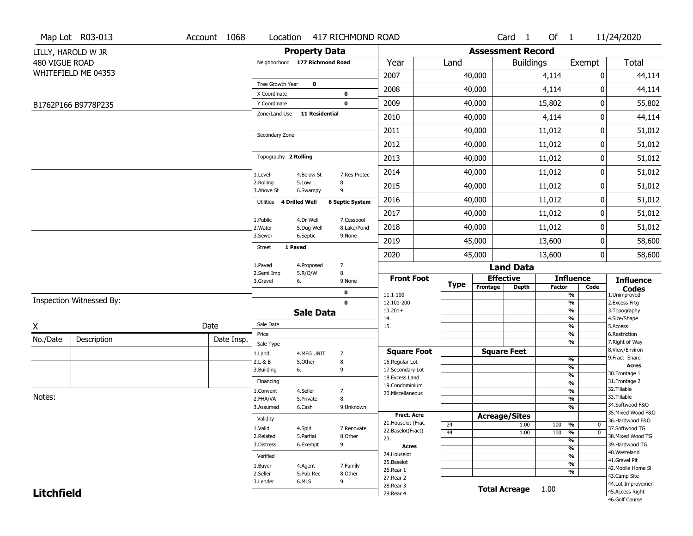|                   | Map Lot R03-013          | Account 1068 | Location                         |                         | 417 RICHMOND ROAD         |                                      |             |                          | Card <sub>1</sub>    | Of $1$        |                                | 11/24/2020                           |
|-------------------|--------------------------|--------------|----------------------------------|-------------------------|---------------------------|--------------------------------------|-------------|--------------------------|----------------------|---------------|--------------------------------|--------------------------------------|
|                   | LILLY, HAROLD W JR       |              |                                  | <b>Property Data</b>    |                           |                                      |             | <b>Assessment Record</b> |                      |               |                                |                                      |
| 480 VIGUE ROAD    |                          |              | Neighborhood 177 Richmond Road   |                         |                           | Year                                 | Land        |                          | <b>Buildings</b>     |               | Exempt                         | Total                                |
|                   | WHITEFIELD ME 04353      |              |                                  |                         |                           | 2007                                 |             | 40,000                   |                      | 4,114         | 0                              | 44,114                               |
|                   |                          |              | Tree Growth Year<br>X Coordinate | $\mathbf 0$             | 0                         | 2008                                 |             | 40,000                   |                      | 4,114         | 0                              | 44,114                               |
|                   | B1762P166 B9778P235      |              | Y Coordinate                     |                         | $\mathbf 0$               | 2009                                 |             | 40,000                   |                      | 15,802        | 0                              | 55,802                               |
|                   |                          |              | Zone/Land Use                    | <b>11 Residential</b>   |                           | 2010                                 |             | 40,000                   |                      | 4,114         | 0                              | 44,114                               |
|                   |                          |              |                                  |                         |                           | 2011                                 |             | 40,000                   |                      | 11,012        | 0                              | 51,012                               |
|                   |                          |              | Secondary Zone                   |                         |                           | 2012                                 |             | 40,000                   |                      | 11,012        | 0                              | 51,012                               |
|                   |                          |              | Topography 2 Rolling             |                         |                           | 2013                                 |             | 40,000                   |                      | 11,012        | 0                              | 51,012                               |
|                   |                          |              |                                  | 4.Below St              | 7.Res Protec              | 2014                                 |             | 40,000                   |                      | 11,012        | 0                              | 51,012                               |
|                   |                          |              | 1.Level<br>2.Rolling             | 5.Low                   | 8.                        | 2015                                 |             | 40,000                   |                      | 11,012        | 0                              | 51,012                               |
|                   |                          |              | 3.Above St<br>4 Drilled Well     | 6.Swampy                | 9.                        | 2016                                 |             | 40,000                   |                      | 11,012        | 0                              | 51,012                               |
|                   |                          |              | Utilities                        |                         | <b>6 Septic System</b>    | 2017                                 |             | 40,000                   |                      | 11,012        | 0                              | 51,012                               |
|                   |                          |              | 1.Public<br>2. Water             | 4.Dr Well<br>5.Dug Well | 7.Cesspool<br>8.Lake/Pond | 2018                                 |             | 40,000                   |                      | 11,012        | 0                              | 51,012                               |
|                   |                          |              | 3.Sewer                          | 6.Septic                | 9.None                    | 2019                                 |             | 45,000                   |                      | 13,600        | 0                              | 58,600                               |
|                   |                          |              | 1 Paved<br>Street                |                         |                           | 2020                                 |             | 45,000                   |                      | 13,600        | $\overline{0}$                 | 58,600                               |
|                   |                          |              | 1.Paved                          | 4.Proposed              | 7.                        |                                      |             |                          | <b>Land Data</b>     |               |                                |                                      |
|                   |                          |              | 2.Semi Imp<br>3.Gravel<br>6.     | 5.R/O/W                 | 8.<br>9.None              | <b>Front Foot</b>                    |             |                          | <b>Effective</b>     |               | <b>Influence</b>               | <b>Influence</b>                     |
|                   |                          |              |                                  |                         | 0                         |                                      | <b>Type</b> | Frontage                 | <b>Depth</b>         | <b>Factor</b> | Code                           | <b>Codes</b>                         |
|                   | Inspection Witnessed By: |              |                                  |                         | $\mathbf 0$               | 11.1-100<br>12.101-200               |             |                          |                      |               | %<br>%                         | 1.Unimproved<br>2. Excess Frtg       |
|                   |                          |              |                                  | <b>Sale Data</b>        |                           | $13.201+$                            |             |                          |                      |               | %                              | 3. Topography                        |
| X                 |                          | Date         | Sale Date                        |                         |                           | 14.<br>15.                           |             |                          |                      |               | %<br>%                         | 4.Size/Shape<br>5.Access             |
| No./Date          | Description              | Date Insp.   | Price                            |                         |                           |                                      |             |                          |                      |               | %                              | 6.Restriction                        |
|                   |                          |              | Sale Type                        |                         |                           |                                      |             |                          | <b>Square Feet</b>   |               | %                              | 7. Right of Way<br>8.View/Environ    |
|                   |                          |              | 1.Land<br>2.L & B                | 4.MFG UNIT<br>5.Other   | 7.<br>8.                  | <b>Square Foot</b><br>16.Regular Lot |             |                          |                      |               | %                              | 9.Fract Share                        |
|                   |                          |              | 3.Building<br>6.                 |                         | 9.                        | 17.Secondary Lot                     |             |                          |                      |               | $\overline{\frac{9}{6}}$       | <b>Acres</b>                         |
|                   |                          |              | Financing                        |                         |                           | 18. Excess Land                      |             |                          |                      |               | $\frac{9}{6}$                  | 30.Frontage 1<br>31. Frontage 2      |
|                   |                          |              | 1.Convent                        | 4.Seller                | 7.                        | 19.Condominium                       |             |                          |                      |               | $\frac{9}{6}$<br>$\frac{9}{6}$ | 32.Tillable                          |
| Notes:            |                          |              | 2.FHA/VA                         | 5.Private               | 8.                        | 20.Miscellaneous                     |             |                          |                      |               | $\overline{\frac{9}{6}}$       | 33.Tillable                          |
|                   |                          |              | 3.Assumed                        | 6.Cash                  | 9.Unknown                 |                                      |             |                          |                      |               | $\overline{\frac{9}{6}}$       | 34.Softwood F&O                      |
|                   |                          |              | Validity                         |                         |                           | Fract. Acre                          |             |                          | <b>Acreage/Sites</b> |               |                                | 35. Mixed Wood F&O                   |
|                   |                          |              | 1.Valid                          | 4.Split                 | 7.Renovate                | 21. Houselot (Frac                   | 24          |                          | 1.00                 | 100           | %<br>0                         | 36.Hardwood F&O<br>37.Softwood TG    |
|                   |                          |              | 2.Related                        | 5.Partial               | 8.Other                   | 22.Baselot(Fract)                    | 44          |                          | 1.00                 | 100           | %<br>$\mathbf 0$               | 38. Mixed Wood TG                    |
|                   |                          |              | 3.Distress                       | 6.Exempt                | 9.                        | 23.<br><b>Acres</b>                  |             |                          |                      |               | %                              | 39.Hardwood TG                       |
|                   |                          |              |                                  |                         |                           | 24. Houselot                         |             |                          |                      |               | $\frac{9}{6}$                  | 40. Wasteland                        |
|                   |                          |              | Verified                         |                         |                           | 25.Baselot                           |             |                          |                      |               | %<br>$\frac{9}{6}$             | 41.Gravel Pit                        |
|                   |                          |              | 1.Buyer<br>2.Seller              | 4.Agent<br>5.Pub Rec    | 7.Family<br>8.Other       | 26.Rear 1                            |             |                          |                      |               | %                              | 42. Mobile Home Si                   |
|                   |                          |              | 3.Lender                         |                         | 9.                        | 27.Rear 2                            |             |                          |                      |               |                                | 43.Camp Site                         |
|                   |                          |              |                                  |                         |                           |                                      |             |                          |                      |               |                                |                                      |
| <b>Litchfield</b> |                          |              |                                  | 6.MLS                   |                           | 28. Rear 3<br>29. Rear 4             |             |                          | <b>Total Acreage</b> | 1.00          |                                | 44.Lot Improvemen<br>45.Access Right |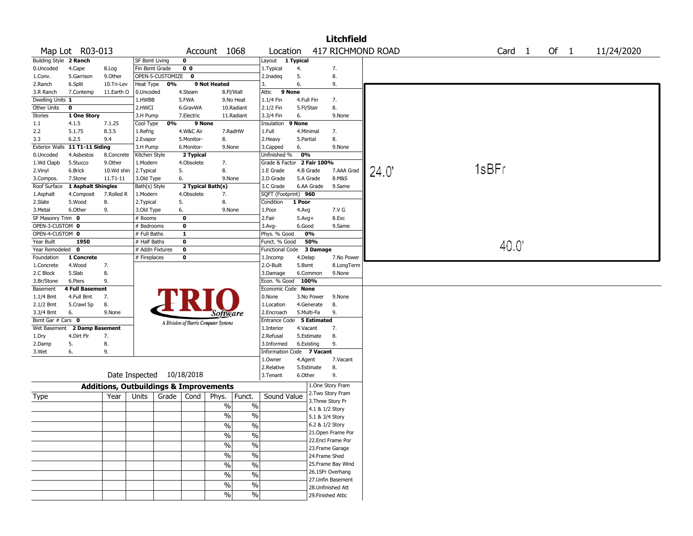|                                 |                        |              |                       |                                                   |                   |                          |                           |                          | Litchfield                             |      |                   |      |            |  |
|---------------------------------|------------------------|--------------|-----------------------|---------------------------------------------------|-------------------|--------------------------|---------------------------|--------------------------|----------------------------------------|------|-------------------|------|------------|--|
|                                 | Map Lot R03-013        |              |                       |                                                   | Account 1068      |                          | Location                  |                          | 417 RICHMOND ROAD                      |      | Card <sub>1</sub> | Of 1 | 11/24/2020 |  |
| Building Style 2 Ranch          |                        |              | <b>SF Bsmt Living</b> | 0                                                 |                   |                          | Layout                    | 1 Typical                |                                        |      |                   |      |            |  |
| 0.Uncoded                       | 4.Cape                 | 8.Log        | Fin Bsmt Grade        | 0 <sub>0</sub>                                    |                   |                          | 1. Typical                | 4.                       | 7.                                     |      |                   |      |            |  |
| 1.Conv.                         | 5.Garrison             | 9.0ther      | OPEN-5-CUSTOMIZE      | $\mathbf 0$                                       |                   |                          | 2.Inadeq                  | 5.                       | 8.                                     |      |                   |      |            |  |
| 2.Ranch                         | 6.Split                | 10.Tri-Lev   | Heat Type             | 0%                                                | 9 Not Heated      |                          | 3.                        | 6.                       | 9.                                     |      |                   |      |            |  |
| 3.R Ranch                       | 7.Contemp              | 11.Earth O   | 0.Uncoded             | 4.Steam                                           |                   | 8.Fl/Wall                | 9 None<br>Attic           |                          |                                        |      |                   |      |            |  |
| Dwelling Units 1<br>Other Units | $\mathbf 0$            |              | 1.HWBB<br>2.HWCI      | 5.FWA<br>6.GravWA                                 |                   | 9.No Heat<br>10.Radiant  | 1.1/4 Fin<br>2.1/2 Fin    | 4.Full Fin<br>5.Fl/Stair | 7.<br>8.                               |      |                   |      |            |  |
| Stories                         | 1 One Story            |              | 3.H Pump              | 7.Electric                                        |                   | 11.Radiant               | 3.3/4 Fin                 | 6.                       | 9.None                                 |      |                   |      |            |  |
| 1.1                             | 4.1.5                  | 7.1.25       | Cool Type             | 0%                                                | 9 None            |                          | Insulation                | 9 None                   |                                        |      |                   |      |            |  |
| 2.2                             | 5.1.75                 | 8.3.5        | 1.Refrig              | 4.W&C Air                                         |                   | 7.RadHW                  | 1.Full                    | 4.Minimal                | 7.                                     |      |                   |      |            |  |
| 3.3                             | 6.2.5                  | 9.4          | 2.Evapor              | 5.Monitor-                                        | 8.                |                          | 2.Heavy                   | 5.Partial                | 8.                                     |      |                   |      |            |  |
| <b>Exterior Walls</b>           | 11 T1-11 Siding        |              | 3.H Pump              | 6.Monitor-                                        | 9.None            |                          | 3.Capped                  | 6.                       | 9.None                                 |      |                   |      |            |  |
| 0.Uncoded                       | 4.Asbestos             | 8.Concrete   | Kitchen Style         | 2 Typical                                         |                   |                          | Unfinished %              | 0%                       |                                        |      |                   |      |            |  |
| 1.Wd Clapb                      | 5.Stucco               | 9.0ther      | 1.Modern              | 4.Obsolete                                        | 7.                |                          | Grade & Factor            | 2 Fair 100%              |                                        |      |                   |      |            |  |
| 2.Vinyl                         | 6.Brick                | 10.Wd shin   | 2. Typical            | 5.                                                | 8.                |                          | 1.E Grade                 | 4.B Grade                | 7.AAA Grad                             | 24.0 | 1sBFr             |      |            |  |
| 3.Compos.                       | 7.Stone                | $11.71 - 11$ | 3.Old Type            | 6.                                                | 9.None            |                          | 2.D Grade                 | 5.A Grade                | 8.M&S                                  |      |                   |      |            |  |
| Roof Surface                    | 1 Asphalt Shingles     |              | Bath(s) Style         |                                                   | 2 Typical Bath(s) |                          | 3.C Grade                 | 6.AA Grade               | 9.Same                                 |      |                   |      |            |  |
| 1.Asphalt                       | 4.Composit             | 7.Rolled R   | 1.Modern              | 4.Obsolete                                        | 7.                |                          | SQFT (Footprint) 960      |                          |                                        |      |                   |      |            |  |
| 2.Slate                         | 5.Wood                 | 8.           | 2. Typical            | 5.                                                | 8.                |                          | Condition                 | 1 Poor                   |                                        |      |                   |      |            |  |
| 3.Metal                         | 6.Other                | 9.           | 3.Old Type            | 6.                                                | 9.None            |                          | 1.Poor                    | 4.Avg                    | 7.V G                                  |      |                   |      |            |  |
| SF Masonry Trim 0               |                        |              | # Rooms               | $\mathbf 0$                                       |                   |                          | 2.Fair                    | $5.$ Avg $+$             | 8.Exc                                  |      |                   |      |            |  |
| OPEN-3-CUSTOM 0                 |                        |              | # Bedrooms            | $\mathbf 0$                                       |                   |                          | 3.Avg-                    | 6.Good                   | 9.Same                                 |      |                   |      |            |  |
| OPEN-4-CUSTOM 0                 |                        |              | # Full Baths          | $\mathbf{1}$                                      |                   |                          | Phys. % Good              | 0%                       |                                        |      |                   |      |            |  |
| Year Built                      | 1950                   |              | # Half Baths          | $\mathbf 0$                                       |                   |                          | Funct. % Good             | 50%                      |                                        |      | 40.0              |      |            |  |
| Year Remodeled 0<br>Foundation  | 1 Concrete             |              | # Addn Fixtures       | $\mathbf 0$<br>0                                  |                   |                          | <b>Functional Code</b>    | 3 Damage                 | 7.No Power                             |      |                   |      |            |  |
| 1.Concrete                      | 4.Wood                 | 7.           | # Fireplaces          |                                                   |                   |                          | 1.Incomp<br>2.O-Built     | 4.Delap<br>5.Bsmt        | 8.LongTerm                             |      |                   |      |            |  |
| 2.C Block                       | 5.Slab                 | 8.           |                       |                                                   |                   |                          | 3.Damage                  | 6.Common                 | 9.None                                 |      |                   |      |            |  |
| 3.Br/Stone                      | 6.Piers                | 9.           |                       |                                                   |                   |                          | Econ. % Good              | 100%                     |                                        |      |                   |      |            |  |
| Basement                        | <b>4 Full Basement</b> |              |                       |                                                   |                   |                          | Economic Code None        |                          |                                        |      |                   |      |            |  |
| $1.1/4$ Bmt                     | 4.Full Bmt             | 7.           |                       |                                                   |                   |                          | 0.None                    | 3.No Power               | 9.None                                 |      |                   |      |            |  |
| 2.1/2 Bmt                       | 5.Crawl Sp             | 8.           |                       |                                                   |                   |                          | 1.Location                | 4.Generate               | 8.                                     |      |                   |      |            |  |
| 3.3/4 Bmt                       | 6.                     | 9.None       |                       |                                                   | Software          |                          | 2.Encroach                | 5.Multi-Fa               | 9.                                     |      |                   |      |            |  |
| Bsmt Gar # Cars 0               |                        |              |                       | A Division of Harris Computer Systems             |                   |                          | Entrance Code 5 Estimated |                          |                                        |      |                   |      |            |  |
| Wet Basement                    | 2 Damp Basement        |              |                       |                                                   |                   |                          | 1.Interior                | 4.Vacant                 | 7.                                     |      |                   |      |            |  |
| 1.Dry                           | 4.Dirt Flr             | 7.           |                       |                                                   |                   |                          | 2.Refusal                 | 5.Estimate               | 8.                                     |      |                   |      |            |  |
| 2.Damp                          | 5.                     | 8.           |                       |                                                   |                   |                          | 3.Informed                | 6.Existing               | 9.                                     |      |                   |      |            |  |
| 3.Wet                           | 6.                     | 9.           |                       |                                                   |                   |                          | Information Code 7 Vacant |                          |                                        |      |                   |      |            |  |
|                                 |                        |              |                       |                                                   |                   |                          | 1.0wner                   | 4.Agent                  | 7.Vacant                               |      |                   |      |            |  |
|                                 |                        |              |                       |                                                   |                   |                          | 2.Relative                | 5.Estimate               | 8.                                     |      |                   |      |            |  |
|                                 |                        |              |                       | Date Inspected 10/18/2018                         |                   |                          | 3.Tenant                  | 6.Other                  | 9.                                     |      |                   |      |            |  |
|                                 |                        |              |                       | <b>Additions, Outbuildings &amp; Improvements</b> |                   |                          |                           |                          | 1.One Story Fram                       |      |                   |      |            |  |
| Type                            |                        | Year         | Units                 | Grade $ $<br>Cond                                 | Phys.             | Funct.                   | Sound Value               |                          | 2. Two Story Fram                      |      |                   |      |            |  |
|                                 |                        |              |                       |                                                   | %                 | $\%$                     |                           |                          | 3. Three Story Fr                      |      |                   |      |            |  |
|                                 |                        |              |                       |                                                   |                   |                          |                           |                          | 4.1 & 1/2 Story                        |      |                   |      |            |  |
|                                 |                        |              |                       |                                                   | $\frac{0}{0}$     | $\%$                     |                           |                          | 5.1 & 3/4 Story                        |      |                   |      |            |  |
|                                 |                        |              |                       |                                                   | $\frac{0}{0}$     | $\%$                     |                           |                          | 6.2 & 1/2 Story                        |      |                   |      |            |  |
|                                 |                        |              |                       |                                                   | $\sqrt{2}$        | $\%$                     |                           |                          | 21. Open Frame Por                     |      |                   |      |            |  |
|                                 |                        |              |                       |                                                   | $\sqrt{6}$        | $\overline{\frac{0}{6}}$ |                           |                          | 22.Encl Frame Por                      |      |                   |      |            |  |
|                                 |                        |              |                       |                                                   | $\sqrt{6}$        | $\%$                     |                           |                          | 23. Frame Garage                       |      |                   |      |            |  |
|                                 |                        |              |                       |                                                   |                   |                          |                           |                          | 24.Frame Shed                          |      |                   |      |            |  |
|                                 |                        |              |                       |                                                   | $\sqrt{6}$        | $\overline{\frac{0}{6}}$ |                           |                          | 25. Frame Bay Wind<br>26.1SFr Overhang |      |                   |      |            |  |
|                                 |                        |              |                       |                                                   | $\%$              | $\%$                     |                           |                          | 27.Unfin Basement                      |      |                   |      |            |  |
|                                 |                        |              |                       |                                                   | %                 | $\%$                     |                           |                          | 28. Unfinished Att                     |      |                   |      |            |  |
|                                 |                        |              |                       |                                                   | $\%$              | $\sqrt{6}$               |                           |                          | 29. Finished Attic                     |      |                   |      |            |  |
|                                 |                        |              |                       |                                                   |                   |                          |                           |                          |                                        |      |                   |      |            |  |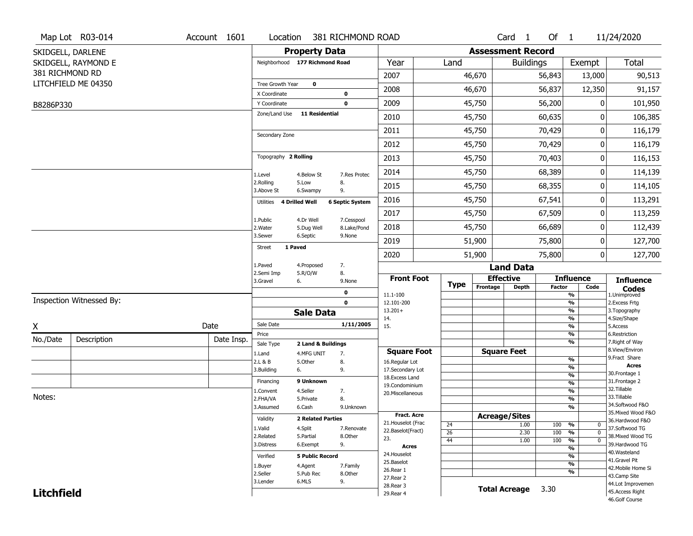|                   | Map Lot R03-014          | Account 1601 | Location                       |                          | 381 RICHMOND ROAD         |                                          |                       |                          | Card <sub>1</sub> | Of $1$        |                                | 11/24/2020                            |
|-------------------|--------------------------|--------------|--------------------------------|--------------------------|---------------------------|------------------------------------------|-----------------------|--------------------------|-------------------|---------------|--------------------------------|---------------------------------------|
|                   | SKIDGELL, DARLENE        |              |                                | <b>Property Data</b>     |                           |                                          |                       | <b>Assessment Record</b> |                   |               |                                |                                       |
|                   | SKIDGELL, RAYMOND E      |              | Neighborhood 177 Richmond Road |                          |                           | Year                                     | Land                  |                          | <b>Buildings</b>  |               | Exempt                         | Total                                 |
| 381 RICHMOND RD   |                          |              |                                |                          |                           | 2007                                     |                       | 46,670                   |                   | 56,843        | 13,000                         | 90,513                                |
|                   | LITCHFIELD ME 04350      |              | Tree Growth Year               | $\mathbf 0$              |                           | 2008                                     |                       | 46,670                   |                   | 56,837        | 12,350                         | 91,157                                |
|                   |                          |              | X Coordinate                   |                          | $\mathbf 0$               |                                          |                       |                          |                   |               |                                |                                       |
| B8286P330         |                          |              | Y Coordinate<br>Zone/Land Use  | <b>11 Residential</b>    | $\mathbf 0$               | 2009                                     |                       | 45,750                   |                   | 56,200        | 0                              | 101,950                               |
|                   |                          |              |                                |                          |                           | 2010                                     |                       | 45,750                   |                   | 60,635        | 0                              | 106,385                               |
|                   |                          |              | Secondary Zone                 |                          |                           | 2011                                     |                       | 45,750                   |                   | 70,429        | 0                              | 116,179                               |
|                   |                          |              |                                |                          |                           | 2012                                     |                       | 45,750                   |                   | 70,429        | 0                              | 116,179                               |
|                   |                          |              | Topography 2 Rolling           |                          |                           | 2013                                     |                       | 45,750                   |                   | 70,403        | 0                              | 116,153                               |
|                   |                          |              | 1.Level                        | 4.Below St               | 7.Res Protec              | 2014                                     |                       | 45,750                   |                   | 68,389        | 0                              | 114,139                               |
|                   |                          |              | 2.Rolling<br>3.Above St        | 5.Low<br>6.Swampy        | 8.<br>9.                  | 2015                                     |                       | 45,750                   |                   | 68,355        | 0                              | 114,105                               |
|                   |                          |              | Utilities                      | <b>4 Drilled Well</b>    | <b>6 Septic System</b>    | 2016                                     |                       | 45,750                   |                   | 67,541        | 0                              | 113,291                               |
|                   |                          |              |                                |                          |                           | 2017                                     |                       | 45,750                   |                   | 67,509        | 0                              | 113,259                               |
|                   |                          |              | 1.Public<br>2. Water           | 4.Dr Well<br>5.Dug Well  | 7.Cesspool<br>8.Lake/Pond | 2018                                     |                       | 45,750                   |                   | 66,689        | 0                              | 112,439                               |
|                   |                          |              | 3.Sewer                        | 6.Septic                 | 9.None                    | 2019                                     |                       | 51,900                   |                   | 75,800        | 0                              | 127,700                               |
|                   |                          |              | 1 Paved<br><b>Street</b>       |                          |                           | 2020                                     |                       | 51,900                   |                   | 75,800        | 0                              | 127,700                               |
|                   |                          |              | 1.Paved                        | 4.Proposed               | 7.                        |                                          |                       | <b>Land Data</b>         |                   |               |                                |                                       |
|                   |                          |              | 2.Semi Imp<br>3.Gravel         | 5.R/O/W<br>6.            | 8.<br>9.None              | <b>Front Foot</b>                        |                       | <b>Effective</b>         |                   |               | <b>Influence</b>               | <b>Influence</b>                      |
|                   |                          |              |                                |                          | 0                         | 11.1-100                                 | <b>Type</b>           | Frontage                 | <b>Depth</b>      | <b>Factor</b> | Code<br>$\frac{9}{6}$          | <b>Codes</b><br>1.Unimproved          |
|                   | Inspection Witnessed By: |              |                                |                          | $\mathbf 0$               | 12.101-200                               |                       |                          |                   |               | $\frac{9}{6}$                  | 2. Excess Frtg                        |
|                   |                          |              |                                | <b>Sale Data</b>         |                           | $13.201+$<br>14.                         |                       |                          |                   |               | $\frac{9}{6}$<br>$\frac{9}{6}$ | 3. Topography<br>4.Size/Shape         |
| Χ                 |                          | Date         | Sale Date                      |                          | 1/11/2005                 | 15.                                      |                       |                          |                   |               | $\frac{9}{6}$                  | 5.Access                              |
| No./Date          | Description              | Date Insp.   | Price                          |                          |                           |                                          |                       |                          |                   |               | %                              | 6.Restriction                         |
|                   |                          |              | Sale Type                      | 2 Land & Buildings       |                           | <b>Square Foot</b>                       |                       | <b>Square Feet</b>       |                   |               | %                              | 7. Right of Way<br>8.View/Environ     |
|                   |                          |              | 1.Land<br>2.L & B              | 4.MFG UNIT<br>5.0ther    | 7.<br>8.                  | 16.Regular Lot                           |                       |                          |                   |               | %                              | 9.Fract Share                         |
|                   |                          |              | 3.Building                     | 6.                       | 9.                        | 17.Secondary Lot                         |                       |                          |                   |               | %                              | Acres<br>30. Frontage 1               |
|                   |                          |              | Financing                      | 9 Unknown                |                           | 18.Excess Land                           |                       |                          |                   |               | $\frac{9}{6}$<br>$\frac{9}{6}$ | 31. Frontage 2                        |
|                   |                          |              | 1.Convent                      | 4.Seller                 | 7.                        | 19.Condominium<br>20.Miscellaneous       |                       |                          |                   |               | $\frac{9}{6}$                  | 32.Tillable                           |
| Notes:            |                          |              | 2.FHA/VA                       | 5.Private                | 8.                        |                                          |                       |                          |                   |               | $\frac{9}{6}$                  | 33.Tillable                           |
|                   |                          |              | 3.Assumed                      | 6.Cash                   | 9.Unknown                 |                                          |                       |                          |                   |               | $\frac{9}{6}$                  | 34.Softwood F&O<br>35. Mixed Wood F&O |
|                   |                          |              | Validity                       | <b>2 Related Parties</b> |                           | <b>Fract. Acre</b><br>21. Houselot (Frac |                       | <b>Acreage/Sites</b>     |                   |               |                                | 36.Hardwood F&O                       |
|                   |                          |              | 1.Valid                        | 4.Split                  | 7.Renovate                | 22.Baselot(Fract)                        | 24<br>$\overline{26}$ |                          | 1.00<br>2.30      | 100<br>100    | %<br>0<br>%<br>$\mathbf{0}$    | 37.Softwood TG                        |
|                   |                          |              | 2.Related                      | 5.Partial                | 8.Other                   | 23.                                      | 44                    |                          | 1.00              | 100           | $\frac{9}{6}$<br>$\mathbf 0$   | 38. Mixed Wood TG                     |
|                   |                          |              | 3.Distress                     | 6.Exempt                 | 9.                        | <b>Acres</b>                             |                       |                          |                   |               | $\frac{9}{6}$                  | 39.Hardwood TG                        |
|                   |                          |              | Verified                       | <b>5 Public Record</b>   |                           | 24. Houselot                             |                       |                          |                   |               | $\frac{9}{6}$                  | 40. Wasteland<br>41.Gravel Pit        |
|                   |                          |              | 1.Buyer                        | 4.Agent                  | 7.Family                  | 25.Baselot<br>26.Rear 1                  |                       |                          |                   |               | $\frac{9}{6}$                  | 42. Mobile Home Si                    |
|                   |                          |              | 2.Seller                       | 5.Pub Rec                | 8.Other                   | 27. Rear 2                               |                       |                          |                   |               | $\frac{9}{6}$                  | 43.Camp Site                          |
|                   |                          |              | 3.Lender                       | 6.MLS                    | 9.                        | 28. Rear 3                               |                       | <b>Total Acreage</b>     |                   | 3.30          |                                | 44.Lot Improvemen                     |
| <b>Litchfield</b> |                          |              |                                |                          |                           | 29. Rear 4                               |                       |                          |                   |               |                                | 45.Access Right<br>46.Golf Course     |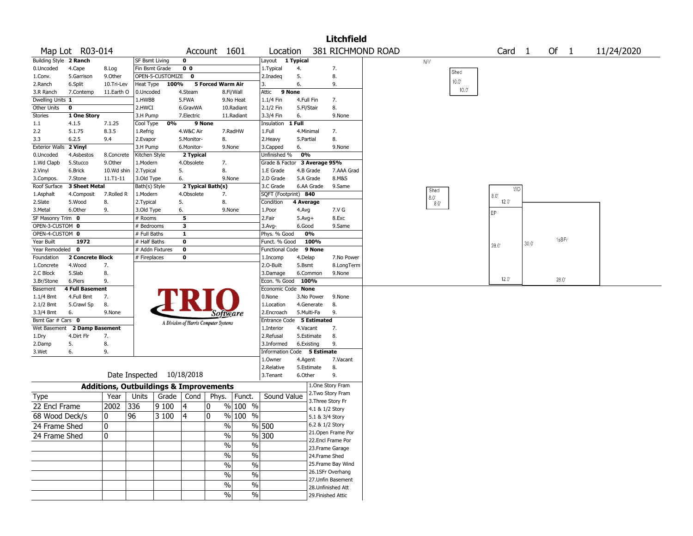|                        |                        |               |                           |                  |                |                                                   |               |                              |              |                 | <b>Litchfield</b>  |                   |             |                |                   |      |       |            |
|------------------------|------------------------|---------------|---------------------------|------------------|----------------|---------------------------------------------------|---------------|------------------------------|--------------|-----------------|--------------------|-------------------|-------------|----------------|-------------------|------|-------|------------|
|                        | Map Lot R03-014        |               |                           |                  |                | Account 1601                                      |               | Location                     |              |                 |                    | 381 RICHMOND ROAD |             |                | Card <sub>1</sub> |      | Of 1  | 11/24/2020 |
| Building Style 2 Ranch |                        |               | SF Bsmt Living            |                  | 0              |                                                   |               | Layout 1 Typical             |              |                 |                    |                   | <b>NV</b>   |                |                   |      |       |            |
| 0.Uncoded              | 4.Cape                 | 8.Log         | Fin Bsmt Grade            |                  | 0 <sub>0</sub> |                                                   |               | 1. Typical                   | 4.           |                 | 7.                 |                   |             | Shed           |                   |      |       |            |
| 1.Conv.                | 5.Garrison             | 9.Other       |                           | OPEN-5-CUSTOMIZE | $\bf{0}$       |                                                   |               | 2.Inadeq                     | 5.           |                 | 8.                 |                   |             |                |                   |      |       |            |
| 2.Ranch                | 6.Split                | 10.Tri-Lev    | Heat Type                 | 100%             |                | 5 Forced Warm Air                                 |               | 3.                           | 6.           |                 | 9.                 |                   |             | $10.0^\circ$   |                   |      |       |            |
| 3.R Ranch              | 7.Contemp              | 11.Earth O    | 0.Uncoded                 |                  | 4.Steam        |                                                   | 8.Fl/Wall     | 9 None<br>Attic              |              |                 |                    |                   |             | $10.0^{\circ}$ |                   |      |       |            |
| Dwelling Units 1       |                        |               | 1.HWBB                    |                  | 5.FWA          |                                                   | 9.No Heat     | 1.1/4 Fin                    |              | 4.Full Fin      | 7.                 |                   |             |                |                   |      |       |            |
| Other Units            | $\mathbf 0$            |               | 2.HWCI                    |                  | 6.GravWA       |                                                   | 10.Radiant    | 2.1/2 Fin                    |              | 5.Fl/Stair      | 8.                 |                   |             |                |                   |      |       |            |
| <b>Stories</b>         | 1 One Story            |               | 3.H Pump                  |                  | 7.Electric     |                                                   | 11.Radiant    | 3.3/4 Fin                    | 6.           |                 | 9.None             |                   |             |                |                   |      |       |            |
| $1.1\,$                | 4.1.5                  | 7.1.25        | Cool Type                 | 0%               |                | 9 None                                            |               | Insulation                   | 1 Full       |                 |                    |                   |             |                |                   |      |       |            |
| 2.2                    | 5.1.75                 | 8.3.5         | 1.Refrig                  |                  | 4.W&C Air      |                                                   | 7.RadHW       | 1.Full                       |              | 4.Minimal       | 7.                 |                   |             |                |                   |      |       |            |
| 3.3                    | 6.2.5                  | 9.4           | 2.Evapor                  |                  | 5.Monitor-     | 8.                                                |               | 2.Heavy                      | 5.Partial    |                 | 8.                 |                   |             |                |                   |      |       |            |
| <b>Exterior Walls</b>  | 2 Vinyl                |               | 3.H Pump                  |                  | 6.Monitor-     | 9.None                                            |               | 3.Capped                     | 6.           |                 | 9.None             |                   |             |                |                   |      |       |            |
| 0.Uncoded              | 4.Asbestos             | 8.Concrete    | Kitchen Style             |                  | 2 Typical      |                                                   |               | Unfinished %                 | 0%           |                 |                    |                   |             |                |                   |      |       |            |
| 1.Wd Clapb             | 5.Stucco               | 9.0ther       | 1.Modern                  |                  | 4.Obsolete     | 7.                                                |               | Grade & Factor 3 Average 95% |              |                 |                    |                   |             |                |                   |      |       |            |
| 2.Vinyl                | 6.Brick                | 10.Wd shin    | 2. Typical                |                  | 5.             | 8.                                                |               | 1.E Grade                    |              | 4.B Grade       | 7.AAA Grad         |                   |             |                |                   |      |       |            |
| 3.Compos.              | 7.Stone                | $11. T1 - 11$ | 3.Old Type                |                  | 6.             | 9.None                                            |               | 2.D Grade                    |              | 5.A Grade       | 8.M&S              |                   |             |                |                   |      |       |            |
| Roof Surface           | 3 Sheet Metal          |               | Bath(s) Style             |                  |                | 2 Typical Bath(s)                                 |               | 3.C Grade                    |              | 6.AA Grade      | 9.Same             |                   | Shed        |                | WD.               |      |       |            |
| 1.Asphalt              | 4.Composit             | 7.Rolled R    | 1.Modern                  |                  | 4.Obsolete     | 7.                                                |               | SQFT (Footprint) 840         |              |                 |                    |                   | $8.0^\circ$ |                | $8.0^{\circ}$     |      |       |            |
| 2.Slate                | 5.Wood                 | 8.            | 2. Typical                |                  | 5.             | 8.                                                |               | Condition                    | 4 Average    |                 |                    |                   |             | $8.0^{\circ}$  | 12.0              |      |       |            |
| 3.Metal                | 6.Other                | 9.            | 3.Old Type                |                  | 6.             | 9.None                                            |               | 1.Poor                       | 4.Avg        |                 | 7.V G              |                   |             |                | ЕP                |      |       |            |
| SF Masonry Trim 0      |                        |               | # Rooms                   |                  | 5              |                                                   |               | 2.Fair                       | $5.$ Avg $+$ |                 | 8.Exc              |                   |             |                |                   |      |       |            |
| OPEN-3-CUSTOM 0        |                        |               | # Bedrooms                |                  | 3              |                                                   |               | $3.$ Avg-                    | 6.Good       |                 | 9.Same             |                   |             |                |                   |      |       |            |
| OPEN-4-CUSTOM 0        |                        |               | # Full Baths              |                  | 1              |                                                   |               | Phys. % Good                 |              | 0%              |                    |                   |             |                |                   |      |       |            |
| Year Built             | 1972                   |               | # Half Baths              |                  | $\bf{0}$       |                                                   |               | Funct. % Good                |              | 100%            |                    |                   |             |                | $28.0^{\circ}$    | 30.0 | 1sBFr |            |
| Year Remodeled 0       |                        |               |                           | # Addn Fixtures  | $\pmb{0}$      |                                                   |               | Functional Code              |              | 9 None          |                    |                   |             |                |                   |      |       |            |
| Foundation             | 2 Concrete Block       |               | # Fireplaces              |                  | 0              |                                                   |               | 1.Incomp                     | 4.Delap      |                 | 7.No Power         |                   |             |                |                   |      |       |            |
| 1.Concrete             | 4.Wood                 | 7.            |                           |                  |                |                                                   |               | 2.0-Built                    | 5.Bsmt       |                 | 8.LongTerm         |                   |             |                |                   |      |       |            |
| 2.C Block              | 5.Slab                 | 8.            |                           |                  |                |                                                   |               | 3.Damage                     |              | 6.Common        | 9.None             |                   |             |                |                   |      |       |            |
| 3.Br/Stone             | 6.Piers                | 9.            |                           |                  |                |                                                   |               | Econ. % Good                 |              | 100%            |                    |                   |             |                | $12.0^{\circ}$    |      | 28.0  |            |
| Basement               | <b>4 Full Basement</b> |               |                           |                  |                |                                                   |               | Economic Code None           |              |                 |                    |                   |             |                |                   |      |       |            |
| 1.1/4 Bmt              | 4.Full Bmt             | 7.            |                           |                  |                |                                                   |               | 0.None                       |              | 3.No Power      | 9.None             |                   |             |                |                   |      |       |            |
| 2.1/2 Bmt              | 5.Crawl Sp             | 8.            |                           |                  |                |                                                   |               | 1.Location                   |              | 4.Generate      | 8.                 |                   |             |                |                   |      |       |            |
| 3.3/4 Bmt              | 6.                     | 9.None        |                           |                  |                | Software                                          |               | 2.Encroach                   |              | 5.Multi-Fa      | 9.                 |                   |             |                |                   |      |       |            |
| Bsmt Gar # Cars 0      |                        |               |                           |                  |                | A Division of Harris Computer Systems             |               | Entrance Code 5 Estimated    |              |                 |                    |                   |             |                |                   |      |       |            |
| Wet Basement           | 2 Damp Basement        |               |                           |                  |                |                                                   |               | 1.Interior                   |              | 4.Vacant        | 7.                 |                   |             |                |                   |      |       |            |
| 1.Dry                  | 4.Dirt Flr             | 7.            |                           |                  |                |                                                   |               | 2.Refusal                    |              | 5.Estimate      | 8.                 |                   |             |                |                   |      |       |            |
| 2.Damp                 | 5.                     | 8.            |                           |                  |                |                                                   |               | 3.Informed                   |              | 6.Existing      | 9.                 |                   |             |                |                   |      |       |            |
| 3.Wet                  | 6.                     | 9.            |                           |                  |                |                                                   |               | Information Code 5 Estimate  |              |                 |                    |                   |             |                |                   |      |       |            |
|                        |                        |               |                           |                  |                |                                                   |               | 1.Owner                      | 4.Agent      |                 | 7.Vacant           |                   |             |                |                   |      |       |            |
|                        |                        |               |                           |                  |                |                                                   |               | 2.Relative                   |              | 5.Estimate      | 8.                 |                   |             |                |                   |      |       |            |
|                        |                        |               | Date Inspected 10/18/2018 |                  |                |                                                   |               | 3.Tenant                     | 6.Other      |                 | 9.                 |                   |             |                |                   |      |       |            |
|                        |                        |               |                           |                  |                | <b>Additions, Outbuildings &amp; Improvements</b> |               |                              |              |                 | 1.One Story Fram   |                   |             |                |                   |      |       |            |
| Type                   |                        | Year          | Units                     | Grade            | Cond           | Phys. Funct.                                      |               | Sound Value                  |              |                 | 2.Two Story Fram   |                   |             |                |                   |      |       |            |
| 22 Encl Frame          |                        | 2002          | 336                       | 9100             | 4              | 0                                                 | $%100$ %      |                              |              |                 | 3. Three Story Fr  |                   |             |                |                   |      |       |            |
|                        |                        |               |                           |                  |                |                                                   |               |                              |              | 4.1 & 1/2 Story |                    |                   |             |                |                   |      |       |            |
| 68 Wood Deck/s         |                        | 10            | 96                        | 3 100            | 4              | 0                                                 | % 100<br>$\%$ |                              |              | 5.1 & 3/4 Story |                    |                   |             |                |                   |      |       |            |
| 24 Frame Shed          |                        | 0             |                           |                  |                | $\sqrt{6}$                                        |               | % 500                        |              | 6.2 & 1/2 Story |                    |                   |             |                |                   |      |       |            |
| 24 Frame Shed          |                        | 10            |                           |                  |                | $\sqrt{6}$                                        |               | $\frac{9}{6}$ 300            |              |                 | 21.Open Frame Por  |                   |             |                |                   |      |       |            |
|                        |                        |               |                           |                  |                | $\sqrt{6}$                                        | $\%$          |                              |              |                 | 22.Encl Frame Por  |                   |             |                |                   |      |       |            |
|                        |                        |               |                           |                  |                |                                                   |               |                              |              |                 | 23. Frame Garage   |                   |             |                |                   |      |       |            |
|                        |                        |               |                           |                  |                | $\sqrt{6}$                                        | $\frac{0}{6}$ |                              |              | 24.Frame Shed   |                    |                   |             |                |                   |      |       |            |
|                        |                        |               |                           |                  |                | $\sqrt{6}$                                        | $\frac{0}{6}$ |                              |              |                 | 25. Frame Bay Wind |                   |             |                |                   |      |       |            |
|                        |                        |               |                           |                  |                | $\sqrt{6}$                                        | $\frac{0}{6}$ |                              |              |                 | 26.1SFr Overhang   |                   |             |                |                   |      |       |            |
|                        |                        |               |                           |                  |                | $\sqrt{6}$                                        | $\frac{0}{6}$ |                              |              |                 | 27.Unfin Basement  |                   |             |                |                   |      |       |            |
|                        |                        |               |                           |                  |                |                                                   |               |                              |              |                 | 28. Unfinished Att |                   |             |                |                   |      |       |            |
|                        |                        |               |                           |                  |                | $\sqrt{6}$                                        | $\sqrt{6}$    |                              |              |                 | 29. Finished Attic |                   |             |                |                   |      |       |            |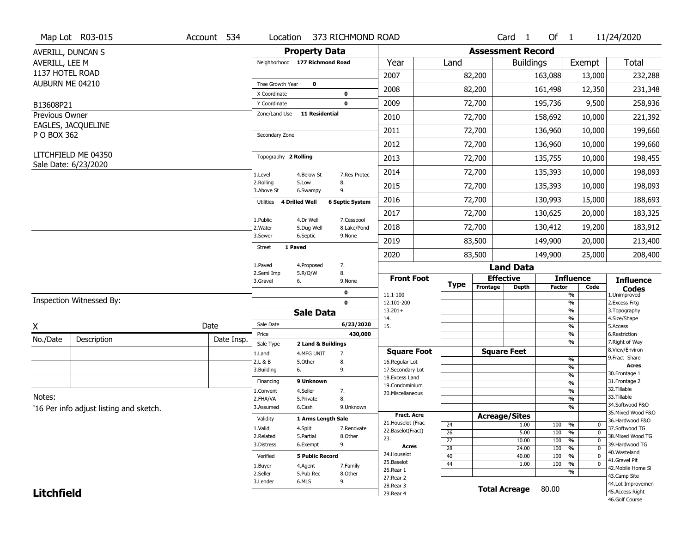|                   | Map Lot R03-015                         | Account 534 | Location                       |                                  | 373 RICHMOND ROAD         |                                   |                                    |                          | Card 1               | Of $1$        |                                                        | 11/24/2020                           |
|-------------------|-----------------------------------------|-------------|--------------------------------|----------------------------------|---------------------------|-----------------------------------|------------------------------------|--------------------------|----------------------|---------------|--------------------------------------------------------|--------------------------------------|
|                   | AVERILL, DUNCAN S                       |             |                                | <b>Property Data</b>             |                           |                                   |                                    | <b>Assessment Record</b> |                      |               |                                                        |                                      |
| AVERILL, LEE M    |                                         |             | Neighborhood 177 Richmond Road |                                  |                           | Year                              | Land                               |                          | <b>Buildings</b>     |               | Exempt                                                 | <b>Total</b>                         |
| 1137 HOTEL ROAD   |                                         |             |                                |                                  |                           | 2007                              |                                    | 82,200                   |                      | 163,088       | 13,000                                                 | 232,288                              |
| AUBURN ME 04210   |                                         |             | Tree Growth Year               | 0                                |                           | 2008                              |                                    | 82,200                   |                      | 161,498       | 12,350                                                 | 231,348                              |
|                   |                                         |             | X Coordinate                   |                                  | 0                         |                                   |                                    |                          |                      |               |                                                        |                                      |
| B13608P21         |                                         |             | Y Coordinate<br>Zone/Land Use  | <b>11 Residential</b>            | $\mathbf 0$               | 2009                              |                                    | 72,700                   |                      | 195,736       | 9,500                                                  | 258,936                              |
| Previous Owner    | EAGLES, JACQUELINE                      |             |                                |                                  |                           | 2010                              |                                    | 72,700                   |                      | 158,692       | 10,000                                                 | 221,392                              |
| P O BOX 362       |                                         |             | Secondary Zone                 |                                  |                           | 2011                              |                                    | 72,700                   |                      | 136,960       | 10,000                                                 | 199,660                              |
|                   |                                         |             |                                |                                  |                           | 2012                              |                                    | 72,700                   |                      | 136,960       | 10,000                                                 | 199,660                              |
|                   | LITCHFIELD ME 04350                     |             | Topography 2 Rolling           |                                  |                           | 2013                              |                                    | 72,700                   |                      | 135,755       | 10,000                                                 | 198,455                              |
|                   | Sale Date: 6/23/2020                    |             | 1.Level                        | 4.Below St                       | 7.Res Protec              | 2014                              |                                    | 72,700                   |                      | 135,393       | 10,000                                                 | 198,093                              |
|                   |                                         |             | 2.Rolling<br>3.Above St        | 5.Low<br>6.Swampy                | 8.<br>9.                  | 2015                              |                                    | 72,700                   |                      | 135,393       | 10,000                                                 | 198,093                              |
|                   |                                         |             | 4 Drilled Well<br>Utilities    |                                  | <b>6 Septic System</b>    | 2016                              |                                    | 72,700                   |                      | 130,993       | 15,000                                                 | 188,693                              |
|                   |                                         |             |                                |                                  |                           | 2017                              |                                    | 72,700                   |                      | 130,625       | 20,000                                                 | 183,325                              |
|                   |                                         |             | 1.Public<br>2. Water           | 4.Dr Well<br>5.Dug Well          | 7.Cesspool<br>8.Lake/Pond | 2018                              |                                    | 72,700                   |                      | 130,412       | 19,200                                                 | 183,912                              |
|                   |                                         |             | 3.Sewer                        | 6.Septic                         | 9.None                    | 2019                              |                                    | 83,500                   |                      | 149,900       | 20,000                                                 | 213,400                              |
|                   |                                         |             | 1 Paved<br><b>Street</b>       |                                  |                           | 2020                              |                                    | 83,500                   |                      | 149,900       | 25,000                                                 | 208,400                              |
|                   |                                         |             | 1.Paved                        | 4.Proposed                       | 7.                        |                                   |                                    |                          | <b>Land Data</b>     |               |                                                        |                                      |
|                   |                                         |             | 2.Semi Imp<br>6.<br>3.Gravel   | 5.R/O/W                          | 8.<br>9.None              | <b>Front Foot</b>                 |                                    | <b>Effective</b>         |                      |               | <b>Influence</b>                                       | <b>Influence</b>                     |
|                   |                                         |             |                                |                                  | 0                         | 11.1-100                          | <b>Type</b>                        | Frontage                 | <b>Depth</b>         | <b>Factor</b> | Code<br>%                                              | <b>Codes</b><br>1.Unimproved         |
|                   | Inspection Witnessed By:                |             |                                |                                  | $\mathbf 0$               | 12.101-200                        |                                    |                          |                      |               | $\frac{9}{6}$                                          | 2.Excess Frtg                        |
|                   |                                         |             |                                | <b>Sale Data</b>                 |                           | $13.201+$<br>14.                  |                                    |                          |                      |               | %<br>%                                                 | 3. Topography<br>4.Size/Shape        |
| X                 |                                         | Date        | Sale Date                      |                                  | 6/23/2020                 | 15.                               |                                    |                          |                      |               | %                                                      | 5.Access                             |
| No./Date          | Description                             | Date Insp.  | Price                          |                                  | 430,000                   |                                   |                                    |                          |                      |               | $\frac{9}{6}$<br>%                                     | 6.Restriction<br>7. Right of Way     |
|                   |                                         |             | Sale Type<br>1.Land            | 2 Land & Buildings<br>4.MFG UNIT | 7.                        | <b>Square Foot</b>                |                                    | <b>Square Feet</b>       |                      |               |                                                        | 8.View/Environ                       |
|                   |                                         |             | 2.L & B                        | 5.Other                          | 8.                        | 16.Regular Lot                    |                                    |                          |                      |               | $\frac{9}{6}$                                          | 9. Fract Share                       |
|                   |                                         |             | 3.Building<br>6.               |                                  | 9.                        | 17.Secondary Lot                  |                                    |                          |                      |               | %<br>$\frac{9}{6}$                                     | <b>Acres</b><br>30. Frontage 1       |
|                   |                                         |             | Financing                      | 9 Unknown                        |                           | 18.Excess Land<br>19.Condominium  |                                    |                          |                      |               | $\overline{\frac{9}{6}}$                               | 31. Frontage 2                       |
|                   |                                         |             | 1.Convent                      | 4.Seller                         | 7.                        | 20.Miscellaneous                  |                                    |                          |                      |               | $\frac{9}{6}$                                          | 32. Tillable                         |
| Notes:            |                                         |             | 2.FHA/VA                       | 5.Private                        | 8.                        |                                   |                                    |                          |                      |               | $\frac{9}{6}$                                          | 33.Tillable<br>34.Softwood F&O       |
|                   | '16 Per info adjust listing and sketch. |             | 3.Assumed                      | 6.Cash                           | 9.Unknown                 |                                   |                                    |                          |                      |               | %                                                      | 35. Mixed Wood F&O                   |
|                   |                                         |             | Validity                       | 1 Arms Length Sale               |                           | Fract. Acre<br>21. Houselot (Frac |                                    | <b>Acreage/Sites</b>     |                      |               |                                                        | 36.Hardwood F&O                      |
|                   |                                         |             | 1.Valid                        | 4.Split                          | 7.Renovate                | 22.Baselot(Fract)                 | 24                                 |                          | 1.00                 | 100           | %<br>0                                                 | 37.Softwood TG                       |
|                   |                                         |             | 2.Related                      | 5.Partial                        | 8.0ther                   | 23.                               | $\overline{26}$<br>$\overline{27}$ |                          | 5.00<br>10.00        | 100<br>100    | $\overline{0}$<br>%<br>$\frac{9}{6}$<br>$\overline{0}$ | 38. Mixed Wood TG                    |
|                   |                                         |             | 3.Distress                     | 6.Exempt                         | 9.                        | <b>Acres</b>                      | 28                                 |                          | 24.00                | 100           | $\frac{9}{6}$<br>$\overline{0}$                        | 39.Hardwood TG                       |
|                   |                                         |             | Verified                       | <b>5 Public Record</b>           |                           | 24. Houselot                      | 40                                 |                          | 40.00                | 100           | %<br>$\mathbf 0$                                       | 40. Wasteland                        |
|                   |                                         |             | 1.Buyer                        | 4.Agent                          | 7.Family                  | 25.Baselot                        | 44                                 |                          | 1.00                 | 100           | $\overline{0}$<br>%                                    | 41.Gravel Pit                        |
|                   |                                         |             | 2.Seller                       | 5.Pub Rec                        | 8.Other                   | 26.Rear 1                         |                                    |                          |                      |               | %                                                      | 42. Mobile Home Si<br>43.Camp Site   |
|                   |                                         |             |                                |                                  |                           | 27. Rear 2                        |                                    |                          |                      |               |                                                        |                                      |
|                   |                                         |             | 3.Lender                       | 6.MLS                            | 9.                        |                                   |                                    |                          |                      |               |                                                        |                                      |
| <b>Litchfield</b> |                                         |             |                                |                                  |                           | 28. Rear 3<br>29. Rear 4          |                                    |                          | <b>Total Acreage</b> | 80.00         |                                                        | 44.Lot Improvemen<br>45.Access Right |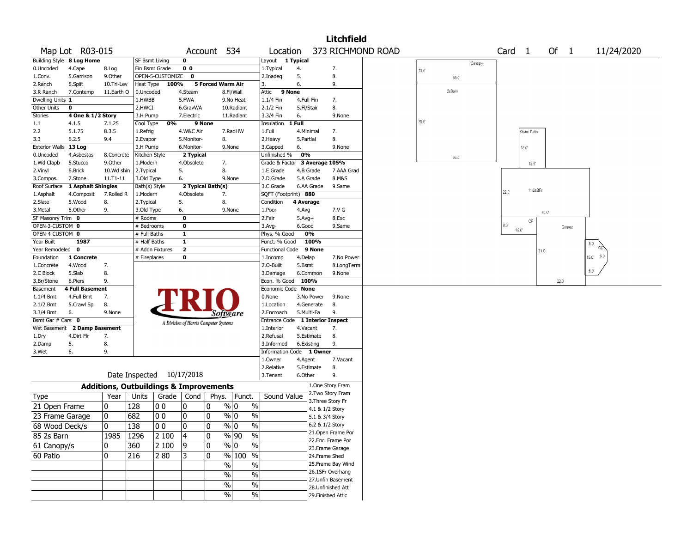|                       |                           |                                                   |                       |                           |                         |                                       |                         |                                  |                        |                 | <b>Litchfield</b>  |                   |                |        |                   |                |                |              |               |            |  |
|-----------------------|---------------------------|---------------------------------------------------|-----------------------|---------------------------|-------------------------|---------------------------------------|-------------------------|----------------------------------|------------------------|-----------------|--------------------|-------------------|----------------|--------|-------------------|----------------|----------------|--------------|---------------|------------|--|
|                       | Map Lot R03-015           |                                                   |                       |                           |                         | Account 534                           |                         | Location                         |                        |                 |                    | 373 RICHMOND ROAD |                |        | Card <sub>1</sub> |                | Of             | $\mathbf{1}$ |               | 11/24/2020 |  |
|                       | Building Style 8 Log Home |                                                   | <b>SF Bsmt Living</b> |                           | 0                       |                                       |                         | Layout                           | $\overline{1}$ Typical |                 |                    |                   |                | Canopy |                   |                |                |              |               |            |  |
| 0.Uncoded             | 4.Cape                    | 8.Log                                             | Fin Bsmt Grade        |                           | 0 <sub>0</sub>          |                                       |                         | 1. Typical                       | 4.                     |                 | 7.                 |                   | $10.0^{\circ}$ |        |                   |                |                |              |               |            |  |
| 1.Conv.               | 5.Garrison                | 9.0ther                                           |                       | OPEN-5-CUSTOMIZE          | 0                       |                                       |                         | 2.Inadeq                         | 5.                     |                 | 8.                 |                   |                | 36.0   |                   |                |                |              |               |            |  |
| 2.Ranch               | 6.Split                   | 10.Tri-Lev                                        | Heat Type             | 100%                      |                         | <b>5 Forced Warm Air</b>              |                         | 3.                               | 6.                     |                 | 9.                 |                   |                |        |                   |                |                |              |               |            |  |
| 3.R Ranch             | 7.Contemp                 | 11.Earth O                                        | 0.Uncoded             |                           | 4.Steam                 |                                       | 8.Fl/Wall               | Attic                            | 9 None                 |                 |                    |                   |                | 2s Bam |                   |                |                |              |               |            |  |
| Dwelling Units 1      |                           |                                                   | 1.HWBB                |                           | 5.FWA                   |                                       | 9.No Heat               | 1.1/4 Fin                        | 4.Full Fin             |                 | 7.                 |                   |                |        |                   |                |                |              |               |            |  |
| Other Units           | 0                         |                                                   | 2.HWCI                |                           | 6.GravWA                |                                       | 10.Radiant              | 2.1/2 Fin                        | 5.Fl/Stair             |                 | 8.                 |                   |                |        |                   |                |                |              |               |            |  |
| <b>Stories</b>        | 4 One & 1/2 Story         |                                                   | 3.H Pump              |                           | 7.Electric              |                                       | 11.Radiant              | 3.3/4 Fin                        | 6.                     |                 | 9.None             |                   |                |        |                   |                |                |              |               |            |  |
| 1.1                   | 4.1.5                     | 7.1.25                                            | Cool Type             | 0%                        |                         | 9 None                                |                         | Insulation                       | 1 Full                 |                 |                    |                   | $36.0^{\circ}$ |        |                   |                |                |              |               |            |  |
| 2.2                   | 5.1.75                    | 8.3.5                                             | 1.Refrig              |                           | 4.W&C Air               |                                       | 7.RadHW                 | 1.Full                           | 4.Minimal              |                 | 7.                 |                   |                |        |                   | Stone Patio    |                |              |               |            |  |
| 3.3                   | 6.2.5                     | 9.4                                               | 2.Evapor              |                           | 5.Monitor-              | 8.                                    |                         | 2.Heavy                          | 5.Partial              |                 | 8.                 |                   |                |        |                   |                |                |              |               |            |  |
| <b>Exterior Walls</b> | 13 Log                    |                                                   | 3.H Pump              |                           | 6.Monitor-              |                                       | 9.None                  | 3.Capped                         | 6.                     |                 | 9.None             |                   |                |        |                   | $18.0^{\circ}$ |                |              |               |            |  |
| 0.Uncoded             | 4.Asbestos                | 8.Concrete                                        | Kitchen Style         |                           | 2 Typical               |                                       |                         | Unfinished %                     | 0%                     |                 |                    |                   |                | 36.0   |                   |                |                |              |               |            |  |
| 1.Wd Clapb            | 5.Stucco                  | 9.0ther                                           | 1.Modern              |                           | 4.Obsolete              | 7.                                    |                         | Grade & Factor 3 Average 105%    |                        |                 |                    |                   |                |        |                   | $12.0^\circ$   |                |              |               |            |  |
| 2.Vinyl               | 6.Brick                   | 10.Wd shin                                        | 2.Typical             |                           | 5.                      | 8.                                    |                         | 1.E Grade                        |                        | 4.B Grade       | 7.AAA Grad         |                   |                |        |                   |                |                |              |               |            |  |
| 3.Compos.             | 7.Stone                   | $11. T1 - 11$                                     | 3.Old Type            |                           | 6.                      |                                       | 9.None                  | 2.D Grade                        |                        | 5.A Grade       | 8.M&S              |                   |                |        |                   |                |                |              |               |            |  |
| Roof Surface          | 1 Asphalt Shingles        |                                                   | Bath(s) Style         |                           |                         | 2 Typical Bath(s)                     |                         | 3.C Grade                        |                        | 6.AA Grade      | 9.Same             |                   |                |        |                   | 11/2sBFr       |                |              |               |            |  |
| 1.Asphalt             | 4.Composit                | 7.Rolled R                                        | 1.Modern              |                           | 4.Obsolete              | 7.                                    |                         | SQFT (Footprint) 880             |                        |                 |                    |                   |                |        | 22.C              |                |                |              |               |            |  |
| 2.Slate               | 5.Wood                    | 8.                                                | 2. Typical            |                           | 5.                      | 8.                                    |                         | Condition                        | 4 Average              |                 |                    |                   |                |        |                   |                |                |              |               |            |  |
| 3.Metal               | 6.Other                   | 9.                                                | 3.Old Type            |                           | 6.                      |                                       | 9.None                  | 1.Poor                           | 4.Avg                  |                 | 7.V G              |                   |                |        |                   |                | $40.0^{\circ}$ |              |               |            |  |
| SF Masonry Trim 0     |                           |                                                   | # Rooms               |                           | 0                       |                                       |                         | 2.Fair                           | $5.Avg+$               |                 | 8.Exc              |                   |                |        |                   | OP             |                |              |               |            |  |
| OPEN-3-CUSTOM 0       |                           |                                                   | # Bedrooms            |                           | 0                       |                                       |                         | 3.Avg-                           | 6.Good                 |                 | 9.Same             |                   |                |        | $8.0^{\circ}$     |                |                | Garage       |               |            |  |
| OPEN-4-CUSTOM 0       |                           |                                                   | # Full Baths          |                           | 1                       |                                       |                         | Phys. % Good                     |                        | 0%              |                    |                   |                |        | 16.C <sup>*</sup> |                |                |              |               |            |  |
| Year Built            | 1987                      |                                                   | # Half Baths          |                           | 1                       |                                       |                         | Funct. % Good                    |                        | 100%            |                    |                   |                |        |                   |                |                |              | $6.0^{\circ}$ |            |  |
| Year Remodeled        | $\mathbf 0$               |                                                   |                       | # Addn Fixtures           | $\overline{\mathbf{2}}$ |                                       |                         | <b>Functional Code</b>           |                        | 9 None          |                    |                   |                |        |                   |                | 31.0           |              |               |            |  |
| Foundation            | 1 Concrete                |                                                   | # Fireplaces          |                           | 0                       |                                       |                         | 1.Incomp                         | 4.Delap                |                 | 7.No Power         |                   |                |        |                   |                |                |              | $16.0 - 5.0$  |            |  |
| 1.Concrete            | 4.Wood                    | 7.                                                |                       |                           |                         |                                       |                         | 2.0-Built                        | 5.Bsmt                 |                 | 8.LongTerm         |                   |                |        |                   |                |                |              |               |            |  |
| 2.C Block             | 5.Slab                    | 8.                                                |                       |                           |                         |                                       |                         | 3.Damage                         |                        | 6.Commor        | 9.None             |                   |                |        |                   |                |                |              | $6.0^{\circ}$ |            |  |
| 3.Br/Stone            | 6.Piers                   | 9.                                                |                       |                           |                         |                                       |                         | Econ. % Good                     | 100%                   |                 |                    |                   |                |        |                   |                |                | $22.0^\circ$ |               |            |  |
| Basement              | 4 Full Basement           |                                                   |                       |                           |                         |                                       |                         | Economic Code None               |                        |                 |                    |                   |                |        |                   |                |                |              |               |            |  |
| $1.1/4$ Bmt           | 4.Full Bmt                | 7.                                                |                       |                           |                         |                                       |                         | 0.None                           |                        | 3.No Power      | 9.None             |                   |                |        |                   |                |                |              |               |            |  |
| 2.1/2 Bmt             | 5.Crawl Sp                | 8.                                                |                       |                           |                         |                                       |                         | 1.Location                       |                        | 4.Generate      | 8.                 |                   |                |        |                   |                |                |              |               |            |  |
| 3.3/4 Bmt             | 6.                        | 9.None                                            |                       |                           |                         | Software                              |                         | 2.Encroach                       |                        | 5.Multi-Fa      | 9.                 |                   |                |        |                   |                |                |              |               |            |  |
| Bsmt Gar # Cars 0     |                           |                                                   |                       |                           |                         | A Division of Harris Computer Systems |                         | Entrance Code 1 Interior Inspect |                        |                 |                    |                   |                |        |                   |                |                |              |               |            |  |
| Wet Basement          | 2 Damp Basement           |                                                   |                       |                           |                         |                                       |                         | 1.Interior                       | 4.Vacant               |                 | 7.                 |                   |                |        |                   |                |                |              |               |            |  |
| 1.Dry                 | 4.Dirt Flr                | 7.                                                |                       |                           |                         |                                       |                         | 2.Refusal                        |                        | 5.Estimate      | 8.                 |                   |                |        |                   |                |                |              |               |            |  |
| 2.Damp                | 5.                        | 8.                                                |                       |                           |                         |                                       |                         | 3.Informed                       |                        | 6.Existing      | 9.                 |                   |                |        |                   |                |                |              |               |            |  |
| 3.Wet                 | 6.                        | 9.                                                |                       |                           |                         |                                       |                         | Information                      |                        | Code 1 Owner    |                    |                   |                |        |                   |                |                |              |               |            |  |
|                       |                           |                                                   |                       |                           |                         |                                       |                         | 1.Owner                          | 4.Agent                |                 | 7.Vacant           |                   |                |        |                   |                |                |              |               |            |  |
|                       |                           |                                                   |                       |                           |                         |                                       |                         | 2.Relative                       |                        | 5.Estimate      | 8.                 |                   |                |        |                   |                |                |              |               |            |  |
|                       |                           |                                                   |                       | Date Inspected 10/17/2018 |                         |                                       |                         | 3. Tenant                        | 6.Other                |                 | 9.                 |                   |                |        |                   |                |                |              |               |            |  |
|                       |                           | <b>Additions, Outbuildings &amp; Improvements</b> |                       |                           |                         |                                       |                         |                                  |                        |                 | 1.One Story Fram   |                   |                |        |                   |                |                |              |               |            |  |
| Type                  |                           | Year                                              | Units                 | Grade                     | Cond                    |                                       | Phys.   Funct.          | Sound Value                      |                        |                 | 2. Two Story Fram  |                   |                |        |                   |                |                |              |               |            |  |
| 21 Open Frame         |                           | 0                                                 | 128                   | 00                        | 10                      | 0                                     | % 0<br>$\%$             |                                  |                        |                 | 3. Three Story Fr  |                   |                |        |                   |                |                |              |               |            |  |
|                       |                           |                                                   |                       |                           |                         |                                       |                         |                                  |                        | 4.1 & 1/2 Story |                    |                   |                |        |                   |                |                |              |               |            |  |
| 23 Frame Garage       |                           | 0                                                 | 682                   | 00                        | 0                       | 0                                     | % 0<br>$\%$             |                                  |                        | 5.1 & 3/4 Story |                    |                   |                |        |                   |                |                |              |               |            |  |
| 68 Wood Deck/s        |                           | 0                                                 | 138                   | 00                        | I٥                      | 0                                     | % 0<br>$\%$             |                                  |                        | 6.2 & 1/2 Story |                    |                   |                |        |                   |                |                |              |               |            |  |
| 85 2s Barn            |                           | 1985 1296                                         |                       | 2 100                     | 4                       | 0                                     | % 90<br>$\%$            |                                  |                        |                 | 21. Open Frame Por |                   |                |        |                   |                |                |              |               |            |  |
| 61 Canopy/s           |                           | 0                                                 | 360                   | 2 100                     | 9                       | 0                                     | $\%$<br>$\frac{9}{0}$ 0 |                                  |                        |                 | 22.Encl Frame Por  |                   |                |        |                   |                |                |              |               |            |  |
|                       |                           |                                                   |                       |                           |                         |                                       |                         |                                  |                        |                 | 23.Frame Garage    |                   |                |        |                   |                |                |              |               |            |  |
| 60 Patio              |                           | 0                                                 | 216                   | 2 80                      | 3                       | 0                                     | % 100<br>$\frac{0}{0}$  |                                  |                        | 24.Frame Shed   |                    |                   |                |        |                   |                |                |              |               |            |  |
|                       |                           |                                                   |                       |                           |                         | $\%$                                  | $\%$                    |                                  |                        |                 | 25. Frame Bay Wind |                   |                |        |                   |                |                |              |               |            |  |
|                       |                           |                                                   |                       |                           |                         | $\%$                                  | $\%$                    |                                  |                        |                 | 26.1SFr Overhang   |                   |                |        |                   |                |                |              |               |            |  |
|                       |                           |                                                   |                       |                           |                         | $\%$                                  | $\%$                    |                                  |                        |                 | 27.Unfin Basement  |                   |                |        |                   |                |                |              |               |            |  |
|                       |                           |                                                   |                       |                           |                         |                                       |                         |                                  |                        |                 | 28. Unfinished Att |                   |                |        |                   |                |                |              |               |            |  |
|                       |                           |                                                   |                       |                           |                         | $\%$                                  | $\%$                    |                                  |                        |                 | 29. Finished Attic |                   |                |        |                   |                |                |              |               |            |  |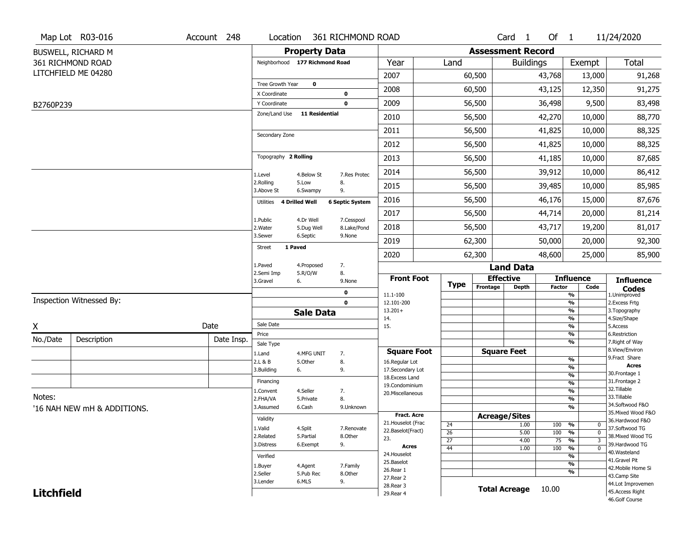|                   | Map Lot R03-016             | Account 248 | Location                         |                       | 361 RICHMOND ROAD      |                                    |                 |                          | Card <sub>1</sub>                | Of $1$        |                                                      | 11/24/2020                          |
|-------------------|-----------------------------|-------------|----------------------------------|-----------------------|------------------------|------------------------------------|-----------------|--------------------------|----------------------------------|---------------|------------------------------------------------------|-------------------------------------|
|                   | BUSWELL, RICHARD M          |             |                                  | <b>Property Data</b>  |                        |                                    |                 | <b>Assessment Record</b> |                                  |               |                                                      |                                     |
|                   | 361 RICHMOND ROAD           |             | Neighborhood 177 Richmond Road   |                       |                        | Year                               | Land            |                          | <b>Buildings</b>                 |               | Exempt                                               | Total                               |
|                   | LITCHFIELD ME 04280         |             |                                  |                       |                        | 2007                               |                 | 60,500                   |                                  | 43,768        | 13,000                                               | 91,268                              |
|                   |                             |             | Tree Growth Year<br>X Coordinate | $\mathbf 0$           | 0                      | 2008                               |                 | 60,500                   |                                  | 43,125        | 12,350                                               | 91,275                              |
| B2760P239         |                             |             | Y Coordinate                     |                       | $\mathbf 0$            | 2009                               |                 | 56,500                   |                                  | 36,498        | 9,500                                                | 83,498                              |
|                   |                             |             | Zone/Land Use                    | <b>11 Residential</b> |                        | 2010                               |                 | 56,500                   |                                  | 42,270        | 10,000                                               | 88,770                              |
|                   |                             |             |                                  |                       |                        | 2011                               |                 | 56,500                   |                                  | 41,825        | 10,000                                               | 88,325                              |
|                   |                             |             | Secondary Zone                   |                       |                        | 2012                               |                 | 56,500                   |                                  | 41,825        | 10,000                                               | 88,325                              |
|                   |                             |             | Topography 2 Rolling             |                       |                        | 2013                               |                 | 56,500                   |                                  | 41,185        | 10,000                                               | 87,685                              |
|                   |                             |             | 1.Level                          | 4.Below St            | 7.Res Protec           | 2014                               |                 | 56,500                   |                                  | 39,912        | 10,000                                               | 86,412                              |
|                   |                             |             | 2.Rolling<br>3.Above St          | 5.Low<br>6.Swampy     | 8.<br>9.               | 2015                               |                 | 56,500                   |                                  | 39,485        | 10,000                                               | 85,985                              |
|                   |                             |             | Utilities                        | 4 Drilled Well        | <b>6 Septic System</b> | 2016                               |                 | 56,500                   |                                  | 46,176        | 15,000                                               | 87,676                              |
|                   |                             |             | 1.Public                         | 4.Dr Well             | 7.Cesspool             | 2017                               |                 | 56,500                   |                                  | 44,714        | 20,000                                               | 81,214                              |
|                   |                             |             | 2. Water                         | 5.Dug Well            | 8.Lake/Pond            | 2018                               |                 | 56,500                   |                                  | 43,717        | 19,200                                               | 81,017                              |
|                   |                             |             | 3.Sewer                          | 6.Septic              | 9.None                 | 2019                               |                 | 62,300                   |                                  | 50,000        | 20,000                                               | 92,300                              |
|                   |                             |             | 1 Paved<br><b>Street</b>         |                       |                        | 2020                               |                 | 62,300                   |                                  | 48,600        | 25,000                                               | 85,900                              |
|                   |                             |             | 1.Paved<br>2.Semi Imp            | 4.Proposed<br>5.R/O/W | 7.<br>8.               |                                    |                 | <b>Land Data</b>         |                                  |               |                                                      |                                     |
|                   |                             |             | 3.Gravel                         | 6.                    | 9.None                 | <b>Front Foot</b>                  | <b>Type</b>     | Frontage                 | <b>Effective</b><br><b>Depth</b> | <b>Factor</b> | <b>Influence</b><br>Code                             | <b>Influence</b>                    |
|                   |                             |             |                                  |                       | 0                      | 11.1-100                           |                 |                          |                                  |               | %                                                    | <b>Codes</b><br>1.Unimproved        |
|                   | Inspection Witnessed By:    |             |                                  |                       | $\mathbf 0$            | 12.101-200<br>$13.201+$            |                 |                          |                                  |               | %<br>%                                               | 2.Excess Frtg<br>3. Topography      |
|                   |                             |             | Sale Date                        | <b>Sale Data</b>      |                        | 14.                                |                 |                          |                                  |               | %                                                    | 4.Size/Shape                        |
| X                 |                             | Date        | Price                            |                       |                        | 15.                                |                 |                          |                                  |               | %<br>%                                               | 5.Access<br>6.Restriction           |
| No./Date          | Description                 | Date Insp.  | Sale Type                        |                       |                        |                                    |                 |                          |                                  |               | %                                                    | 7. Right of Way                     |
|                   |                             |             | 1.Land                           | 4.MFG UNIT            | 7.                     | <b>Square Foot</b>                 |                 |                          | <b>Square Feet</b>               |               |                                                      | 8.View/Environ<br>9.Fract Share     |
|                   |                             |             | 2.L & B                          | 5.Other               | 8.                     | 16.Regular Lot<br>17.Secondary Lot |                 |                          |                                  |               | %<br>%                                               | <b>Acres</b>                        |
|                   |                             |             | 3.Building                       | 6.                    | 9.                     | 18. Excess Land                    |                 |                          |                                  |               | $\frac{9}{6}$                                        | 30. Frontage 1                      |
|                   |                             |             | Financing                        |                       |                        | 19.Condominium                     |                 |                          |                                  |               | $\overline{\frac{9}{6}}$                             | 31. Frontage 2<br>32.Tillable       |
| Notes:            |                             |             | 1.Convent<br>2.FHA/VA            | 4.Seller<br>5.Private | 7.<br>8.               | 20.Miscellaneous                   |                 |                          |                                  |               | $\overline{\frac{9}{6}}$<br>$\overline{\frac{9}{6}}$ | 33.Tillable                         |
|                   | '16 NAH NEW mH & ADDITIONS. |             | 3.Assumed                        | 6.Cash                | 9.Unknown              |                                    |                 |                          |                                  |               | $\frac{9}{6}$                                        | 34.Softwood F&O                     |
|                   |                             |             | Validity                         |                       |                        | <b>Fract. Acre</b>                 |                 | <b>Acreage/Sites</b>     |                                  |               |                                                      | 35. Mixed Wood F&O                  |
|                   |                             |             |                                  |                       |                        | 21. Houselot (Frac                 | 24              |                          | 1.00                             | 100           | %<br>$\mathbf 0$                                     | 36.Hardwood F&O                     |
|                   |                             |             | 1.Valid<br>2.Related             | 4.Split<br>5.Partial  | 7.Renovate<br>8.Other  | 22.Baselot(Fract)                  | $\overline{26}$ |                          | 5.00                             | 100           | %<br>$\mathbf 0$                                     | 37.Softwood TG<br>38. Mixed Wood TG |
|                   |                             |             | 3.Distress                       | 6.Exempt              | 9.                     | 23.<br><b>Acres</b>                | $\overline{27}$ |                          | 4.00                             | 75            | $\frac{9}{6}$<br>$\overline{3}$                      | 39.Hardwood TG                      |
|                   |                             |             | Verified                         |                       |                        | 24. Houselot                       | 44              |                          | 1.00                             | 100           | $\frac{9}{6}$<br>$\overline{0}$<br>%                 | 40. Wasteland                       |
|                   |                             |             |                                  |                       |                        | 25.Baselot                         |                 |                          |                                  |               | %                                                    | 41.Gravel Pit                       |
|                   |                             |             | 1.Buyer<br>2.Seller              | 4.Agent<br>5.Pub Rec  | 7.Family<br>8.Other    | 26.Rear 1                          |                 |                          |                                  |               | %                                                    | 42. Mobile Home Si                  |
|                   |                             |             | 3.Lender                         | 6.MLS                 | 9.                     | 27.Rear 2                          |                 |                          |                                  |               |                                                      | 43.Camp Site<br>44.Lot Improvemen   |
|                   |                             |             |                                  |                       |                        |                                    |                 |                          |                                  |               |                                                      |                                     |
| <b>Litchfield</b> |                             |             |                                  |                       |                        | 28. Rear 3<br>29. Rear 4           |                 | <b>Total Acreage</b>     |                                  | 10.00         |                                                      | 45.Access Right                     |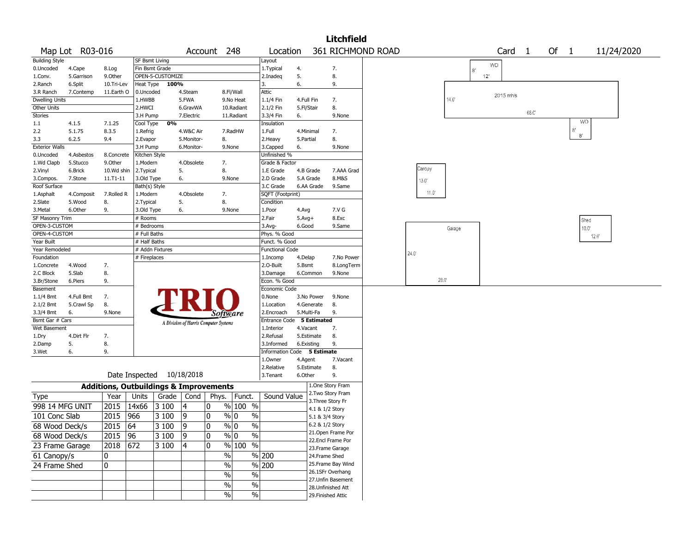|                                 |                 |                                                   |                |                  |                                       |             |                      |                             |            |             | <b>Litchfield</b>  |                   |                |                |    |                   |       |      |                 |            |
|---------------------------------|-----------------|---------------------------------------------------|----------------|------------------|---------------------------------------|-------------|----------------------|-----------------------------|------------|-------------|--------------------|-------------------|----------------|----------------|----|-------------------|-------|------|-----------------|------------|
|                                 | Map Lot R03-016 |                                                   |                |                  |                                       | Account 248 |                      | Location                    |            |             |                    | 361 RICHMOND ROAD |                |                |    | Card <sub>1</sub> |       | Of 1 |                 | 11/24/2020 |
| <b>Building Style</b>           |                 |                                                   |                | SF Bsmt Living   |                                       |             |                      | Layout                      |            |             |                    |                   |                |                |    |                   |       |      |                 |            |
| 0.Uncoded                       | 4.Cape          | 8.Log                                             |                | Fin Bsmt Grade   |                                       |             |                      | 1. Typical                  | 4.         |             | 7.                 |                   |                |                | 8' | <b>WD</b>         |       |      |                 |            |
| 1.Conv.                         | 5.Garrison      | 9.Other                                           |                | OPEN-5-CUSTOMIZE |                                       |             |                      | 2.Inadeg                    | 5.         |             | 8.                 |                   |                |                |    | 12'               |       |      |                 |            |
| 2.Ranch                         | 6.Split         | 10.Tri-Lev                                        | Heat Type      | 100%             |                                       |             |                      | 3.                          | 6.         |             | 9.                 |                   |                |                |    |                   |       |      |                 |            |
| 3.R Ranch                       | 7.Contemp       | 11.Earth O                                        | 0.Uncoded      |                  | 4.Steam                               |             | 8.Fl/Wall            | Attic                       |            |             |                    |                   |                |                |    | 2015 mh/s         |       |      |                 |            |
| <b>Dwelling Units</b>           |                 |                                                   | 1.HWBB         |                  | 5.FWA                                 |             | 9.No Heat            | 1.1/4 Fin                   | 4.Full Fin |             | 7.                 |                   |                | 14.0           |    |                   |       |      |                 |            |
| Other Units                     |                 |                                                   | 2.HWCI         |                  | 6.GravWA                              |             | 10.Radiant           | 2.1/2 Fin                   | 5.Fl/Stair |             | 8.                 |                   |                |                |    |                   | 66.C' |      |                 |            |
| <b>Stories</b>                  |                 |                                                   | 3.H Pump       |                  | 7.Electric                            |             | 11.Radiant           | 3.3/4 Fin                   | 6.         |             | 9.None             |                   |                |                |    |                   |       |      |                 |            |
| 1.1                             | 4.1.5           | 7.1.25                                            | Cool Type      | 0%               |                                       |             |                      | Insulation                  |            |             |                    |                   |                |                |    |                   |       |      | <b>WD</b>       |            |
| 2.2                             | 5.1.75          | 8.3.5                                             | 1.Refrig       |                  | 4.W&C Air                             |             | 7.RadHW              | 1.Full                      | 4.Minimal  |             | 7.                 |                   |                |                |    |                   |       |      | 8'<br>$8^\circ$ |            |
| 3.3                             | 6.2.5           | 9.4                                               | 2.Evapor       |                  | 5.Monitor-                            |             | 8.                   | 2. Heavy                    | 5.Partial  |             | 8.                 |                   |                |                |    |                   |       |      |                 |            |
| <b>Exterior Walls</b>           |                 |                                                   | 3.H Pump       |                  | 6.Monitor-                            |             | 9.None               | 3.Capped                    | 6.         |             | 9.None             |                   |                |                |    |                   |       |      |                 |            |
| 0.Uncoded                       | 4.Asbestos      | 8.Concrete                                        | Kitchen Style  |                  |                                       |             |                      | Unfinished %                |            |             |                    |                   |                |                |    |                   |       |      |                 |            |
| 1.Wd Clapb                      | 5.Stucco        | 9.0ther                                           | 1.Modern       |                  | 4.Obsolete                            |             | 7.                   | Grade & Factor              |            |             |                    |                   |                |                |    |                   |       |      |                 |            |
| 2.Vinyl                         | 6.Brick         | 10.Wd shin                                        | 2. Typical     |                  | 5.                                    |             | 8.                   | 1.E Grade                   |            | 4.B Grade   | 7.AAA Grad         |                   | Canopy         |                |    |                   |       |      |                 |            |
| 3.Compos.                       | 7.Stone         | 11.T1-11                                          | 3.Old Type     |                  | 6.                                    |             | 9.None               | 2.D Grade                   |            | 5.A Grade   | 8.M&S              |                   | $13.0^{\circ}$ |                |    |                   |       |      |                 |            |
| Roof Surface                    |                 |                                                   | Bath(s) Style  |                  |                                       |             |                      | 3.C Grade                   |            | 6.AA Grade  | 9.Same             |                   |                |                |    |                   |       |      |                 |            |
| 1.Asphalt                       | 4.Composit      | 7.Rolled R                                        | 1.Modern       |                  | 4.Obsolete                            |             | 7.                   | SQFT (Footprint)            |            |             |                    |                   | $11.0^{\circ}$ |                |    |                   |       |      |                 |            |
| 2.Slate                         | 5.Wood          | 8.                                                | 2. Typical     |                  | 5.                                    |             | 8.                   | Condition                   |            |             |                    |                   |                |                |    |                   |       |      |                 |            |
| 3.Metal                         | 6.Other         | 9.                                                | 3.Old Type     |                  | 6.                                    |             | 9.None               | 1.Poor                      | 4.Avg      |             | 7.V G              |                   |                |                |    |                   |       |      |                 |            |
| <b>SF Masonry Trim</b>          |                 |                                                   | # Rooms        |                  |                                       |             |                      | 2.Fair                      | $5.Avg+$   |             | 8.Exc              |                   |                |                |    |                   |       |      | Shed            |            |
| OPEN-3-CUSTOM                   |                 |                                                   | # Bedrooms     |                  |                                       |             |                      | 3.Avg-                      | 6.Good     |             | 9.Same             |                   |                | Garage         |    |                   |       |      | 10.0"           |            |
| OPEN-4-CUSTOM                   |                 |                                                   | # Full Baths   |                  |                                       |             |                      | Phys. % Good                |            |             |                    |                   |                |                |    |                   |       |      |                 | 12.0"      |
| Year Built                      |                 |                                                   | # Half Baths   |                  |                                       |             |                      | Funct. % Good               |            |             |                    |                   |                |                |    |                   |       |      |                 |            |
| Year Remodeled                  |                 |                                                   |                | # Addn Fixtures  |                                       |             |                      | <b>Functional Code</b>      |            |             |                    |                   | 24.0           |                |    |                   |       |      |                 |            |
| Foundation                      |                 |                                                   | # Fireplaces   |                  |                                       |             |                      | 1.Incomp                    | 4.Delap    |             | 7.No Power         |                   |                |                |    |                   |       |      |                 |            |
| 1.Concrete                      | 4.Wood          | 7.                                                |                |                  |                                       |             |                      | 2.0-Built                   | 5.Bsmt     |             | 8.LongTerm         |                   |                |                |    |                   |       |      |                 |            |
| 2.C Block                       | 5.Slab          | 8.                                                |                |                  |                                       |             |                      | 3.Damage                    |            | 6.Common    | 9.None             |                   |                | $28.0^{\circ}$ |    |                   |       |      |                 |            |
| 3.Br/Stone                      | 6.Piers         | 9.                                                |                |                  |                                       |             |                      | Econ. % Good                |            |             |                    |                   |                |                |    |                   |       |      |                 |            |
| Basement                        |                 |                                                   |                |                  |                                       |             |                      | Economic Code               |            |             |                    |                   |                |                |    |                   |       |      |                 |            |
| 1.1/4 Bmt                       | 4.Full Bmt      | 7.                                                |                |                  |                                       |             |                      | 0.None                      |            | 3.No Power  | 9.None             |                   |                |                |    |                   |       |      |                 |            |
| 2.1/2 Bmt                       | 5.Crawl Sp      | 8.                                                |                |                  |                                       |             |                      | 1.Location                  |            | 4.Generate  | 8.                 |                   |                |                |    |                   |       |      |                 |            |
| 3.3/4 Bmt                       | 6.              | 9.None                                            |                |                  |                                       |             | Software             | 2.Encroach                  |            | 5.Multi-Fa  | 9.                 |                   |                |                |    |                   |       |      |                 |            |
| Bsmt Gar # Cars<br>Wet Basement |                 |                                                   |                |                  | A Division of Harris Computer Systems |             |                      | Entrance Code               |            | 5 Estimated | 7.                 |                   |                |                |    |                   |       |      |                 |            |
|                                 | 4.Dirt Flr      | 7.                                                |                |                  |                                       |             |                      | 1.Interior<br>2.Refusal     | 4.Vacant   | 5.Estimate  | 8.                 |                   |                |                |    |                   |       |      |                 |            |
| 1.Dry                           | 5.              | 8.                                                |                |                  |                                       |             |                      | 3.Informed                  |            |             | 9.                 |                   |                |                |    |                   |       |      |                 |            |
| 2.Damp<br>3.Wet                 | 6.              | 9.                                                |                |                  |                                       |             |                      | Information Code 5 Estimate | 6.Existing |             |                    |                   |                |                |    |                   |       |      |                 |            |
|                                 |                 |                                                   |                |                  |                                       |             |                      | 1.0wner                     | 4.Agent    |             | 7.Vacant           |                   |                |                |    |                   |       |      |                 |            |
|                                 |                 |                                                   |                |                  |                                       |             |                      | 2.Relative                  |            | 5.Estimate  | 8.                 |                   |                |                |    |                   |       |      |                 |            |
|                                 |                 |                                                   | Date Inspected |                  | 10/18/2018                            |             |                      | 3.Tenant                    | 6.Other    |             | 9.                 |                   |                |                |    |                   |       |      |                 |            |
|                                 |                 |                                                   |                |                  |                                       |             |                      |                             |            |             | 1.One Story Fram   |                   |                |                |    |                   |       |      |                 |            |
|                                 |                 | <b>Additions, Outbuildings &amp; Improvements</b> |                |                  |                                       |             |                      | Sound Value                 |            |             | 2. Two Story Fram  |                   |                |                |    |                   |       |      |                 |            |
| Type                            |                 | Year                                              | Units          | Grade            | Cond                                  | Phys.       | Funct.               |                             |            |             | 3. Three Story Fr  |                   |                |                |    |                   |       |      |                 |            |
| 998 14 MFG UNIT                 |                 | 2015                                              | 14x66          | 3 100            | 14                                    | 0           | % 100 %              |                             |            |             | 4.1 & 1/2 Story    |                   |                |                |    |                   |       |      |                 |            |
| 101 Conc Slab                   |                 | 2015                                              | 966            | 3 100            | 9                                     | 0           | % 0<br>$\%$          |                             |            |             | 5.1 & 3/4 Story    |                   |                |                |    |                   |       |      |                 |            |
| 68 Wood Deck/s                  |                 | 2015                                              | 64             | 3 100            | ١q                                    | 0           | % 0<br>$\frac{0}{0}$ |                             |            |             | 6.2 & 1/2 Story    |                   |                |                |    |                   |       |      |                 |            |
| 68 Wood Deck/s                  |                 | 2015 96                                           |                | 3100             | $ 9\rangle$                           | 0           | % 0<br>%             |                             |            |             | 21. Open Frame Por |                   |                |                |    |                   |       |      |                 |            |
|                                 |                 |                                                   |                |                  |                                       |             |                      |                             |            |             | 22.Encl Frame Por  |                   |                |                |    |                   |       |      |                 |            |
| 23 Frame Garage                 |                 | 2018 672                                          |                | $ 3100\rangle$   | 14                                    | 10          | % 100 %              |                             |            |             | 23.Frame Garage    |                   |                |                |    |                   |       |      |                 |            |
| 61 Canopy/s                     |                 | 0                                                 |                |                  |                                       |             | $\sqrt{6}$           | % 200                       |            |             | 24.Frame Shed      |                   |                |                |    |                   |       |      |                 |            |
| 24 Frame Shed                   |                 | 0                                                 |                |                  |                                       |             | $\sqrt{6}$           | $\frac{9}{6}$ 200           |            |             | 25. Frame Bay Wind |                   |                |                |    |                   |       |      |                 |            |
|                                 |                 |                                                   |                |                  |                                       |             | $\%$<br>%            |                             |            |             | 26.1SFr Overhang   |                   |                |                |    |                   |       |      |                 |            |
|                                 |                 |                                                   |                |                  |                                       |             | %                    |                             |            |             | 27. Unfin Basement |                   |                |                |    |                   |       |      |                 |            |
|                                 |                 |                                                   |                |                  |                                       |             | $\%$                 |                             |            |             | 28. Unfinished Att |                   |                |                |    |                   |       |      |                 |            |
|                                 |                 |                                                   |                |                  |                                       |             | %<br>%               |                             |            |             | 29. Finished Attic |                   |                |                |    |                   |       |      |                 |            |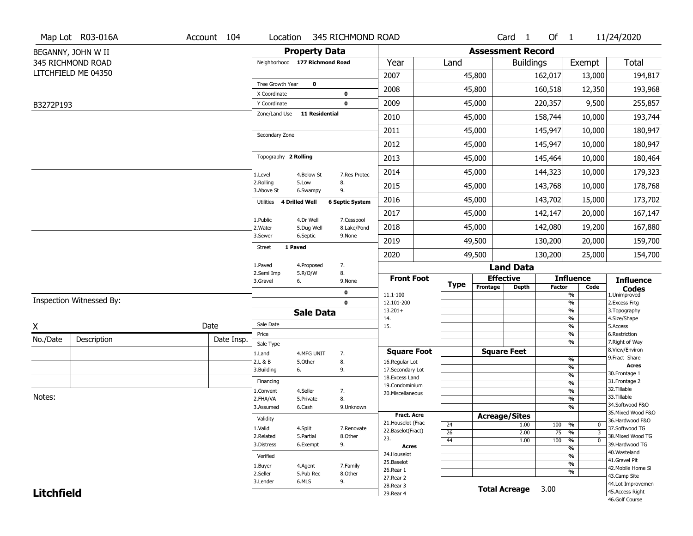|                   | Map Lot R03-016A         | Account 104 | Location                           |                       | 345 RICHMOND ROAD      |                                    |                 |                          | Card <sub>1</sub>    | Of $1$        |                                          | 11/24/2020                           |
|-------------------|--------------------------|-------------|------------------------------------|-----------------------|------------------------|------------------------------------|-----------------|--------------------------|----------------------|---------------|------------------------------------------|--------------------------------------|
|                   | BEGANNY, JOHN W II       |             |                                    | <b>Property Data</b>  |                        |                                    |                 | <b>Assessment Record</b> |                      |               |                                          |                                      |
|                   | 345 RICHMOND ROAD        |             | Neighborhood 177 Richmond Road     |                       |                        | Year                               | Land            |                          | <b>Buildings</b>     |               | Exempt                                   | <b>Total</b>                         |
|                   | LITCHFIELD ME 04350      |             |                                    |                       |                        | 2007                               |                 | 45,800                   |                      | 162,017       | 13,000                                   | 194,817                              |
|                   |                          |             | Tree Growth Year                   | $\mathbf 0$           |                        | 2008                               |                 | 45,800                   |                      | 160,518       | 12,350                                   | 193,968                              |
|                   |                          |             | X Coordinate                       |                       | 0                      | 2009                               |                 | 45,000                   |                      | 220,357       |                                          |                                      |
| B3272P193         |                          |             | Y Coordinate<br>Zone/Land Use      | <b>11 Residential</b> | 0                      |                                    |                 |                          |                      |               | 9,500                                    | 255,857                              |
|                   |                          |             |                                    |                       |                        | 2010                               |                 | 45,000                   |                      | 158,744       | 10,000                                   | 193,744                              |
|                   |                          |             | Secondary Zone                     |                       |                        | 2011                               |                 | 45,000                   |                      | 145,947       | 10,000                                   | 180,947                              |
|                   |                          |             |                                    |                       |                        | 2012                               |                 | 45,000                   |                      | 145,947       | 10,000                                   | 180,947                              |
|                   |                          |             | Topography 2 Rolling               |                       |                        | 2013                               |                 | 45,000                   |                      | 145,464       | 10,000                                   | 180,464                              |
|                   |                          |             | 1.Level                            | 4.Below St            | 7.Res Protec           | 2014                               |                 | 45,000                   |                      | 144,323       | 10,000                                   | 179,323                              |
|                   |                          |             | 2.Rolling<br>3.Above St            | 5.Low<br>6.Swampy     | 8.<br>9.               | 2015                               |                 | 45,000                   |                      | 143,768       | 10,000                                   | 178,768                              |
|                   |                          |             | <b>4 Drilled Well</b><br>Utilities |                       | <b>6 Septic System</b> | 2016                               |                 | 45,000                   |                      | 143,702       | 15,000                                   | 173,702                              |
|                   |                          |             | 1.Public                           | 4.Dr Well             | 7.Cesspool             | 2017                               |                 | 45,000                   |                      | 142,147       | 20,000                                   | 167,147                              |
|                   |                          |             | 2. Water                           | 5.Dug Well            | 8.Lake/Pond            | 2018                               |                 | 45,000                   |                      | 142,080       | 19,200                                   | 167,880                              |
|                   |                          |             | 3.Sewer<br>1 Paved                 | 6.Septic              | 9.None                 | 2019                               |                 | 49,500                   |                      | 130,200       | 20,000                                   | 159,700                              |
|                   |                          |             | <b>Street</b>                      |                       |                        | 2020                               |                 | 49,500                   |                      | 130,200       | 25,000                                   | 154,700                              |
|                   |                          |             | 1.Paved                            | 4.Proposed            | 7.                     |                                    |                 |                          | <b>Land Data</b>     |               |                                          |                                      |
|                   |                          |             | 2.Semi Imp<br>3.Gravel<br>6.       | 5.R/O/W               | 8.<br>9.None           | <b>Front Foot</b>                  | <b>Type</b>     |                          | <b>Effective</b>     |               | <b>Influence</b>                         | <b>Influence</b>                     |
|                   |                          |             |                                    |                       | 0                      | 11.1-100                           |                 | Frontage                 | <b>Depth</b>         | <b>Factor</b> | Code<br>%                                | <b>Codes</b><br>1.Unimproved         |
|                   | Inspection Witnessed By: |             |                                    |                       | $\mathbf 0$            | 12.101-200                         |                 |                          |                      |               | $\frac{9}{6}$                            | 2. Excess Frtg                       |
|                   |                          |             |                                    | <b>Sale Data</b>      |                        | $13.201+$<br>14.                   |                 |                          |                      |               | %<br>%                                   | 3. Topography<br>4.Size/Shape        |
| X                 |                          | Date        | Sale Date                          |                       |                        | 15.                                |                 |                          |                      |               | $\frac{9}{6}$                            | 5.Access                             |
| No./Date          | Description              | Date Insp.  | Price<br>Sale Type                 |                       |                        |                                    |                 |                          |                      |               | %<br>%                                   | 6.Restriction<br>7. Right of Way     |
|                   |                          |             | 1.Land                             | 4.MFG UNIT            | 7.                     | <b>Square Foot</b>                 |                 |                          | <b>Square Feet</b>   |               |                                          | 8.View/Environ                       |
|                   |                          |             | 2.L & B                            | 5.Other               | 8.                     | 16.Regular Lot                     |                 |                          |                      |               | $\frac{9}{6}$<br>$\frac{9}{6}$           | 9. Fract Share<br><b>Acres</b>       |
|                   |                          |             | 3.Building<br>6.                   |                       | 9.                     | 17.Secondary Lot<br>18.Excess Land |                 |                          |                      |               | $\frac{9}{6}$                            | 30.Frontage 1                        |
|                   |                          |             | Financing                          |                       |                        | 19.Condominium                     |                 |                          |                      |               | $\frac{9}{6}$                            | 31. Frontage 2<br>32.Tillable        |
| Notes:            |                          |             | 1.Convent<br>2.FHA/VA              | 4.Seller<br>5.Private | 7.<br>8.               | 20.Miscellaneous                   |                 |                          |                      |               | $\frac{9}{6}$<br>$\frac{9}{6}$           | 33.Tillable                          |
|                   |                          |             | 3.Assumed                          | 6.Cash                | 9.Unknown              |                                    |                 |                          |                      |               | %                                        | 34.Softwood F&O                      |
|                   |                          |             |                                    |                       |                        | <b>Fract. Acre</b>                 |                 |                          | <b>Acreage/Sites</b> |               |                                          | 35. Mixed Wood F&O                   |
|                   |                          |             | Validity                           |                       |                        | 21. Houselot (Frac                 | 24              |                          | 1.00                 | 100           | %<br>0                                   | 36.Hardwood F&O                      |
|                   |                          |             | 1.Valid<br>2.Related               | 4.Split<br>5.Partial  | 7.Renovate<br>8.Other  | 22.Baselot(Fract)                  | $\overline{26}$ |                          | 2.00                 | 75            | $\overline{\mathbf{3}}$<br>$\frac{9}{6}$ | 37.Softwood TG<br>38. Mixed Wood TG  |
|                   |                          |             | 3.Distress                         | 6.Exempt              | 9.                     | 23.<br><b>Acres</b>                | 44              |                          | 1.00                 | 100           | $\frac{9}{6}$<br>$\mathbf 0$             | 39.Hardwood TG                       |
|                   |                          |             | Verified                           |                       |                        | 24. Houselot                       |                 |                          |                      |               | $\frac{9}{6}$<br>$\frac{9}{6}$           | 40. Wasteland                        |
|                   |                          |             |                                    |                       |                        | 25.Baselot                         |                 |                          |                      |               | $\frac{9}{6}$                            | 41.Gravel Pit                        |
|                   |                          |             | 1.Buyer<br>2.Seller                | 4.Agent<br>5.Pub Rec  | 7.Family<br>8.Other    | 26.Rear 1                          |                 |                          |                      |               | %                                        | 42. Mobile Home Si                   |
|                   |                          |             | 3.Lender                           | 6.MLS                 | 9.                     | 27.Rear 2                          |                 |                          |                      |               |                                          | 43.Camp Site                         |
|                   |                          |             |                                    |                       |                        |                                    |                 |                          |                      |               |                                          |                                      |
| <b>Litchfield</b> |                          |             |                                    |                       |                        | 28. Rear 3<br>29. Rear 4           |                 |                          | <b>Total Acreage</b> | 3.00          |                                          | 44.Lot Improvemen<br>45.Access Right |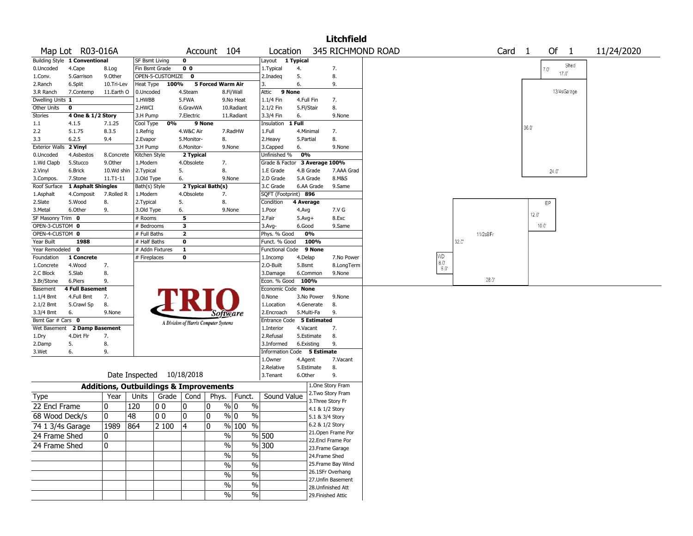|                       |                               |              |                                                   |                  |                                       |              |                                |                               |            |                                    | <b>Litchfield</b>  |                   |                              |                |          |                |                |             |            |
|-----------------------|-------------------------------|--------------|---------------------------------------------------|------------------|---------------------------------------|--------------|--------------------------------|-------------------------------|------------|------------------------------------|--------------------|-------------------|------------------------------|----------------|----------|----------------|----------------|-------------|------------|
|                       | Map Lot R03-016A              |              |                                                   |                  | Account 104                           |              |                                | Location                      |            |                                    |                    | 345 RICHMOND ROAD |                              |                | Card     | $\overline{1}$ | Of 1           |             | 11/24/2020 |
|                       | Building Style 1 Conventional |              | <b>SF Bsmt Living</b>                             |                  | $\mathbf 0$                           |              |                                | Layout 1 Typical              |            |                                    |                    |                   |                              |                |          |                |                |             |            |
| 0.Uncoded             | 4.Cape                        | 8.Log        | Fin Bsmt Grade                                    |                  | 0 <sub>0</sub>                        |              |                                | 1. Typical                    | 4.         |                                    | 7.                 |                   |                              |                |          |                | $7.0^\circ$    | Shed        |            |
| 1.Conv.               | 5.Garrison                    | 9.0ther      |                                                   | OPEN-5-CUSTOMIZE | $\mathbf 0$                           |              |                                | 2.Inadeg                      | 5.         |                                    | 8.                 |                   |                              |                |          |                | 17.0'          |             |            |
| 2.Ranch               | 6.Split                       | 10.Tri-Lev   | Heat Type                                         | $100\%$          |                                       |              | 5 Forced Warm Air              | 3.                            | 6.         |                                    | 9.                 |                   |                              |                |          |                |                |             |            |
| 3.R Ranch             | 7.Contemp                     | 11.Earth O   | 0.Uncoded                                         |                  | 4.Steam                               |              | 8.Fl/Wall                      | 9 None<br>Attic               |            |                                    |                    |                   |                              |                |          |                |                | 13/4sGarage |            |
| Dwelling Units 1      |                               |              | 1.HWBB                                            |                  | 5.FWA                                 |              | 9.No Heat                      | 1.1/4 Fin                     | 4.Full Fin |                                    | 7.                 |                   |                              |                |          |                |                |             |            |
| Other Units           | 0                             |              | 2.HWCI                                            |                  | 6.GravWA                              |              | 10.Radiant                     | 2.1/2 Fin                     | 5.Fl/Stair |                                    | 8.                 |                   |                              |                |          |                |                |             |            |
| <b>Stories</b>        | 4 One & 1/2 Story             |              | 3.H Pump                                          |                  | 7.Electric                            |              | 11.Radiant                     | 3.3/4 Fin                     | 6.         |                                    | 9.None             |                   |                              |                |          |                |                |             |            |
| 1.1                   | 4.1.5                         | 7.1.25       | Cool Type                                         | 0%               | 9 None                                |              |                                | Insulation                    | 1 Full     |                                    |                    |                   |                              |                |          | 36.0'          |                |             |            |
| 2.2                   | 5.1.75                        | 8.3.5        | 1.Refrig                                          |                  | 4.W&C Air                             |              | 7.RadHW                        | 1.Full                        |            | 4.Minimal                          | 7.                 |                   |                              |                |          |                |                |             |            |
| 3.3                   | 6.2.5                         | 9.4          | 2.Evapor                                          |                  | 5.Monitor-                            |              | 8.                             | 2. Heavy                      | 5.Partial  |                                    | 8.                 |                   |                              |                |          |                |                |             |            |
| <b>Exterior Walls</b> | 2 Vinyl                       |              | 3.H Pump                                          |                  | 6.Monitor-                            |              | 9.None                         | 3.Capped                      | 6.         |                                    | 9.None             |                   |                              |                |          |                |                |             |            |
| 0.Uncoded             | 4.Asbestos                    | 8.Concrete   | Kitchen Style                                     |                  | 2 Typical                             |              |                                | Unfinished %                  | 0%         |                                    |                    |                   |                              |                |          |                |                |             |            |
| 1.Wd Clapb            | 5.Stucco                      | 9.Other      | 1.Modern                                          |                  | 4.Obsolete                            |              | 7.                             | Grade & Factor 3 Average 100% |            |                                    |                    |                   |                              |                |          |                |                |             |            |
| 2.Vinyl               | 6.Brick                       | 10.Wd shin   | 2.Typical                                         |                  | 5.                                    |              | 8.                             | 1.E Grade                     |            | 4.B Grade                          | 7.AAA Grad         |                   |                              |                |          |                | 24.0"          |             |            |
| 3.Compos.             | 7.Stone                       | $11.71 - 11$ | 3.Old Type                                        |                  | 6.                                    |              | 9.None                         | 2.D Grade                     |            | 5.A Grade                          | 8.M&S              |                   |                              |                |          |                |                |             |            |
| Roof Surface          | 1 Asphalt Shingles            |              | Bath(s) Style                                     |                  | 2 Typical Bath(s)                     |              |                                | 3.C Grade                     |            | 6.AA Grade                         | 9.Same             |                   |                              |                |          |                |                |             |            |
| 1.Asphalt             | 4.Composit                    | 7.Rolled R   | 1.Modern                                          |                  | 4.Obsolete                            |              | 7.                             | SQFT (Footprint) 896          |            |                                    |                    |                   |                              |                |          |                |                |             |            |
| 2.Slate               | 5.Wood                        | 8.           | 2.Typical                                         |                  | 5.                                    |              | 8.                             | Condition                     | 4 Average  |                                    |                    |                   |                              |                |          |                | EP             |             |            |
| 3.Metal               | 6.Other                       | 9.           | 3.Old Type                                        |                  | 6.                                    |              | 9.None                         | 1.Poor                        | 4.Avg      |                                    | 7.V G              |                   |                              |                |          |                |                |             |            |
| SF Masonry Trim 0     |                               |              | # Rooms                                           |                  | 5                                     |              |                                | 2.Fair                        | $5.Avg+$   |                                    | 8.Exc              |                   |                              |                |          | $12.0^{\circ}$ |                |             |            |
| OPEN-3-CUSTOM 0       |                               |              | # Bedrooms                                        |                  | 3                                     |              |                                | $3.$ Avg-                     | 6.Good     |                                    | 9.Same             |                   |                              |                |          |                | $10.0^{\circ}$ |             |            |
| OPEN-4-CUSTOM 0       |                               |              | # Full Baths                                      |                  | $\mathbf{2}$                          |              |                                | Phys. % Good                  |            | 0%                                 |                    |                   |                              |                | 11/2sBFr |                |                |             |            |
| Year Built            | 1988                          |              | # Half Baths                                      |                  | 0                                     |              |                                | Funct. % Good                 |            | 100%                               |                    |                   |                              | $32.0^{\circ}$ |          |                |                |             |            |
| Year Remodeled 0      |                               |              |                                                   | # Addn Fixtures  | $\mathbf{1}$                          |              |                                | Functional Code               |            | 9 None                             |                    |                   |                              |                |          |                |                |             |            |
| Foundation            | 1 Concrete                    |              | # Fireplaces                                      |                  | 0                                     |              |                                | 1.Incomp                      | 4.Delap    |                                    | 7.No Power         |                   | WD                           |                |          |                |                |             |            |
| 1.Concrete            | 4.Wood                        | 7.           |                                                   |                  |                                       |              |                                | 2.0-Built                     | 5.Bsmt     |                                    | 8.LongTerm         |                   | $8.0^\circ$<br>$6.0^{\circ}$ |                |          |                |                |             |            |
| 2.C Block             | 5.Slab                        | 8.           |                                                   |                  |                                       |              |                                | 3.Damage                      |            | 6.Common                           | 9.None             |                   |                              |                |          |                |                |             |            |
| 3.Br/Stone            | 6.Piers                       | 9.           |                                                   |                  |                                       |              |                                | Econ. % Good                  | 100%       |                                    |                    |                   |                              |                | 28.0     |                |                |             |            |
| Basement              | <b>4 Full Basement</b>        |              |                                                   |                  |                                       |              |                                | Economic Code None            |            |                                    |                    |                   |                              |                |          |                |                |             |            |
| $1.1/4$ Bmt           | 4.Full Bmt                    | 7.           |                                                   |                  |                                       |              |                                | 0.None                        |            | 3.No Power                         | 9.None             |                   |                              |                |          |                |                |             |            |
| 2.1/2 Bmt             | 5.Crawl Sp                    | 8.           |                                                   |                  |                                       |              |                                | 1.Location                    |            | 4.Generate                         | 8.                 |                   |                              |                |          |                |                |             |            |
| 3.3/4 Bmt             | 6.                            | 9.None       |                                                   |                  |                                       |              | Software                       | 2.Encroach                    |            | 5.Multi-Fa                         | 9.                 |                   |                              |                |          |                |                |             |            |
| Bsmt Gar # Cars 0     |                               |              |                                                   |                  | A Division of Harris Computer Systems |              |                                | Entrance Code 5 Estimated     |            |                                    |                    |                   |                              |                |          |                |                |             |            |
| Wet Basement          | 2 Damp Basement               |              |                                                   |                  |                                       |              |                                | 1.Interior                    | 4.Vacant   |                                    | 7.                 |                   |                              |                |          |                |                |             |            |
| 1.Dry                 | 4.Dirt Flr                    | 7.           |                                                   |                  |                                       |              |                                | 2.Refusal                     |            | 5.Estimate                         | 8.                 |                   |                              |                |          |                |                |             |            |
| 2.Damp                | 5.                            | 8.           |                                                   |                  |                                       |              |                                | 3.Informed                    |            | 6.Existing                         | 9.                 |                   |                              |                |          |                |                |             |            |
| 3.Wet                 | 6.                            | 9.           |                                                   |                  |                                       |              |                                | Information Code 5 Estimate   |            |                                    |                    |                   |                              |                |          |                |                |             |            |
|                       |                               |              |                                                   |                  |                                       |              |                                | 1.0wner                       | 4.Agent    |                                    | 7.Vacant           |                   |                              |                |          |                |                |             |            |
|                       |                               |              |                                                   |                  |                                       |              |                                | 2.Relative                    |            | 5.Estimate                         | 8.                 |                   |                              |                |          |                |                |             |            |
|                       |                               |              | Date Inspected 10/18/2018                         |                  |                                       |              |                                | 3. Tenant                     | 6.Other    |                                    | 9.                 |                   |                              |                |          |                |                |             |            |
|                       |                               |              | <b>Additions, Outbuildings &amp; Improvements</b> |                  |                                       |              |                                |                               |            |                                    | 1.One Story Fram   |                   |                              |                |          |                |                |             |            |
| Type                  |                               | Year         | Units                                             |                  | Grade   Cond                          | Phys.        | Funct.                         | Sound Value                   |            |                                    | 2. Two Story Fram  |                   |                              |                |          |                |                |             |            |
| 22 Encl Frame         |                               | 10           | 120                                               | 00               | 0                                     | 10           | $\frac{9}{0}$ 0<br>$\%$        |                               |            |                                    | 3. Three Story Fr  |                   |                              |                |          |                |                |             |            |
| 68 Wood Deck/s        |                               | 0            | 48                                                | 0 <sub>0</sub>   | 0                                     | 0            | % 0<br>$\%$                    |                               |            |                                    | 4.1 & 1/2 Story    |                   |                              |                |          |                |                |             |            |
|                       |                               |              |                                                   |                  | 14                                    | $\mathbf{0}$ | $\%$<br>% 100                  |                               |            | 5.1 & 3/4 Story<br>6.2 & 1/2 Story |                    |                   |                              |                |          |                |                |             |            |
| 74 1 3/4s Garage      |                               | 1989         | 864                                               | 2 100            |                                       |              |                                |                               |            |                                    | 21. Open Frame Por |                   |                              |                |          |                |                |             |            |
| 24 Frame Shed         |                               | 10           |                                                   |                  |                                       |              | $\%$                           | $\sqrt{8}$ 500                |            |                                    | 22.Encl Frame Por  |                   |                              |                |          |                |                |             |            |
| 24 Frame Shed         |                               | 0            |                                                   |                  |                                       |              | $\frac{1}{2}$                  | %300                          |            |                                    | 23. Frame Garage   |                   |                              |                |          |                |                |             |            |
|                       |                               |              |                                                   |                  |                                       |              | $\frac{1}{2}$<br>$\frac{1}{2}$ |                               |            |                                    | 24.Frame Shed      |                   |                              |                |          |                |                |             |            |
|                       |                               |              |                                                   |                  |                                       |              |                                |                               |            |                                    | 25. Frame Bay Wind |                   |                              |                |          |                |                |             |            |
|                       |                               |              |                                                   |                  |                                       |              | $\frac{1}{2}$<br>$\frac{1}{2}$ |                               |            |                                    | 26.1SFr Overhang   |                   |                              |                |          |                |                |             |            |
|                       |                               |              |                                                   |                  |                                       |              | $\frac{1}{2}$<br>$\%$          |                               |            |                                    | 27.Unfin Basement  |                   |                              |                |          |                |                |             |            |
|                       |                               |              |                                                   |                  |                                       |              | $\%$<br>$\%$                   |                               |            |                                    | 28. Unfinished Att |                   |                              |                |          |                |                |             |            |
|                       |                               |              |                                                   |                  |                                       |              | $\%$<br>$\%$                   |                               |            |                                    | 29. Finished Attic |                   |                              |                |          |                |                |             |            |
|                       |                               |              |                                                   |                  |                                       |              |                                |                               |            |                                    |                    |                   |                              |                |          |                |                |             |            |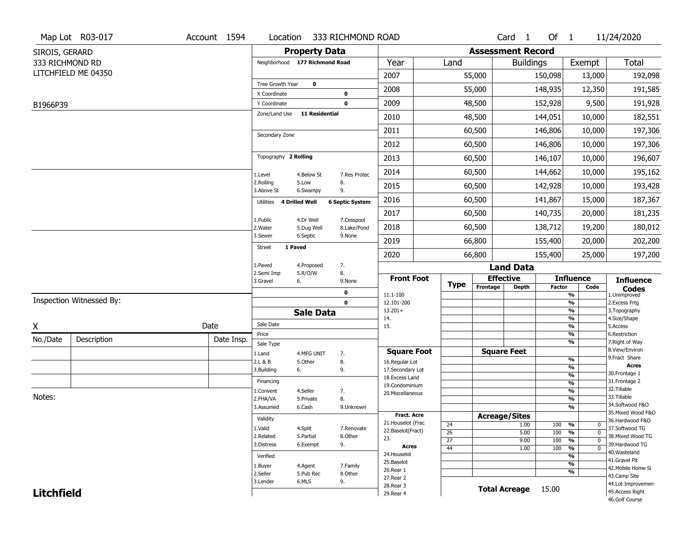|                   | Map Lot R03-017          | Account 1594 | Location                       |                       | 333 RICHMOND ROAD      |                                  |                 |                          | Card <sub>1</sub>    | Of $1$        |                                | 11/24/2020                           |
|-------------------|--------------------------|--------------|--------------------------------|-----------------------|------------------------|----------------------------------|-----------------|--------------------------|----------------------|---------------|--------------------------------|--------------------------------------|
| SIROIS, GERARD    |                          |              |                                | <b>Property Data</b>  |                        |                                  |                 | <b>Assessment Record</b> |                      |               |                                |                                      |
| 333 RICHMOND RD   |                          |              | Neighborhood 177 Richmond Road |                       |                        | Year                             | Land            |                          | <b>Buildings</b>     |               | Exempt                         | <b>Total</b>                         |
|                   | LITCHFIELD ME 04350      |              |                                |                       |                        | 2007                             |                 | 55,000                   |                      | 150,098       | 13,000                         | 192,098                              |
|                   |                          |              | Tree Growth Year               | $\mathbf 0$           |                        | 2008                             |                 | 55,000                   |                      | 148,935       | 12,350                         | 191,585                              |
|                   |                          |              | X Coordinate                   |                       | $\mathbf 0$            |                                  |                 |                          |                      |               |                                |                                      |
| B1966P39          |                          |              | Y Coordinate<br>Zone/Land Use  | <b>11 Residential</b> | $\mathbf 0$            | 2009                             |                 | 48,500                   |                      | 152,928       | 9,500                          | 191,928                              |
|                   |                          |              |                                |                       |                        | 2010                             |                 | 48,500                   |                      | 144,051       | 10,000                         | 182,551                              |
|                   |                          |              | Secondary Zone                 |                       |                        | 2011                             |                 | 60,500                   |                      | 146,806       | 10,000                         | 197,306                              |
|                   |                          |              |                                |                       |                        | 2012                             |                 | 60,500                   |                      | 146,806       | 10,000                         | 197,306                              |
|                   |                          |              | Topography 2 Rolling           |                       |                        | 2013                             |                 | 60,500                   |                      | 146,107       | 10,000                         | 196,607                              |
|                   |                          |              | 1.Level                        | 4.Below St            | 7.Res Protec           | 2014                             |                 | 60,500                   |                      | 144,662       | 10,000                         | 195,162                              |
|                   |                          |              | 2.Rolling<br>3.Above St        | 5.Low<br>6.Swampy     | 8.<br>9.               | 2015                             |                 | 60,500                   |                      | 142,928       | 10,000                         | 193,428                              |
|                   |                          |              | Utilities 4 Drilled Well       |                       | <b>6 Septic System</b> | 2016                             |                 | 60,500                   |                      | 141,867       | 15,000                         | 187,367                              |
|                   |                          |              | 1.Public                       | 4.Dr Well             | 7.Cesspool             | 2017                             |                 | 60,500                   |                      | 140,735       | 20,000                         | 181,235                              |
|                   |                          |              | 2. Water                       | 5.Dug Well            | 8.Lake/Pond            | 2018                             |                 | 60,500                   |                      | 138,712       | 19,200                         | 180,012                              |
|                   |                          |              | 3.Sewer                        | 6.Septic              | 9.None                 | 2019                             |                 | 66,800                   |                      | 155,400       | 20,000                         | 202,200                              |
|                   |                          |              | 1 Paved<br><b>Street</b>       |                       |                        | 2020                             |                 | 66,800                   |                      | 155,400       | 25,000                         | 197,200                              |
|                   |                          |              | 1.Paved                        | 4.Proposed            | 7.                     |                                  |                 |                          | <b>Land Data</b>     |               |                                |                                      |
|                   |                          |              | 2.Semi Imp<br>3.Gravel<br>6.   | 5.R/O/W               | 8.<br>9.None           | <b>Front Foot</b>                | <b>Type</b>     | <b>Effective</b>         |                      |               | <b>Influence</b>               | <b>Influence</b>                     |
|                   |                          |              |                                |                       | 0                      | 11.1-100                         |                 | Frontage                 | <b>Depth</b>         | <b>Factor</b> | Code<br>%                      | <b>Codes</b><br>1.Unimproved         |
|                   | Inspection Witnessed By: |              |                                |                       | $\mathbf 0$            | 12.101-200                       |                 |                          |                      |               | $\frac{9}{6}$                  | 2. Excess Frtg                       |
|                   |                          |              |                                | <b>Sale Data</b>      |                        | $13.201+$<br>14.                 |                 |                          |                      |               | $\frac{9}{6}$<br>%             | 3. Topography<br>4.Size/Shape        |
| X                 |                          | Date         | Sale Date                      |                       |                        | 15.                              |                 |                          |                      |               | $\frac{9}{6}$                  | 5.Access                             |
| No./Date          | Description              | Date Insp.   | Price                          |                       |                        |                                  |                 |                          |                      |               | %<br>%                         | 6.Restriction<br>7. Right of Way     |
|                   |                          |              | Sale Type<br>1.Land            | 4.MFG UNIT            | 7.                     | <b>Square Foot</b>               |                 |                          | <b>Square Feet</b>   |               |                                | 8.View/Environ                       |
|                   |                          |              | 2.L & B                        | 5.Other               | 8.                     | 16.Regular Lot                   |                 |                          |                      |               | $\frac{9}{6}$                  | 9.Fract Share<br><b>Acres</b>        |
|                   |                          |              | 3.Building<br>6.               |                       | 9.                     | 17.Secondary Lot                 |                 |                          |                      |               | $\frac{9}{6}$<br>$\frac{9}{6}$ | 30.Frontage 1                        |
|                   |                          |              | Financing                      |                       |                        | 18.Excess Land<br>19.Condominium |                 |                          |                      |               | $\frac{9}{6}$                  | 31. Frontage 2                       |
|                   |                          |              | 1.Convent                      | 4.Seller              | 7.                     | 20.Miscellaneous                 |                 |                          |                      |               | $\frac{9}{6}$                  | 32.Tillable                          |
| Notes:            |                          |              | 2.FHA/VA                       | 5.Private             | 8.                     |                                  |                 |                          |                      |               | $\frac{9}{6}$                  | 33.Tillable<br>34.Softwood F&O       |
|                   |                          |              | 3.Assumed                      | 6.Cash                | 9.Unknown              | <b>Fract. Acre</b>               |                 | <b>Acreage/Sites</b>     |                      |               | $\frac{9}{6}$                  | 35. Mixed Wood F&O                   |
|                   |                          |              | Validity                       |                       |                        | 21. Houselot (Frac               | 24              |                          | 1.00                 | 100           | %<br>0                         | 36.Hardwood F&O                      |
|                   |                          |              | 1.Valid                        | 4.Split               | 7.Renovate             | 22.Baselot(Fract)                | 26              |                          | 5.00                 | 100           | $\frac{9}{6}$<br>$\mathbf 0$   | 37.Softwood TG                       |
|                   |                          |              | 2.Related                      | 5.Partial             | 8.Other                | 23.                              | $\overline{27}$ |                          | 9.00                 | 100           | $\frac{9}{6}$<br>0             | 38. Mixed Wood TG                    |
|                   |                          |              | 3.Distress                     | 6.Exempt              | 9.                     | Acres                            | 44              |                          | 1.00                 | 100           | $\frac{9}{6}$<br>$\mathbf 0$   | 39.Hardwood TG<br>40. Wasteland      |
|                   |                          |              | Verified                       |                       |                        | 24. Houselot<br>25.Baselot       |                 |                          |                      |               | %                              | 41.Gravel Pit                        |
|                   |                          |              |                                |                       |                        |                                  |                 |                          |                      |               | $\frac{9}{6}$                  |                                      |
|                   |                          |              | 1.Buyer                        | 4.Agent               | 7.Family               |                                  |                 |                          |                      |               |                                | 42. Mobile Home Si                   |
|                   |                          |              | 2.Seller                       | 5.Pub Rec             | 8.Other                | 26.Rear 1<br>27.Rear 2           |                 |                          |                      |               | %                              | 43.Camp Site                         |
| <b>Litchfield</b> |                          |              | 3.Lender                       | 6.MLS                 | 9.                     | 28. Rear 3<br>29. Rear 4         |                 |                          | <b>Total Acreage</b> | 15.00         |                                | 44.Lot Improvemen<br>45.Access Right |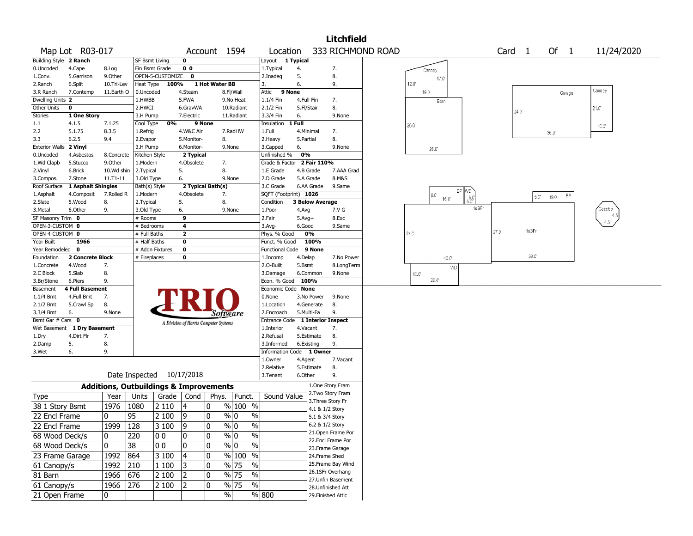|                                      |                        |                                                   |                                       |                  |                                       |                   |                                   |                            |            |                        | <b>Litchfield</b>                    |                   |                |              |    |       |      |                   |     |       |        |            |  |
|--------------------------------------|------------------------|---------------------------------------------------|---------------------------------------|------------------|---------------------------------------|-------------------|-----------------------------------|----------------------------|------------|------------------------|--------------------------------------|-------------------|----------------|--------------|----|-------|------|-------------------|-----|-------|--------|------------|--|
|                                      | Map Lot R03-017        |                                                   |                                       |                  |                                       | Account 1594      |                                   | Location                   |            |                        |                                      | 333 RICHMOND ROAD |                |              |    |       |      | Card <sub>1</sub> |     | Of 1  |        | 11/24/2020 |  |
| Building Style 2 Ranch               |                        |                                                   | <b>SF Bsmt Living</b>                 |                  | 0                                     |                   |                                   | Layout 1 Typical           |            |                        |                                      |                   |                |              |    |       |      |                   |     |       |        |            |  |
| 0.Uncoded                            | 4.Cape                 | 8.Log                                             | Fin Bsmt Grade                        |                  | 0 <sub>0</sub>                        |                   |                                   | 1. Typical                 | 4.         |                        | 7.                                   |                   |                | Canopy       |    |       |      |                   |     |       |        |            |  |
| 1.Conv.                              | 5.Garrison             | 9.Other                                           |                                       | OPEN-5-CUSTOMIZE | 0                                     |                   |                                   | 2.Inadeg                   | 5.         |                        | 8.                                   |                   |                | 17.0         |    |       |      |                   |     |       |        |            |  |
| 2.Ranch                              | 6.Split                | 10.Tri-Lev                                        | Heat Type                             | 100%             |                                       | 1 Hot Water BB    |                                   | 3.                         | 6.         |                        | 9.                                   |                   | 12.0           |              |    |       |      |                   |     |       |        |            |  |
| 3.R Ranch                            | 7.Contemp              | 11.Earth O                                        | 0.Uncoded                             |                  | 4.Steam                               |                   | 8.Fl/Wall                         | Attic                      | 9 None     |                        |                                      |                   |                | 19.0         |    |       |      |                   |     |       | Garage | Canopy     |  |
| Dwelling Units 2                     |                        |                                                   | 1.HWBB                                |                  | 5.FWA                                 |                   | 9.No Heat                         | 1.1/4 Fin                  | 4.Full Fin |                        | 7.                                   |                   |                | Barn         |    |       |      |                   |     |       |        |            |  |
| Other Units                          | 0                      |                                                   | 2.HWCI                                |                  | 6.GravWA                              |                   | 10.Radiant                        | 2.1/2 Fin                  | 5.Fl/Stair |                        | 8.                                   |                   |                |              |    |       |      | 24.0              |     |       |        | 21.0       |  |
| Stories                              | 1 One Story            |                                                   | 3.H Pump                              |                  | 7.Electric                            |                   | 11.Radiant                        | 3.3/4 Fin                  | 6.         |                        | 9.None                               |                   |                |              |    |       |      |                   |     |       |        |            |  |
| $1.1\,$                              | 4.1.5                  | 7.1.25                                            | Cool Type                             | 0%               |                                       | 9 None            |                                   | Insulation                 | 1 Full     |                        |                                      |                   | $26.0^{\circ}$ |              |    |       |      |                   |     |       |        | 10.0°      |  |
| 2.2                                  | 5.1.75                 | 8.3.5                                             | 1.Refrig                              |                  | 4.W&C Air                             |                   | 7.RadHW                           | 1.Full                     | 4.Minimal  |                        | 7.                                   |                   |                |              |    |       |      |                   |     | 36.0" |        |            |  |
| 3.3                                  | 6.2.5                  | 9.4                                               | 2.Evapor                              |                  | 5.Monitor-                            | 8.                |                                   | 2. Heavy                   | 5.Partial  |                        | 8.                                   |                   |                |              |    |       |      |                   |     |       |        |            |  |
| <b>Exterior Walls</b>                | 2 Vinyl                |                                                   | 3.H Pump                              |                  | 6.Monitor-                            |                   | 9.None                            | 3.Capped                   | 6.         |                        | 9.None                               |                   |                | 26.0         |    |       |      |                   |     |       |        |            |  |
| 0.Uncoded                            | 4.Asbestos             | 8.Concrete                                        | Kitchen Style                         |                  | 2 Typical                             |                   |                                   | Unfinished %               | 0%         |                        |                                      |                   |                |              |    |       |      |                   |     |       |        |            |  |
| 1.Wd Clapb                           | 5.Stucco               | 9.Other                                           | 1.Modern                              |                  | 4.Obsolete                            | 7.                |                                   | Grade & Factor 2 Fair 110% |            |                        |                                      |                   |                |              |    |       |      |                   |     |       |        |            |  |
| 2.Vinyl                              | 6.Brick                | 10.Wd shin                                        | 2. Typical                            |                  | 5.                                    | 8.                |                                   | 1.E Grade                  |            | 4.B Grade              | 7.AAA Grad                           |                   |                |              |    |       |      |                   |     |       |        |            |  |
| 3.Compos.                            | 7.Stone                | 11.T1-11                                          | 3.Old Type                            |                  | 6.                                    |                   | 9.None                            | 2.D Grade                  | 5.A Grade  |                        | 8.M&S                                |                   |                |              |    |       |      |                   |     |       |        |            |  |
| Roof Surface                         | 1 Asphalt Shingles     |                                                   | Bath(s) Style                         |                  |                                       | 2 Typical Bath(s) |                                   | 3.C Grade                  |            | 6.AA Grade             | 9.Same                               |                   |                |              | EP | WD.   |      |                   |     |       |        |            |  |
| 1.Asphalt                            | 4.Composit             | 7.Rolled R                                        | 1.Modern                              |                  | 4.Obsolete                            | 7.                |                                   | SQFT (Footprint) 1026      |            |                        |                                      |                   |                | 8.C<br>16.0  |    | $-60$ |      |                   | 5.C | 19.0  | EP     |            |  |
| 2.Slate                              | 5.Wood                 | 8.                                                | 2. Typical                            |                  | 5.                                    | 8.                |                                   | Condition                  |            | <b>3 Below Average</b> |                                      |                   |                |              |    | 1sBFr |      |                   |     |       |        | Gazebo     |  |
| 3.Metal                              | 6.Other                | 9.                                                | 3.Old Type                            |                  | 6.<br>9                               |                   | 9.None                            | 1.Poor                     | 4.Avg      |                        | 7.V G                                |                   |                |              |    |       |      |                   |     |       |        |            |  |
| SF Masonry Trim 0<br>OPEN-3-CUSTOM 0 |                        |                                                   | # Rooms                               |                  | 4                                     |                   |                                   | 2.Fair                     | $5.Avg+$   |                        | 8.Exc<br>9.Same                      |                   |                |              |    |       |      |                   |     |       |        |            |  |
| OPEN-4-CUSTOM 0                      |                        |                                                   | <sup>#</sup> Bedrooms<br># Full Baths |                  | $\overline{\mathbf{2}}$               |                   |                                   | 3.Avg-<br>Phys. % Good     | 6.Good     | 0%                     |                                      |                   | 27.C'          |              |    |       | 27.0 | 1s3Fr             |     |       |        |            |  |
| Year Built                           | 1966                   |                                                   | # Half Baths                          |                  | $\bf{0}$                              |                   |                                   | Funct. % Good              |            | 100%                   |                                      |                   |                |              |    |       |      |                   |     |       |        |            |  |
| Year Remodeled 0                     |                        |                                                   | # Addn Fixtures                       |                  | $\bf{0}$                              |                   |                                   | Functional Code            |            | 9 None                 |                                      |                   |                |              |    |       |      |                   |     |       |        |            |  |
| Foundation                           | 2 Concrete Block       |                                                   | # Fireplaces                          |                  | 0                                     |                   |                                   | 1.Incomp                   | 4.Delap    |                        | 7.No Power                           |                   |                | 40.0         |    |       |      | 38.C'             |     |       |        |            |  |
| 1.Concrete                           | 4.Wood                 | 7.                                                |                                       |                  |                                       |                   |                                   | 2.O-Built                  | 5.Bsmt     |                        | 8.LongTerm                           |                   |                |              |    |       |      |                   |     |       |        |            |  |
| 2.C Block                            | 5.Slab                 | 8.                                                |                                       |                  |                                       |                   |                                   | 3.Damage                   |            | 6.Common               | 9.None                               |                   |                | $10.0^\circ$ | WD |       |      |                   |     |       |        |            |  |
| 3.Br/Stone                           | 6.Piers                | 9.                                                |                                       |                  |                                       |                   |                                   | Econ. % Good               | 100%       |                        |                                      |                   |                | 22.0         |    |       |      |                   |     |       |        |            |  |
| Basement                             | <b>4 Full Basement</b> |                                                   |                                       |                  |                                       |                   |                                   | Economic Code None         |            |                        |                                      |                   |                |              |    |       |      |                   |     |       |        |            |  |
| 1.1/4 Bmt                            | 4.Full Bmt             | 7.                                                |                                       |                  |                                       |                   |                                   | 0.None                     |            | 3.No Power             | 9.None                               |                   |                |              |    |       |      |                   |     |       |        |            |  |
| 2.1/2 Bmt                            | 5.Crawl Sp             | 8.                                                |                                       |                  |                                       |                   |                                   | 1.Location                 |            | 4.Generate             | 8.                                   |                   |                |              |    |       |      |                   |     |       |        |            |  |
| 3.3/4 Bmt                            | 6.                     | 9.None                                            |                                       |                  |                                       | Software          |                                   | 2.Encroach                 | 5.Multi-Fa |                        | 9.                                   |                   |                |              |    |       |      |                   |     |       |        |            |  |
| Bsmt Gar # Cars 0                    |                        |                                                   |                                       |                  | A Division of Harris Computer Systems |                   |                                   | Entrance Code              |            |                        | <b>1 Interior Inspect</b>            |                   |                |              |    |       |      |                   |     |       |        |            |  |
| Wet Basement                         | 1 Dry Basement         |                                                   |                                       |                  |                                       |                   |                                   | 1.Interior                 | 4.Vacant   |                        | 7.                                   |                   |                |              |    |       |      |                   |     |       |        |            |  |
| 1.Dry                                | 4.Dirt Flr             | 7.                                                |                                       |                  |                                       |                   |                                   | 2.Refusal                  |            | 5.Estimate             | 8.                                   |                   |                |              |    |       |      |                   |     |       |        |            |  |
| 2.Damp                               | 5.                     | 8.                                                |                                       |                  |                                       |                   |                                   | 3.Informed                 | 6.Existing |                        | 9.                                   |                   |                |              |    |       |      |                   |     |       |        |            |  |
| 3.Wet                                | 6.                     | 9.                                                |                                       |                  |                                       |                   |                                   | Information Code 1 Owner   |            |                        |                                      |                   |                |              |    |       |      |                   |     |       |        |            |  |
|                                      |                        |                                                   |                                       |                  |                                       |                   |                                   | 1.0wner                    | 4.Agent    |                        | 7.Vacant                             |                   |                |              |    |       |      |                   |     |       |        |            |  |
|                                      |                        |                                                   |                                       |                  |                                       |                   |                                   | 2.Relative                 |            | 5.Estimate             | 8.                                   |                   |                |              |    |       |      |                   |     |       |        |            |  |
|                                      |                        |                                                   | Date Inspected 10/17/2018             |                  |                                       |                   |                                   | 3. Tenant                  | 6.Other    |                        | 9.                                   |                   |                |              |    |       |      |                   |     |       |        |            |  |
|                                      |                        | <b>Additions, Outbuildings &amp; Improvements</b> |                                       |                  |                                       |                   |                                   |                            |            |                        | 1.One Story Fram<br>2.Two Story Fram |                   |                |              |    |       |      |                   |     |       |        |            |  |
| Type                                 |                        | Year                                              | Units                                 | Grade            | Cond                                  | Phys.             | Funct.                            | Sound Value                |            |                        | 3. Three Story Fr                    |                   |                |              |    |       |      |                   |     |       |        |            |  |
| 38 1 Story Bsmt                      |                        | 1976                                              | 1080                                  | 2 1 1 0          | 4                                     | 10                | $%100$ %                          |                            |            |                        | 4.1 & 1/2 Story                      |                   |                |              |    |       |      |                   |     |       |        |            |  |
| 22 Encl Frame                        |                        | 0                                                 | 95                                    | 2 100            | 9                                     | 10                | $\%$<br>% 0                       |                            |            | 5.1 & 3/4 Story        |                                      |                   |                |              |    |       |      |                   |     |       |        |            |  |
| 22 Encl Frame                        |                        | 1999 128                                          |                                       | 3100             | 9                                     | $ 0\rangle$       | $\frac{0}{6}$<br>$\frac{9}{6}$ 0  |                            |            | 6.2 & 1/2 Story        |                                      |                   |                |              |    |       |      |                   |     |       |        |            |  |
|                                      |                        |                                                   |                                       |                  |                                       |                   |                                   |                            |            |                        | 21. Open Frame Por                   |                   |                |              |    |       |      |                   |     |       |        |            |  |
| 68 Wood Deck/s                       |                        | 0                                                 | 220                                   | 00               | 0                                     | 0                 | $\%$<br>% 0                       |                            |            |                        | 22.Encl Frame Por                    |                   |                |              |    |       |      |                   |     |       |        |            |  |
| 68 Wood Deck/s                       |                        | 0                                                 | 38                                    | 00               | 0                                     | 10                | $\%$ 0<br>$\%$                    |                            |            |                        | 23. Frame Garage                     |                   |                |              |    |       |      |                   |     |       |        |            |  |
| 23 Frame Garage                      |                        | 1992                                              | 864                                   | 3 100            | 4                                     | 10                | % 100 %                           |                            |            |                        | 24.Frame Shed                        |                   |                |              |    |       |      |                   |     |       |        |            |  |
| 61 Canopy/s                          |                        | 1992                                              | 210                                   | 1 100            | 13                                    | 10                | % 75<br>$\%$                      |                            |            |                        | 25. Frame Bay Wind                   |                   |                |              |    |       |      |                   |     |       |        |            |  |
| 81 Barn                              |                        | 1966                                              | 676                                   | 2 100            | 12                                    | 10                | $\sqrt{96}$ 75<br>$\%$            |                            |            |                        | 26.1SFr Overhang                     |                   |                |              |    |       |      |                   |     |       |        |            |  |
| 61 Canopy/s                          |                        | 1966                                              | 276                                   | 2 100            | 2                                     | 10                | $\frac{0}{6}$<br>$\frac{9}{6}$ 75 |                            |            |                        | 27.Unfin Basement                    |                   |                |              |    |       |      |                   |     |       |        |            |  |
|                                      |                        |                                                   |                                       |                  |                                       |                   |                                   |                            |            |                        | 28. Unfinished Att                   |                   |                |              |    |       |      |                   |     |       |        |            |  |
| 21 Open Frame                        |                        | 0                                                 |                                       |                  |                                       |                   | $\%$                              | % 800                      |            |                        | 29. Finished Attic                   |                   |                |              |    |       |      |                   |     |       |        |            |  |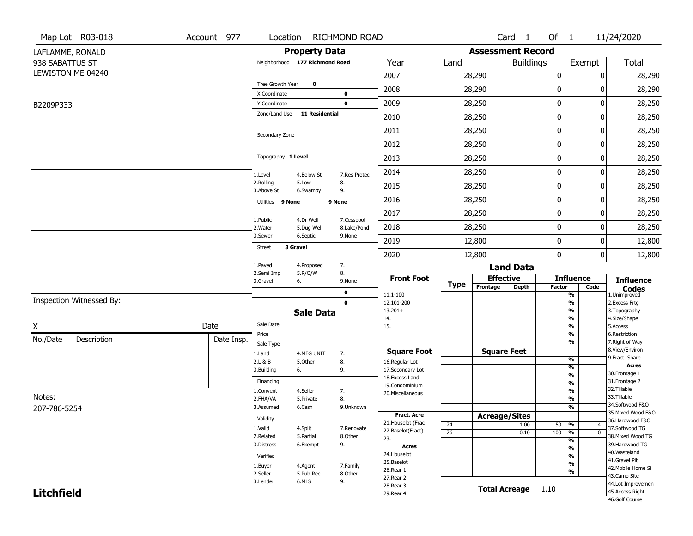|                   | Map Lot R03-018          | Account 977 | Location                       |                       | <b>RICHMOND ROAD</b> |                                     |                 |                          | Card <sub>1</sub>    | Of $1$           |                                                      | 11/24/2020                           |
|-------------------|--------------------------|-------------|--------------------------------|-----------------------|----------------------|-------------------------------------|-----------------|--------------------------|----------------------|------------------|------------------------------------------------------|--------------------------------------|
|                   | LAFLAMME, RONALD         |             |                                | <b>Property Data</b>  |                      |                                     |                 | <b>Assessment Record</b> |                      |                  |                                                      |                                      |
| 938 SABATTUS ST   |                          |             | Neighborhood 177 Richmond Road |                       |                      | Year                                | Land            |                          | <b>Buildings</b>     |                  | Exempt                                               | Total                                |
|                   | LEWISTON ME 04240        |             |                                |                       |                      | 2007                                |                 | 28,290                   |                      | $\boldsymbol{0}$ | 0                                                    | 28,290                               |
|                   |                          |             | Tree Growth Year               | $\mathbf 0$           |                      | 2008                                |                 | 28,290                   |                      | 0                | O                                                    | 28,290                               |
| B2209P333         |                          |             | X Coordinate<br>Y Coordinate   |                       | 0<br>$\mathbf 0$     | 2009                                |                 | 28,250                   |                      | $\boldsymbol{0}$ | 0                                                    | 28,250                               |
|                   |                          |             | Zone/Land Use                  | <b>11 Residential</b> |                      | 2010                                |                 | 28,250                   |                      | 0                | 0                                                    | 28,250                               |
|                   |                          |             |                                |                       |                      | 2011                                |                 |                          |                      | $\mathbf 0$      | 0                                                    |                                      |
|                   |                          |             | Secondary Zone                 |                       |                      |                                     |                 | 28,250                   |                      |                  |                                                      | 28,250                               |
|                   |                          |             |                                |                       |                      | 2012                                |                 | 28,250                   |                      | 0                | 0                                                    | 28,250                               |
|                   |                          |             | Topography 1 Level             |                       |                      | 2013                                |                 | 28,250                   |                      | $\boldsymbol{0}$ | 0                                                    | 28,250                               |
|                   |                          |             | 1.Level                        | 4.Below St            | 7.Res Protec         | 2014                                |                 | 28,250                   |                      | $\boldsymbol{0}$ | 0                                                    | 28,250                               |
|                   |                          |             | 2.Rolling<br>3.Above St        | 5.Low<br>6.Swampy     | 8.<br>9.             | 2015                                |                 | 28,250                   |                      | $\mathbf 0$      | 0                                                    | 28,250                               |
|                   |                          |             | Utilities 9 None               |                       | 9 None               | 2016                                |                 | 28,250                   |                      | 0                | 0                                                    | 28,250                               |
|                   |                          |             | 1.Public                       | 4.Dr Well             | 7.Cesspool           | 2017                                |                 | 28,250                   |                      | $\boldsymbol{0}$ | 0                                                    | 28,250                               |
|                   |                          |             | 2. Water                       | 5.Dug Well            | 8.Lake/Pond          | 2018                                |                 | 28,250                   |                      | 0                | 0                                                    | 28,250                               |
|                   |                          |             | 3.Sewer                        | 6.Septic              | 9.None               | 2019                                |                 | 12,800                   |                      | $\mathbf 0$      | 0                                                    | 12,800                               |
|                   |                          |             | <b>Street</b>                  | 3 Gravel              |                      | 2020                                |                 | 12,800                   |                      | $\mathbf{0}$     | 0                                                    | 12,800                               |
|                   |                          |             | 1.Paved<br>2.Semi Imp          | 4.Proposed            | 7.                   |                                     |                 |                          | <b>Land Data</b>     |                  |                                                      |                                      |
|                   |                          |             | 3.Gravel                       | 5.R/O/W<br>6.         | 8.<br>9.None         | <b>Front Foot</b>                   | <b>Type</b>     | <b>Effective</b>         |                      |                  | <b>Influence</b>                                     | <b>Influence</b>                     |
|                   |                          |             |                                |                       | 0                    | 11.1-100                            |                 | Frontage                 | Depth                | <b>Factor</b>    | Code<br>$\overline{\frac{9}{6}}$                     | <b>Codes</b><br>1.Unimproved         |
|                   | Inspection Witnessed By: |             |                                |                       | $\mathbf 0$          | 12.101-200<br>$13.201+$             |                 |                          |                      |                  | $\overline{\frac{9}{6}}$<br>$\overline{\frac{9}{6}}$ | 2. Excess Frtg<br>3. Topography      |
|                   |                          |             |                                | <b>Sale Data</b>      |                      | 14.                                 |                 |                          |                      |                  | $\frac{9}{6}$                                        | 4.Size/Shape                         |
| X                 |                          | Date        | Sale Date<br>Price             |                       |                      | 15.                                 |                 |                          |                      |                  | $\overline{\frac{9}{6}}$<br>%                        | 5.Access<br>6.Restriction            |
| No./Date          | Description              | Date Insp.  | Sale Type                      |                       |                      |                                     |                 |                          |                      |                  | %                                                    | 7. Right of Way                      |
|                   |                          |             | 1.Land                         | 4.MFG UNIT            | 7.                   | <b>Square Foot</b>                  |                 |                          | <b>Square Feet</b>   |                  |                                                      | 8.View/Environ                       |
|                   |                          |             | 2.L & B                        | 5.0ther               | 8.                   | 16.Regular Lot                      |                 |                          |                      |                  | $\frac{9}{6}$<br>%                                   | 9.Fract Share<br><b>Acres</b>        |
|                   |                          |             | 3.Building                     | 6.                    | 9.                   | 17.Secondary Lot<br>18. Excess Land |                 |                          |                      |                  | $\frac{9}{6}$                                        | 30. Frontage 1                       |
|                   |                          |             | Financing                      |                       |                      | 19.Condominium                      |                 |                          |                      |                  | $\frac{9}{6}$                                        | 31. Frontage 2                       |
| Notes:            |                          |             | 1.Convent                      | 4.Seller              | 7.                   | 20.Miscellaneous                    |                 |                          |                      |                  | $\frac{9}{6}$                                        | 32.Tillable<br>33.Tillable           |
|                   |                          |             | 2.FHA/VA<br>3.Assumed          | 5.Private<br>6.Cash   | 8.<br>9.Unknown      |                                     |                 |                          |                      |                  | %<br>%                                               | 34.Softwood F&O                      |
| 207-786-5254      |                          |             |                                |                       |                      | <b>Fract. Acre</b>                  |                 | <b>Acreage/Sites</b>     |                      |                  |                                                      | 35. Mixed Wood F&O                   |
|                   |                          |             | Validity                       |                       |                      | 21. Houselot (Frac                  | 24              |                          | 1.00                 | 50 %             | 4                                                    | 36.Hardwood F&O                      |
|                   |                          |             | 1.Valid                        | 4.Split               | 7.Renovate           | 22.Baselot(Fract)                   | $\overline{26}$ |                          | 0.10                 | 100              | $\overline{\mathfrak{o}}$<br>%                       | 37.Softwood TG                       |
|                   |                          |             | 2.Related<br>3.Distress        | 5.Partial<br>6.Exempt | 8.Other<br>9.        | 23.                                 |                 |                          |                      |                  | $\overline{\frac{9}{6}}$                             | 38. Mixed Wood TG<br>39.Hardwood TG  |
|                   |                          |             |                                |                       |                      | <b>Acres</b><br>24. Houselot        |                 |                          |                      |                  | $\frac{9}{6}$                                        | 40. Wasteland                        |
|                   |                          |             | Verified                       |                       |                      | 25.Baselot                          |                 |                          |                      |                  | $\frac{9}{6}$                                        | 41.Gravel Pit                        |
|                   |                          |             | 1.Buyer                        | 4.Agent               | 7.Family             | 26.Rear 1                           |                 |                          |                      |                  | $\overline{\frac{9}{6}}$<br>%                        | 42. Mobile Home Si                   |
|                   |                          |             | 2.Seller<br>3.Lender           | 5.Pub Rec<br>6.MLS    | 8.Other<br>9.        | 27.Rear 2                           |                 |                          |                      |                  |                                                      | 43.Camp Site                         |
|                   |                          |             |                                |                       |                      | 28.Rear 3                           |                 |                          | <b>Total Acreage</b> | 1.10             |                                                      | 44.Lot Improvemen<br>45.Access Right |
| <b>Litchfield</b> |                          |             |                                |                       |                      | 29. Rear 4                          |                 |                          |                      |                  |                                                      | 46.Golf Course                       |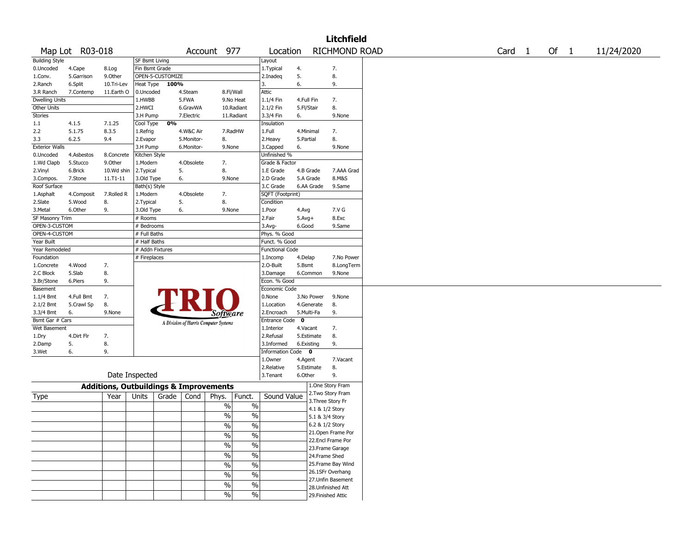|                       |                 |                                                   |                 |                  |            |                                        |                        |              |            | <b>Litchfield</b>  |                   |      |            |
|-----------------------|-----------------|---------------------------------------------------|-----------------|------------------|------------|----------------------------------------|------------------------|--------------|------------|--------------------|-------------------|------|------------|
|                       | Map Lot R03-018 |                                                   |                 |                  |            | Account 977                            | Location               |              |            | RICHMOND ROAD      | Card <sub>1</sub> | Of 1 | 11/24/2020 |
| <b>Building Style</b> |                 |                                                   | SF Bsmt Living  |                  |            |                                        | Layout                 |              |            |                    |                   |      |            |
| 0.Uncoded             | 4.Cape          | 8.Log                                             | Fin Bsmt Grade  |                  |            |                                        | 1. Typical             | 4.           |            | 7.                 |                   |      |            |
| 1.Conv.               | 5.Garrison      | 9.0ther                                           |                 | OPEN-5-CUSTOMIZE |            |                                        | 2.Inadeg               | 5.           |            | 8.                 |                   |      |            |
| 2.Ranch               | 6.Split         | 10.Tri-Lev                                        | Heat Type       | 100%             |            |                                        | 3.                     | 6.           |            | 9.                 |                   |      |            |
| 3.R Ranch             | 7.Contemp       | 11.Earth O                                        | 0.Uncoded       |                  | 4.Steam    | 8.Fl/Wall                              | Attic                  |              |            |                    |                   |      |            |
| <b>Dwelling Units</b> |                 |                                                   | 1.HWBB          |                  | 5.FWA      | 9.No Heat                              | 1.1/4 Fin              | 4.Full Fin   |            | 7.                 |                   |      |            |
| Other Units           |                 |                                                   | 2.HWCI          |                  | 6.GravWA   | 10.Radiant                             | 2.1/2 Fin              | 5.Fl/Stair   |            | 8.                 |                   |      |            |
| Stories               |                 |                                                   | 3.H Pump        |                  | 7.Electric | 11.Radiant                             | 3.3/4 Fin              | 6.           |            | 9.None             |                   |      |            |
| 1.1                   | 4.1.5           | 7.1.25                                            | Cool Type       | 0%               |            |                                        | Insulation             |              |            |                    |                   |      |            |
| 2.2                   | 5.1.75          | 8.3.5                                             | 1.Refrig        |                  | 4.W&C Air  | 7.RadHW                                | 1.Full                 | 4.Minimal    |            | 7.                 |                   |      |            |
| 3.3                   | 6.2.5           | 9.4                                               | 2.Evapor        |                  | 5.Monitor- | 8.                                     | 2.Heavy                | 5.Partial    |            | 8.                 |                   |      |            |
| <b>Exterior Walls</b> |                 |                                                   | 3.H Pump        |                  | 6.Monitor- | 9.None                                 | 3.Capped               | 6.           |            | 9.None             |                   |      |            |
| 0.Uncoded             | 4.Asbestos      | 8.Concrete                                        | Kitchen Style   |                  |            |                                        | Unfinished %           |              |            |                    |                   |      |            |
| 1.Wd Clapb            | 5.Stucco        | 9.0ther                                           | 1.Modern        |                  | 4.Obsolete | 7.                                     | Grade & Factor         |              |            |                    |                   |      |            |
| 2.Vinyl               | 6.Brick         | 10.Wd shin                                        | 2. Typical      | 5.               |            | 8.                                     | 1.E Grade              | 4.B Grade    |            | 7.AAA Grad         |                   |      |            |
| 3.Compos.             | 7.Stone         | 11.T1-11                                          | 3.Old Type      | 6.               |            | 9.None                                 | 2.D Grade              | 5.A Grade    |            | 8.M&S              |                   |      |            |
| Roof Surface          |                 |                                                   | Bath(s) Style   |                  |            |                                        | 3.C Grade              |              | 6.AA Grade | 9.Same             |                   |      |            |
| 1.Asphalt             | 4.Composit      | 7.Rolled R                                        | 1.Modern        |                  | 4.Obsolete | 7.                                     | SQFT (Footprint)       |              |            |                    |                   |      |            |
| 2.Slate               | 5.Wood          | 8.                                                | 2. Typical      | 5.               |            | 8.                                     | Condition              |              |            |                    |                   |      |            |
| 3.Metal               | 6.Other         | 9.                                                | 3.Old Type      | 6.               |            | 9.None                                 | 1.Poor                 | 4.Avg        |            | 7.V G              |                   |      |            |
| SF Masonry Trim       |                 |                                                   | # Rooms         |                  |            |                                        | 2.Fair                 | $5.Avg+$     |            | 8.Exc              |                   |      |            |
| OPEN-3-CUSTOM         |                 |                                                   | # Bedrooms      |                  |            |                                        | 3.Avg-                 | 6.Good       |            | 9.Same             |                   |      |            |
| OPEN-4-CUSTOM         |                 |                                                   | # Full Baths    |                  |            |                                        | Phys. % Good           |              |            |                    |                   |      |            |
| Year Built            |                 |                                                   | # Half Baths    |                  |            |                                        | Funct. % Good          |              |            |                    |                   |      |            |
| Year Remodeled        |                 |                                                   | # Addn Fixtures |                  |            |                                        | <b>Functional Code</b> |              |            |                    |                   |      |            |
| Foundation            |                 |                                                   | # Fireplaces    |                  |            |                                        | 1.Incomp               | 4.Delap      |            | 7.No Power         |                   |      |            |
| 1.Concrete            | 4.Wood          | 7.                                                |                 |                  |            |                                        | 2.0-Built              | 5.Bsmt       |            | 8.LongTerm         |                   |      |            |
| 2.C Block             | 5.Slab          | 8.                                                |                 |                  |            |                                        | 3.Damage               | 6.Common     |            | 9.None             |                   |      |            |
| 3.Br/Stone            | 6.Piers         | 9.                                                |                 |                  |            |                                        | Econ. % Good           |              |            |                    |                   |      |            |
| Basement              |                 |                                                   |                 |                  |            |                                        | Economic Code          |              |            |                    |                   |      |            |
| 1.1/4 Bmt             | 4.Full Bmt      | 7.                                                |                 |                  |            |                                        | 0.None                 |              | 3.No Power | 9.None             |                   |      |            |
| 2.1/2 Bmt             | 5.Crawl Sp      | 8.                                                |                 |                  |            |                                        | 1.Location             |              | 4.Generate | 8.                 |                   |      |            |
| 3.3/4 Bmt             | 6.              | 9.None                                            |                 |                  |            | <i>Software</i>                        | 2.Encroach             | 5.Multi-Fa   |            | 9.                 |                   |      |            |
| Bsmt Gar # Cars       |                 |                                                   |                 |                  |            | A Division of Harris Computer Systems  | Entrance Code          | $\mathbf{0}$ |            |                    |                   |      |            |
| Wet Basement          |                 |                                                   |                 |                  |            |                                        | 1.Interior             | 4.Vacant     |            | 7.                 |                   |      |            |
| 1.Dry                 | 4.Dirt Flr      | 7.                                                |                 |                  |            |                                        | 2.Refusal              | 5.Estimate   |            | 8.                 |                   |      |            |
| 2.Damp                | 5.              | 8.                                                |                 |                  |            |                                        | 3.Informed             | 6.Existing   |            | 9.                 |                   |      |            |
| 3.Wet                 | 6.              | 9.                                                |                 |                  |            |                                        | Information Code 0     |              |            |                    |                   |      |            |
|                       |                 |                                                   |                 |                  |            |                                        | 1.0wner                | 4.Agent      |            | 7.Vacant           |                   |      |            |
|                       |                 |                                                   |                 |                  |            |                                        | 2.Relative             | 5.Estimate   |            | 8.                 |                   |      |            |
|                       |                 | Date Inspected                                    |                 |                  |            |                                        | 3.Tenant               | 6.Other      |            | 9.                 |                   |      |            |
|                       |                 | <b>Additions, Outbuildings &amp; Improvements</b> |                 |                  |            |                                        |                        |              |            | 1.One Story Fram   |                   |      |            |
| Type                  |                 | Year                                              | Units           | Grade            | Cond       | Funct.<br>Phys.                        | Sound Value            |              |            | 2. Two Story Fram  |                   |      |            |
|                       |                 |                                                   |                 |                  |            |                                        |                        |              |            | 3. Three Story Fr  |                   |      |            |
|                       |                 |                                                   |                 |                  |            | $\%$<br>$\%$                           |                        |              |            | 4.1 & 1/2 Story    |                   |      |            |
|                       |                 |                                                   |                 |                  |            | $\frac{0}{0}$<br>$\%$                  |                        |              |            | 5.1 & 3/4 Story    |                   |      |            |
|                       |                 |                                                   |                 |                  |            | $\frac{9}{6}$<br>$\frac{1}{2}$         |                        |              |            | 6.2 & 1/2 Story    |                   |      |            |
|                       |                 |                                                   |                 |                  |            | %<br>$\%$                              |                        |              |            | 21. Open Frame Por |                   |      |            |
|                       |                 |                                                   |                 |                  |            |                                        |                        |              |            | 22.Encl Frame Por  |                   |      |            |
|                       |                 |                                                   |                 |                  |            | $\overline{\frac{0}{6}}$<br>$\sqrt{6}$ |                        |              |            | 23. Frame Garage   |                   |      |            |
|                       |                 |                                                   |                 |                  |            | $\sqrt{6}$<br>$\%$                     |                        |              |            | 24.Frame Shed      |                   |      |            |
|                       |                 |                                                   |                 |                  |            | %<br>$\%$                              |                        |              |            | 25.Frame Bay Wind  |                   |      |            |
|                       |                 |                                                   |                 |                  |            |                                        |                        |              |            | 26.1SFr Overhang   |                   |      |            |
|                       |                 |                                                   |                 |                  |            | $\%$<br>$\%$                           |                        |              |            | 27.Unfin Basement  |                   |      |            |
|                       |                 |                                                   |                 |                  |            | $\frac{1}{2}$<br>$\sqrt{6}$            |                        |              |            | 28.Unfinished Att  |                   |      |            |
|                       |                 |                                                   |                 |                  |            | $\%$<br>$\frac{0}{0}$                  |                        |              |            | 29. Finished Attic |                   |      |            |
|                       |                 |                                                   |                 |                  |            |                                        |                        |              |            |                    |                   |      |            |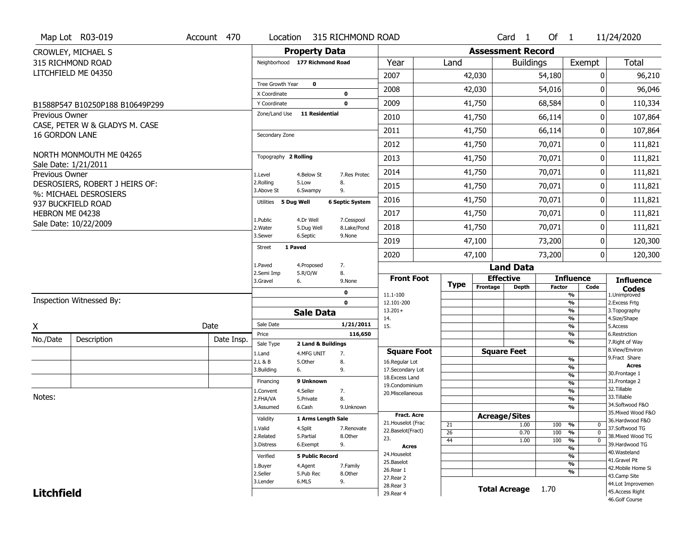|                       | Map Lot R03-019                                 | Account 470 | Location                     |                                | 315 RICHMOND ROAD          |                                     |             |          | Card <sub>1</sub>        | Of 1          |                                | 11/24/2020                            |
|-----------------------|-------------------------------------------------|-------------|------------------------------|--------------------------------|----------------------------|-------------------------------------|-------------|----------|--------------------------|---------------|--------------------------------|---------------------------------------|
|                       | CROWLEY, MICHAEL S                              |             |                              | <b>Property Data</b>           |                            |                                     |             |          | <b>Assessment Record</b> |               |                                |                                       |
|                       | 315 RICHMOND ROAD                               |             |                              | Neighborhood 177 Richmond Road |                            | Year                                | Land        |          | <b>Buildings</b>         |               | Exempt                         | <b>Total</b>                          |
|                       | LITCHFIELD ME 04350                             |             |                              |                                |                            | 2007                                |             | 42,030   |                          | 54,180        | 0                              | 96,210                                |
|                       |                                                 |             | Tree Growth Year             | $\mathbf 0$                    |                            | 2008                                |             | 42,030   |                          | 54,016        | $\Omega$                       | 96,046                                |
|                       |                                                 |             | X Coordinate<br>Y Coordinate |                                | $\mathbf 0$<br>$\mathbf 0$ | 2009                                |             | 41,750   |                          | 68,584        | 0                              | 110,334                               |
| Previous Owner        | B1588P547 B10250P188 B10649P299                 |             | Zone/Land Use                | <b>11 Residential</b>          |                            |                                     |             |          |                          |               |                                |                                       |
|                       | CASE, PETER W & GLADYS M. CASE                  |             |                              |                                |                            | 2010                                |             | 41,750   |                          | 66,114        | 0                              | 107,864                               |
| <b>16 GORDON LANE</b> |                                                 |             | Secondary Zone               |                                |                            | 2011                                |             | 41,750   |                          | 66,114        | 0                              | 107,864                               |
|                       |                                                 |             |                              |                                |                            | 2012                                |             | 41,750   |                          | 70,071        | 0                              | 111,821                               |
|                       | NORTH MONMOUTH ME 04265<br>Sale Date: 1/21/2011 |             | Topography 2 Rolling         |                                |                            | 2013                                |             | 41,750   |                          | 70,071        | 0                              | 111,821                               |
| Previous Owner        |                                                 |             | 1.Level                      | 4.Below St                     | 7.Res Protec               | 2014                                |             | 41,750   |                          | 70,071        | 0                              | 111,821                               |
|                       | DESROSIERS, ROBERT J HEIRS OF:                  |             | 2.Rolling<br>3.Above St      | 5.Low<br>6.Swampy              | 8.<br>9.                   | 2015                                |             | 41,750   |                          | 70,071        | 0                              | 111,821                               |
|                       | %: MICHAEL DESROSIERS<br>937 BUCKFIELD ROAD     |             | Utilities 5 Dua Well         |                                | <b>6 Septic System</b>     | 2016                                |             | 41,750   |                          | 70,071        | 0                              | 111,821                               |
| HEBRON ME 04238       |                                                 |             |                              |                                |                            | 2017                                |             | 41,750   |                          | 70,071        | 0                              | 111,821                               |
|                       | Sale Date: 10/22/2009                           |             | 1.Public<br>2. Water         | 4.Dr Well<br>5.Dug Well        | 7.Cesspool<br>8.Lake/Pond  | 2018                                |             | 41,750   |                          | 70,071        | 0                              | 111,821                               |
|                       |                                                 |             | 3.Sewer                      | 6.Septic                       | 9.None                     | 2019                                |             | 47,100   |                          | 73,200        | 0                              | 120,300                               |
|                       |                                                 |             | Street                       | 1 Paved                        |                            | 2020                                |             | 47,100   |                          | 73,200        | 0                              | 120,300                               |
|                       |                                                 |             | 1.Paved                      | 4.Proposed                     | 7.                         |                                     |             |          | <b>Land Data</b>         |               |                                |                                       |
|                       |                                                 |             | 2.Semi Imp                   | 5.R/O/W                        | 8.                         |                                     |             |          |                          |               |                                |                                       |
|                       |                                                 |             |                              |                                |                            | <b>Front Foot</b>                   |             |          | <b>Effective</b>         |               | <b>Influence</b>               |                                       |
|                       |                                                 |             | 3.Gravel                     | 6.                             | 9.None                     |                                     | <b>Type</b> | Frontage | <b>Depth</b>             | <b>Factor</b> | Code                           | <b>Influence</b><br><b>Codes</b>      |
|                       | Inspection Witnessed By:                        |             |                              |                                | 0<br>$\mathbf 0$           | 11.1-100<br>12.101-200              |             |          |                          |               | %<br>$\frac{9}{6}$             | 1.Unimproved                          |
|                       |                                                 |             |                              | <b>Sale Data</b>               |                            | $13.201+$                           |             |          |                          |               | %                              | 2. Excess Frtg<br>3. Topography       |
|                       |                                                 |             | Sale Date                    |                                | 1/21/2011                  | 14.                                 |             |          |                          |               | %                              | 4.Size/Shape                          |
| Χ                     |                                                 | Date        | Price                        |                                | 116,650                    | 15.                                 |             |          |                          |               | %<br>%                         | 5.Access<br>6.Restriction             |
| No./Date              | Description                                     | Date Insp.  | Sale Type                    | 2 Land & Buildings             |                            |                                     |             |          |                          |               | %                              | 7. Right of Way                       |
|                       |                                                 |             | 1.Land                       | 4.MFG UNIT                     | 7.                         | <b>Square Foot</b>                  |             |          | <b>Square Feet</b>       |               |                                | 8.View/Environ<br>9.Fract Share       |
|                       |                                                 |             | 2.L & B                      | 5.Other                        | 8.                         | 16.Regular Lot                      |             |          |                          |               | $\frac{9}{6}$<br>$\frac{9}{6}$ | <b>Acres</b>                          |
|                       |                                                 |             | 3.Building                   | 6.                             | 9.                         | 17.Secondary Lot<br>18. Excess Land |             |          |                          |               | $\frac{9}{6}$                  | 30.Frontage 1                         |
|                       |                                                 |             | Financing                    | 9 Unknown                      |                            | 19.Condominium                      |             |          |                          |               | $\frac{9}{6}$                  | 31. Frontage 2                        |
|                       |                                                 |             | 1.Convent                    | 4.Seller                       | 7.                         | 20.Miscellaneous                    |             |          |                          |               | $\frac{9}{6}$                  | 32. Tillable                          |
| Notes:                |                                                 |             | 2.FHA/VA                     | 5.Private                      | 8.                         |                                     |             |          |                          |               | $\frac{9}{6}$                  | 33.Tillable                           |
|                       |                                                 |             | 3.Assumed                    | 6.Cash                         | 9.Unknown                  |                                     |             |          |                          |               | $\frac{9}{6}$                  | 34.Softwood F&O<br>35. Mixed Wood F&O |
|                       |                                                 |             | Validity                     | 1 Arms Length Sale             |                            | Fract. Acre                         |             |          | <b>Acreage/Sites</b>     |               |                                | 36.Hardwood F&O                       |
|                       |                                                 |             | 1.Valid                      | 4.Split                        | 7.Renovate                 | 21. Houselot (Frac                  | 21          |          | 1.00                     | 100           | %<br>0                         | 37.Softwood TG                        |
|                       |                                                 |             | 2.Related                    | 5.Partial                      | 8.Other                    | 22.Baselot(Fract)<br>23.            | 26          |          | 0.70                     | 100           | $\frac{9}{6}$<br>$\mathbf 0$   | 38. Mixed Wood TG                     |
|                       |                                                 |             | 3.Distress                   | 6.Exempt                       | 9.                         | Acres                               | 44          |          | 1.00                     | 100           | %<br>$\mathbf 0$               | 39.Hardwood TG                        |
|                       |                                                 |             |                              |                                |                            | 24. Houselot                        |             |          |                          |               | %<br>%                         | 40. Wasteland                         |
|                       |                                                 |             | Verified                     | <b>5 Public Record</b>         |                            | 25.Baselot                          |             |          |                          |               | $\frac{9}{6}$                  | 41.Gravel Pit                         |
|                       |                                                 |             | 1.Buyer                      | 4.Agent                        | 7.Family                   | 26.Rear 1                           |             |          |                          |               | %                              | 42. Mobile Home Si                    |
|                       |                                                 |             | 2.Seller<br>3.Lender         | 5.Pub Rec<br>6.MLS             | 8.Other                    | 27.Rear 2                           |             |          |                          |               |                                | 43.Camp Site                          |
| <b>Litchfield</b>     |                                                 |             |                              |                                | 9.                         | 28. Rear 3<br>29. Rear 4            |             |          | <b>Total Acreage</b>     | 1.70          |                                | 44.Lot Improvemen<br>45.Access Right  |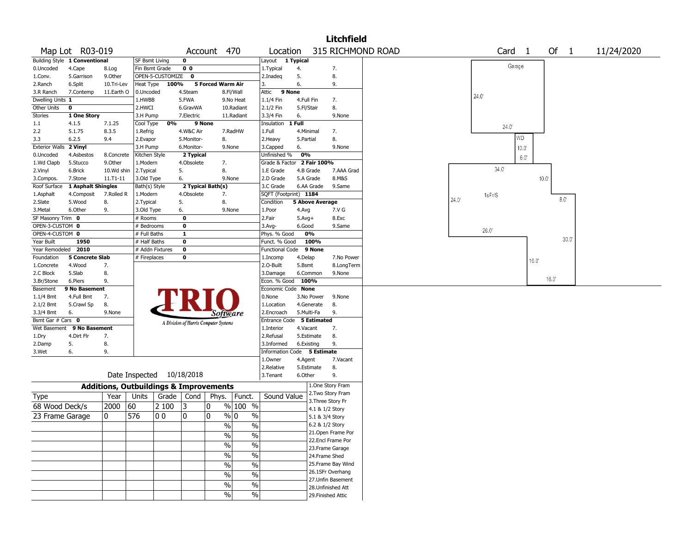|                        |                                 |               |               |                                                   |                |                                       |                                |                             |            |                        | <b>Litchfield</b>  |                   |      |                   |                |                      |            |
|------------------------|---------------------------------|---------------|---------------|---------------------------------------------------|----------------|---------------------------------------|--------------------------------|-----------------------------|------------|------------------------|--------------------|-------------------|------|-------------------|----------------|----------------------|------------|
|                        | Map Lot R03-019                 |               |               |                                                   | Account        |                                       | 470                            | Location                    |            |                        |                    | 315 RICHMOND ROAD |      | Card <sub>1</sub> |                | Of<br>$\overline{1}$ | 11/24/2020 |
|                        | Building Style 1 Conventional   |               |               | <b>SF Bsmt Living</b>                             | 0              |                                       |                                | Layout 1 Typical            |            |                        |                    |                   |      |                   |                |                      |            |
| 0.Uncoded              | 4.Cape                          | 8.Log         |               | Fin Bsmt Grade                                    | 0 <sub>0</sub> |                                       |                                | 1. Typical                  | 4.         |                        | 7.                 |                   |      | Garage            |                |                      |            |
| 1.Conv.                | 5.Garrison                      | 9.Other       |               | OPEN-5-CUSTOMIZE                                  | 0              |                                       |                                | 2.Inadeq                    | 5.         |                        | 8.                 |                   |      |                   |                |                      |            |
| 2.Ranch                | 6.Split                         | 10.Tri-Lev    | Heat Type     | 100%                                              |                | <b>5 Forced Warm Air</b>              |                                | 3.                          | 6.         |                        | 9.                 |                   |      |                   |                |                      |            |
| 3.R Ranch              | 7.Contemp                       | 11.Earth O    | 0.Uncoded     |                                                   | 4.Steam        |                                       | 8.Fl/Wall                      | Attic                       | 9 None     |                        |                    |                   |      | 24.0              |                |                      |            |
| Dwelling Units 1       |                                 |               | 1.HWBB        |                                                   | 5.FWA          |                                       | 9.No Heat                      | 1.1/4 Fin                   |            | 4.Full Fin             | 7.                 |                   |      |                   |                |                      |            |
| Other Units            | 0                               |               | 2.HWCI        |                                                   | 6.GravWA       |                                       | 10.Radiant                     | 2.1/2 Fin                   | 5.Fl/Stair |                        | 8.                 |                   |      |                   |                |                      |            |
| Stories                | 1 One Story                     |               | 3.H Pump      |                                                   | 7.Electric     |                                       | 11.Radiant                     | 3.3/4 Fin                   | 6.         |                        | 9.None             |                   |      |                   |                |                      |            |
| 1.1                    | 4.1.5                           | 7.1.25        | Cool Type     | 0%                                                |                | 9 None                                |                                | Insulation                  | 1 Full     |                        |                    |                   |      | $24.0^{\circ}$    |                |                      |            |
| 2.2                    | 5.1.75                          | 8.3.5         | 1.Refrig      |                                                   | 4.W&C Air      |                                       | 7.RadHW                        | 1.Full                      |            | 4.Minimal              | 7.                 |                   |      |                   |                |                      |            |
| 3.3                    | 6.2.5                           | 9.4           | 2.Evapor      |                                                   | 5.Monitor-     | 8.                                    |                                | 2.Heavy                     | 5.Partial  |                        | 8.                 |                   |      |                   | WD             |                      |            |
| Exterior Walls 2 Vinyl |                                 |               | 3.H Pump      |                                                   | 6.Monitor-     |                                       | 9.None                         | 3.Capped                    | 6.         |                        | 9.None             |                   |      |                   | $10.0^{\circ}$ |                      |            |
| 0.Uncoded              | 4.Asbestos                      | 8.Concrete    | Kitchen Style |                                                   | 2 Typical      |                                       |                                | Unfinished %                | 0%         |                        |                    |                   |      |                   | $6.0^\circ$    |                      |            |
| 1.Wd Clapb             | 5.Stucco                        | 9.0ther       | 1.Modern      |                                                   | 4.Obsolete     | 7.                                    |                                | Grade & Factor 2 Fair 100%  |            |                        |                    |                   |      |                   |                |                      |            |
| 2.Vinyl                | 6.Brick                         | 10.Wd shin    | 2.Typical     |                                                   | 5.             | 8.                                    |                                | 1.E Grade                   |            | 4.B Grade              | 7.AAA Grad         |                   |      | 34.0              |                |                      |            |
| 3.Compos.              | 7.Stone                         | $11. T1 - 11$ | 3.Old Type    |                                                   | 6.             |                                       | 9.None                         | 2.D Grade                   |            | 5.A Grade              | 8.M&S              |                   |      |                   |                | 10.0                 |            |
|                        | Roof Surface 1 Asphalt Shingles |               | Bath(s) Style |                                                   |                | 2 Typical Bath(s)                     |                                | 3.C Grade                   |            | 6.AA Grade             | 9.Same             |                   |      |                   |                |                      |            |
| 1.Asphalt              | 4.Composit                      | 7.Rolled R    | 1.Modern      |                                                   | 4.Obsolete     | 7.                                    |                                | SQFT (Footprint) 1184       |            |                        |                    |                   |      | 1sFr/S            |                |                      |            |
| 2.Slate                | 5.Wood                          | 8.            | 2.Typical     |                                                   | 5.             | 8.                                    |                                | Condition                   |            | <b>5 Above Average</b> |                    |                   | 24.0 |                   |                | 8.0                  |            |
| 3. Metal               | 6.Other                         | 9.            | 3.Old Type    |                                                   | 6.             |                                       | 9.None                         | 1.Poor                      | 4.Avg      |                        | 7.V G              |                   |      |                   |                |                      |            |
| SF Masonry Trim 0      |                                 |               | # Rooms       |                                                   | 0              |                                       |                                | 2.Fair                      | $5.Avg+$   |                        | 8.Exc              |                   |      |                   |                |                      |            |
| OPEN-3-CUSTOM 0        |                                 |               | # Bedrooms    |                                                   | 0              |                                       |                                | 3.Avg-                      | 6.Good     |                        | 9.Same             |                   |      |                   |                |                      |            |
| OPEN-4-CUSTOM 0        |                                 |               | # Full Baths  |                                                   | $\mathbf{1}$   |                                       |                                | Phys. % Good                |            | 0%                     |                    |                   |      | 26.0"             |                |                      |            |
| Year Built             | 1950                            |               | # Half Baths  |                                                   | 0              |                                       |                                | Funct. % Good               |            | 100%                   |                    |                   |      |                   |                | $30.0^{\circ}$       |            |
| Year Remodeled         | 2010                            |               |               | # Addn Fixtures                                   | $\bf{0}$       |                                       |                                | Functional Code             |            | 9 None                 |                    |                   |      |                   |                |                      |            |
| Foundation             | <b>5 Concrete Slab</b>          |               | # Fireplaces  |                                                   | 0              |                                       |                                | 1.Incomp                    | 4.Delap    |                        | 7.No Power         |                   |      |                   |                |                      |            |
| 1.Concrete             | 4.Wood                          | 7.            |               |                                                   |                |                                       |                                | 2.O-Built                   | 5.Bsmt     |                        | 8.LongTerm         |                   |      |                   | $16.0^{\circ}$ |                      |            |
| 2.C Block              | 5.Slab                          | 8.            |               |                                                   |                |                                       |                                | 3.Damage                    |            | 6.Common               | 9.None             |                   |      |                   |                |                      |            |
| 3.Br/Stone             | 6.Piers                         | 9.            |               |                                                   |                |                                       |                                | Econ. % Good 100%           |            |                        |                    |                   |      |                   |                | $16.0^\circ$         |            |
| Basement               | 9 No Basement                   |               |               |                                                   |                |                                       |                                | Economic Code None          |            |                        |                    |                   |      |                   |                |                      |            |
| $1.1/4$ Bmt            | 4.Full Bmt                      | 7.            |               |                                                   |                |                                       |                                | 0.None                      |            | 3.No Power             | 9.None             |                   |      |                   |                |                      |            |
| 2.1/2 Bmt              | 5.Crawl Sp                      | 8.            |               |                                                   |                |                                       |                                | 1.Location                  |            | 4.Generate             | 8.                 |                   |      |                   |                |                      |            |
| 3.3/4 Bmt              | 6.                              | 9.None        |               |                                                   |                | Software                              |                                | 2.Encroach                  |            | 5.Multi-Fa             | 9.                 |                   |      |                   |                |                      |            |
| Bsmt Gar # Cars 0      |                                 |               |               |                                                   |                |                                       |                                | Entrance Code 5 Estimated   |            |                        |                    |                   |      |                   |                |                      |            |
| Wet Basement           | 9 No Basement                   |               |               |                                                   |                | A Division of Harris Computer Systems |                                | 1.Interior                  |            | 4.Vacant               | 7.                 |                   |      |                   |                |                      |            |
| 1.Dry                  | 4.Dirt Flr                      | 7.            |               |                                                   |                |                                       |                                | 2.Refusal                   |            | 5.Estimate             | 8.                 |                   |      |                   |                |                      |            |
| 2.Damp                 | 5.                              | 8.            |               |                                                   |                |                                       |                                | 3.Informed                  |            | 6.Existing             | 9.                 |                   |      |                   |                |                      |            |
| 3.Wet                  | 6.                              | 9.            |               |                                                   |                |                                       |                                | Information Code 5 Estimate |            |                        |                    |                   |      |                   |                |                      |            |
|                        |                                 |               |               |                                                   |                |                                       |                                | 1.Owner                     | 4.Agent    |                        | 7.Vacant           |                   |      |                   |                |                      |            |
|                        |                                 |               |               |                                                   |                |                                       |                                | 2.Relative                  |            | 5.Estimate             | 8.                 |                   |      |                   |                |                      |            |
|                        |                                 |               |               | Date Inspected 10/18/2018                         |                |                                       |                                | 3.Tenant                    | 6.Other    |                        | 9.                 |                   |      |                   |                |                      |            |
|                        |                                 |               |               |                                                   |                |                                       |                                |                             |            |                        | 1.One Story Fram   |                   |      |                   |                |                      |            |
|                        |                                 |               |               | <b>Additions, Outbuildings &amp; Improvements</b> |                |                                       |                                |                             |            |                        | 2. Two Story Fram  |                   |      |                   |                |                      |            |
| Type                   |                                 | Year          | Units         | Grade $ $                                         | Cond           |                                       | Phys.   Funct.                 | Sound Value                 |            |                        | 3. Three Story Fr  |                   |      |                   |                |                      |            |
| 68 Wood Deck/s         |                                 | 2000          | 60            | 2 100                                             | 3              | 0                                     | $%100$ %                       |                             |            | 4.1 & 1/2 Story        |                    |                   |      |                   |                |                      |            |
| 23 Frame Garage        |                                 | 0             | 576           | 0 <sub>0</sub>                                    | 0              | 0                                     | $\sqrt[6]{0}$<br>$\frac{0}{0}$ |                             |            | 5.1 & 3/4 Story        |                    |                   |      |                   |                |                      |            |
|                        |                                 |               |               |                                                   |                | $\%$                                  | $\%$                           |                             |            | 6.2 & 1/2 Story        |                    |                   |      |                   |                |                      |            |
|                        |                                 |               |               |                                                   |                |                                       |                                |                             |            |                        | 21.Open Frame Por  |                   |      |                   |                |                      |            |
|                        |                                 |               |               |                                                   |                | $\%$                                  | $\frac{0}{0}$                  |                             |            |                        | 22.Encl Frame Por  |                   |      |                   |                |                      |            |
|                        |                                 |               |               |                                                   |                | $\%$                                  | $\frac{1}{2}$                  |                             |            |                        | 23. Frame Garage   |                   |      |                   |                |                      |            |
|                        |                                 |               |               |                                                   |                | $\frac{0}{0}$                         | $\frac{0}{6}$                  |                             |            | 24.Frame Shed          |                    |                   |      |                   |                |                      |            |
|                        |                                 |               |               |                                                   |                | $\frac{0}{0}$                         | $\frac{0}{6}$                  |                             |            |                        | 25. Frame Bay Wind |                   |      |                   |                |                      |            |
|                        |                                 |               |               |                                                   |                |                                       |                                |                             |            |                        | 26.1SFr Overhang   |                   |      |                   |                |                      |            |
|                        |                                 |               |               |                                                   |                | $\frac{0}{0}$                         | $\frac{1}{2}$                  |                             |            |                        | 27. Unfin Basement |                   |      |                   |                |                      |            |
|                        |                                 |               |               |                                                   |                | $\%$                                  | $\frac{1}{2}$                  |                             |            |                        | 28. Unfinished Att |                   |      |                   |                |                      |            |
|                        |                                 |               |               |                                                   |                | $\frac{0}{0}$                         | $\frac{1}{2}$                  |                             |            |                        | 29. Finished Attic |                   |      |                   |                |                      |            |
|                        |                                 |               |               |                                                   |                |                                       |                                |                             |            |                        |                    |                   |      |                   |                |                      |            |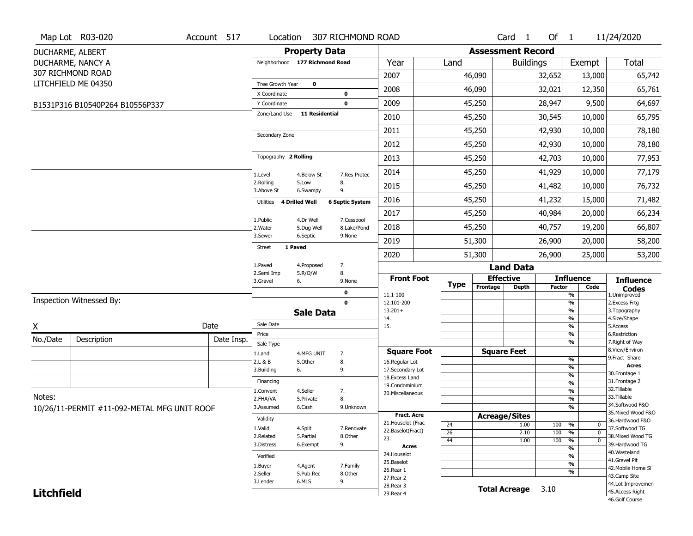|                   | Map Lot R03-020                             | Account 517 | Location                       |                       | 307 RICHMOND ROAD      |                                    |                 |                          | Card <sub>1</sub>                | Of $1$ |                                | 11/24/2020                          |
|-------------------|---------------------------------------------|-------------|--------------------------------|-----------------------|------------------------|------------------------------------|-----------------|--------------------------|----------------------------------|--------|--------------------------------|-------------------------------------|
|                   | DUCHARME, ALBERT                            |             |                                | <b>Property Data</b>  |                        |                                    |                 | <b>Assessment Record</b> |                                  |        |                                |                                     |
|                   | DUCHARME, NANCY A                           |             | Neighborhood 177 Richmond Road |                       |                        | Year                               | Land            |                          | <b>Buildings</b>                 |        | Exempt                         | Total                               |
|                   | 307 RICHMOND ROAD                           |             |                                |                       |                        | 2007                               |                 | 46,090                   |                                  | 32,652 | 13,000                         | 65,742                              |
|                   | LITCHFIELD ME 04350                         |             | Tree Growth Year               | $\pmb{0}$             |                        | 2008                               |                 | 46,090                   |                                  | 32,021 | 12,350                         | 65,761                              |
|                   |                                             |             | X Coordinate                   |                       | 0                      |                                    |                 |                          |                                  |        |                                |                                     |
|                   | B1531P316 B10540P264 B10556P337             |             | Y Coordinate<br>Zone/Land Use  | <b>11 Residential</b> | $\mathbf 0$            | 2009                               |                 | 45,250                   |                                  | 28,947 | 9,500                          | 64,697                              |
|                   |                                             |             |                                |                       |                        | 2010                               |                 | 45,250                   |                                  | 30,545 | 10,000                         | 65,795                              |
|                   |                                             |             | Secondary Zone                 |                       |                        | 2011                               |                 | 45,250                   |                                  | 42,930 | 10,000                         | 78,180                              |
|                   |                                             |             |                                |                       |                        | 2012                               |                 | 45,250                   |                                  | 42,930 | 10,000                         | 78,180                              |
|                   |                                             |             | Topography 2 Rolling           |                       |                        | 2013                               |                 | 45,250                   |                                  | 42,703 | 10,000                         | 77,953                              |
|                   |                                             |             | 1.Level                        | 4.Below St            | 7.Res Protec           | 2014                               |                 | 45,250                   |                                  | 41,929 | 10,000                         | 77,179                              |
|                   |                                             |             | 2.Rolling<br>3.Above St        | 5.Low<br>6.Swampy     | 8.<br>9.               | 2015                               |                 | 45,250                   |                                  | 41,482 | 10,000                         | 76,732                              |
|                   |                                             |             | Utilities                      | 4 Drilled Well        | <b>6 Septic System</b> | 2016                               |                 | 45,250                   |                                  | 41,232 | 15,000                         | 71,482                              |
|                   |                                             |             | 1.Public                       | 4.Dr Well             | 7.Cesspool             | 2017                               |                 | 45,250                   |                                  | 40,984 | 20,000                         | 66,234                              |
|                   |                                             |             | 2. Water                       | 5.Dug Well            | 8.Lake/Pond            | 2018                               |                 | 45,250                   |                                  | 40,757 | 19,200                         | 66,807                              |
|                   |                                             |             | 3.Sewer<br><b>Street</b>       | 6.Septic<br>1 Paved   | 9.None                 | 2019                               |                 | 51,300                   |                                  | 26,900 | 20,000                         | 58,200                              |
|                   |                                             |             |                                |                       |                        | 2020                               |                 | 51,300                   |                                  | 26,900 | 25,000                         | 53,200                              |
|                   |                                             |             | 1.Paved<br>2.Semi Imp          | 4.Proposed<br>5.R/O/W | 7.<br>8.               |                                    |                 |                          | <b>Land Data</b>                 |        |                                |                                     |
|                   |                                             |             | 3.Gravel                       | 6.                    | 9.None                 | <b>Front Foot</b>                  | <b>Type</b>     | Frontage                 | <b>Effective</b><br><b>Depth</b> | Factor | <b>Influence</b><br>Code       | <b>Influence</b>                    |
|                   |                                             |             |                                |                       | 0                      | 11.1-100                           |                 |                          |                                  |        | %                              | <b>Codes</b><br>1.Unimproved        |
|                   | Inspection Witnessed By:                    |             |                                |                       | $\mathbf 0$            | 12.101-200<br>$13.201+$            |                 |                          |                                  |        | %<br>%                         | 2.Excess Frtg<br>3. Topography      |
|                   |                                             |             |                                | <b>Sale Data</b>      |                        | 14.                                |                 |                          |                                  |        | %                              | 4.Size/Shape                        |
| χ                 |                                             | Date        | Sale Date                      |                       |                        | 15.                                |                 |                          |                                  |        | %                              | 5.Access                            |
| No./Date          | Description                                 | Date Insp.  | Price<br>Sale Type             |                       |                        |                                    |                 |                          |                                  |        | %<br>%                         | 6.Restriction<br>7. Right of Way    |
|                   |                                             |             | 1.Land                         | 4.MFG UNIT            | 7.                     | <b>Square Foot</b>                 |                 |                          | <b>Square Feet</b>               |        |                                | 8.View/Environ                      |
|                   |                                             |             | 2.L & B                        | 5.Other               | 8.                     | 16.Regular Lot                     |                 |                          |                                  |        | %<br>%                         | 9.Fract Share<br><b>Acres</b>       |
|                   |                                             |             | 3.Building                     | 6.                    | 9.                     | 17.Secondary Lot<br>18.Excess Land |                 |                          |                                  |        | $\frac{9}{6}$                  | 30. Frontage 1                      |
|                   |                                             |             | Financing                      |                       |                        | 19.Condominium                     |                 |                          |                                  |        | $\frac{9}{6}$                  | 31. Frontage 2<br>32.Tillable       |
| Notes:            |                                             |             | 1.Convent<br>2.FHA/VA          | 4.Seller<br>5.Private | 7.<br>8.               | 20.Miscellaneous                   |                 |                          |                                  |        | $\frac{9}{6}$<br>$\frac{9}{6}$ | 33.Tillable                         |
|                   | 10/26/11-PERMIT #11-092-METAL MFG UNIT ROOF |             | 3.Assumed                      | 6.Cash                | 9.Unknown              |                                    |                 |                          |                                  |        | $\frac{9}{6}$                  | 34.Softwood F&O                     |
|                   |                                             |             | Validity                       |                       |                        | <b>Fract. Acre</b>                 |                 |                          | <b>Acreage/Sites</b>             |        |                                | 35. Mixed Wood F&O                  |
|                   |                                             |             | 1.Valid                        | 4.Split               | 7.Renovate             | 21. Houselot (Frac                 | 24              |                          | 1.00                             | 100    | %<br>$\mathbf 0$               | 36.Hardwood F&O<br>37.Softwood TG   |
|                   |                                             |             | 2.Related                      | 5.Partial             | 8.Other                | 22.Baselot(Fract)<br>23.           | $\overline{26}$ |                          | 2.10                             | 100    | %<br>$\mathbf 0$               | 38. Mixed Wood TG                   |
|                   |                                             |             | 3.Distress                     | 6.Exempt              | 9.                     | <b>Acres</b>                       | 44              |                          | 1.00                             | 100    | %<br>$\mathbf 0$<br>%          | 39.Hardwood TG                      |
|                   |                                             |             | Verified                       |                       |                        | 24. Houselot                       |                 |                          |                                  |        | %                              | 40. Wasteland                       |
|                   |                                             |             | 1.Buyer                        | 4.Agent               | 7.Family               | 25.Baselot                         |                 |                          |                                  |        | %                              | 41.Gravel Pit<br>42. Mobile Home Si |
|                   |                                             |             | 2.Seller                       | 5.Pub Rec             | 8.Other                | 26.Rear 1<br>27.Rear 2             |                 |                          |                                  |        | %                              | 43.Camp Site                        |
|                   |                                             |             | 3.Lender                       | 6.MLS                 | 9.                     | 28. Rear 3                         |                 |                          |                                  |        |                                | 44.Lot Improvemen                   |
| <b>Litchfield</b> |                                             |             |                                |                       |                        | 29. Rear 4                         |                 |                          | <b>Total Acreage</b>             | 3.10   |                                | 45.Access Right                     |
|                   |                                             |             |                                |                       |                        |                                    |                 |                          |                                  |        |                                | 46.Golf Course                      |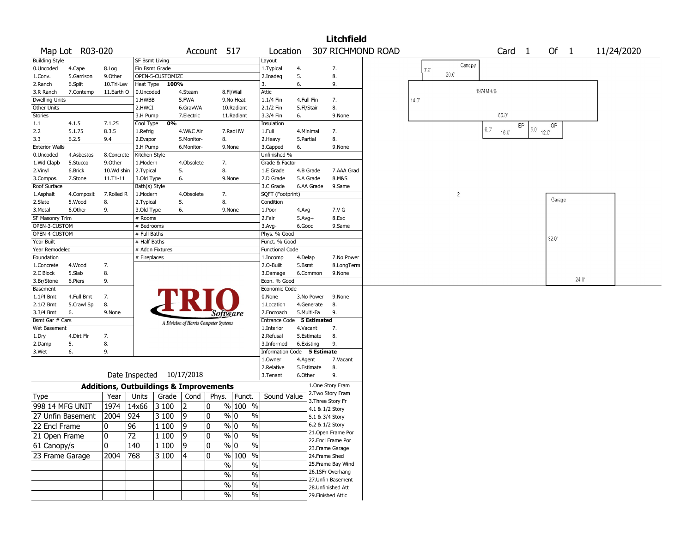|                          |                  |                                                   |                       |                  |                           |                                       |                         |                             |                    |                    | <b>Litchfield</b>                      |       |                |          |        |                        |        |                |            |  |
|--------------------------|------------------|---------------------------------------------------|-----------------------|------------------|---------------------------|---------------------------------------|-------------------------|-----------------------------|--------------------|--------------------|----------------------------------------|-------|----------------|----------|--------|------------------------|--------|----------------|------------|--|
|                          | Map Lot R03-020  |                                                   |                       |                  |                           | Account 517                           |                         | Location                    |                    |                    | 307 RICHMOND ROAD                      |       |                |          | Card 1 |                        | Of $1$ |                | 11/24/2020 |  |
| <b>Building Style</b>    |                  |                                                   | <b>SF Bsmt Living</b> |                  |                           |                                       |                         | Layout                      |                    |                    |                                        |       | Canopy         |          |        |                        |        |                |            |  |
| 0.Uncoded                | 4.Cape           | 8.Log                                             | Fin Bsmt Grade        |                  |                           |                                       |                         | 1. Typical                  | 4.                 |                    | 7.                                     | 7.0   |                |          |        |                        |        |                |            |  |
| 1.Conv.                  | 5.Garrison       | 9.0ther                                           |                       | OPEN-5-CUSTOMIZE |                           |                                       |                         | 2.Inadeg                    | 5.                 |                    | 8.                                     |       | 20.0           |          |        |                        |        |                |            |  |
| 2.Ranch                  | 6.Split          | 10.Tri-Lev                                        | <b>Heat Type</b>      | 100%             |                           |                                       |                         | 3.                          | 6.                 |                    | 9.                                     |       |                |          |        |                        |        |                |            |  |
| 3.R Ranch                | 7.Contemp        | 11.Earth O                                        | 0.Uncoded             |                  | 4.Steam                   |                                       | 8.Fl/Wall               | Attic                       |                    |                    |                                        |       |                | 1974MH/B |        |                        |        |                |            |  |
| <b>Dwelling Units</b>    |                  |                                                   | 1.HWBB                |                  | 5.FWA                     |                                       | 9.No Heat               | 1.1/4 Fin                   | 4.Full Fin         |                    | 7.                                     | 14.0" |                |          |        |                        |        |                |            |  |
| Other Units              |                  |                                                   | 2.HWCI                |                  | 6.GravWA                  |                                       | 10.Radiant              | 2.1/2 Fin                   | 5.Fl/Stair         |                    | 8.                                     |       |                |          | 66.0   |                        |        |                |            |  |
| Stories<br>1.1           | 4.1.5            | 7.1.25                                            | 3.H Pump<br>Cool Type | 0%               | 7.Electric                |                                       | 11.Radiant              | 3.3/4 Fin<br>Insulation     | 6.                 |                    | 9.None                                 |       |                |          |        |                        |        |                |            |  |
| 2.2                      | 5.1.75           | 8.3.5                                             | 1.Refrig              |                  | 4.W&C Air                 |                                       | 7.RadHW                 | 1.Full                      | 4.Minimal          |                    | 7.                                     |       |                | 6.0'     | 16.0   | EP<br>$1^{6,0'}$ 12.0° | OP.    |                |            |  |
| 3.3                      | 6.2.5            | 9.4                                               | 2.Evapor              |                  | 5.Monitor-                | 8.                                    |                         | 2.Heavy                     | 5.Partial          |                    | 8.                                     |       |                |          |        |                        |        |                |            |  |
| <b>Exterior Walls</b>    |                  |                                                   | 3.H Pump              |                  | 6.Monitor-                | 9.None                                |                         | 3.Capped                    | 6.                 |                    | 9.None                                 |       |                |          |        |                        |        |                |            |  |
| 0.Uncoded                | 4.Asbestos       | 8.Concrete                                        | Kitchen Style         |                  |                           |                                       |                         | Unfinished %                |                    |                    |                                        |       |                |          |        |                        |        |                |            |  |
| 1.Wd Clapb               | 5.Stucco         | 9.0ther                                           | 1.Modern              |                  | 4.Obsolete                | 7.                                    |                         | Grade & Factor              |                    |                    |                                        |       |                |          |        |                        |        |                |            |  |
| 2.Vinyl                  | 6.Brick          | 10.Wd shin                                        | 2.Typical             |                  | 5.                        | 8.                                    |                         | 1.E Grade                   | 4.B Grade          |                    | 7.AAA Grad                             |       |                |          |        |                        |        |                |            |  |
| 3.Compos.                | 7.Stone          | 11.T1-11                                          | 3.Old Type            |                  | 6.                        | 9.None                                |                         | 2.D Grade                   | 5.A Grade          |                    | 8.M&S                                  |       |                |          |        |                        |        |                |            |  |
| Roof Surface             |                  |                                                   | Bath(s) Style         |                  |                           |                                       |                         | 3.C Grade                   | 6.AA Grade         |                    | 9.Same                                 |       |                |          |        |                        |        |                |            |  |
| 1.Asphalt                | 4.Composit       | 7.Rolled R                                        | 1.Modern              |                  | 4.Obsolete                | 7.                                    |                         | SQFT (Footprint)            |                    |                    |                                        |       | $\overline{2}$ |          |        |                        |        |                |            |  |
| 2.Slate                  | 5.Wood           | 8.                                                | 2. Typical            |                  | 5.                        | 8.                                    |                         | Condition                   |                    |                    |                                        |       |                |          |        |                        | Garage |                |            |  |
| 3.Metal                  | 6.Other          | 9.                                                | 3.Old Type            |                  | 6.                        | 9.None                                |                         | 1.Poor                      | 4.Avg              |                    | 7.V G                                  |       |                |          |        |                        |        |                |            |  |
| SF Masonry Trim          |                  |                                                   | # Rooms               |                  |                           |                                       |                         | 2.Fair                      | $5.Avg+$           |                    | 8.Exc                                  |       |                |          |        |                        |        |                |            |  |
| OPEN-3-CUSTOM            |                  |                                                   | # Bedrooms            |                  |                           |                                       |                         | $3.$ Avg-                   | 6.Good             |                    | 9.Same                                 |       |                |          |        |                        |        |                |            |  |
| OPEN-4-CUSTOM            |                  |                                                   | # Full Baths          |                  |                           |                                       |                         | Phys. % Good                |                    |                    |                                        |       |                |          |        |                        | 32.0   |                |            |  |
| Year Built               |                  |                                                   | # Half Baths          |                  |                           |                                       |                         | Funct. % Good               |                    |                    |                                        |       |                |          |        |                        |        |                |            |  |
| Year Remodeled           |                  |                                                   | # Addn Fixtures       |                  |                           |                                       |                         | <b>Functional Code</b>      |                    |                    |                                        |       |                |          |        |                        |        |                |            |  |
| Foundation<br>1.Concrete |                  |                                                   | # Fireplaces          |                  |                           |                                       |                         | 1.Incomp                    | 4.Delap            |                    | 7.No Power                             |       |                |          |        |                        |        |                |            |  |
| 2.C Block                | 4.Wood<br>5.Slab | 7.<br>8.                                          |                       |                  |                           |                                       |                         | 2.O-Built<br>3.Damage       | 5.Bsmt<br>6.Common |                    | 8.LongTerm<br>9.None                   |       |                |          |        |                        |        |                |            |  |
| 3.Br/Stone               | 6.Piers          | 9.                                                |                       |                  |                           |                                       |                         | Econ. % Good                |                    |                    |                                        |       |                |          |        |                        |        | $24.0^{\circ}$ |            |  |
| Basement                 |                  |                                                   |                       |                  |                           |                                       |                         | Economic Code               |                    |                    |                                        |       |                |          |        |                        |        |                |            |  |
| $1.1/4$ Bmt              | 4.Full Bmt       | 7.                                                |                       |                  |                           |                                       |                         | 0.None                      | 3.No Power         |                    | 9.None                                 |       |                |          |        |                        |        |                |            |  |
| 2.1/2 Bmt                | 5.Crawl Sp       | 8.                                                |                       |                  |                           |                                       |                         | 1.Location                  | 4.Generate         |                    | 8.                                     |       |                |          |        |                        |        |                |            |  |
| 3.3/4 Bmt                | 6.               | 9.None                                            |                       |                  |                           | <b>Software</b>                       |                         | 2.Encroach                  | 5.Multi-Fa         |                    | 9.                                     |       |                |          |        |                        |        |                |            |  |
| Bsmt Gar # Cars          |                  |                                                   |                       |                  |                           | A Division of Harris Computer Systems |                         | Entrance Code 5 Estimated   |                    |                    |                                        |       |                |          |        |                        |        |                |            |  |
| Wet Basement             |                  |                                                   |                       |                  |                           |                                       |                         | 1.Interior                  | 4.Vacant           |                    | 7.                                     |       |                |          |        |                        |        |                |            |  |
| 1.Dry                    | 4.Dirt Flr       | 7.                                                |                       |                  |                           |                                       |                         | 2.Refusal                   | 5.Estimate         |                    | 8.                                     |       |                |          |        |                        |        |                |            |  |
| 2.Damp                   | 5.               | 8.                                                |                       |                  |                           |                                       |                         | 3.Informed                  | 6.Existing         |                    | 9.                                     |       |                |          |        |                        |        |                |            |  |
| 3.Wet                    | 6.               | 9.                                                |                       |                  |                           |                                       |                         | Information Code 5 Estimate |                    |                    |                                        |       |                |          |        |                        |        |                |            |  |
|                          |                  |                                                   |                       |                  |                           |                                       |                         | 1.0wner                     | 4.Agent            |                    | 7.Vacant                               |       |                |          |        |                        |        |                |            |  |
|                          |                  |                                                   |                       |                  |                           |                                       |                         | 2.Relative                  | 5.Estimate         |                    | 8.                                     |       |                |          |        |                        |        |                |            |  |
|                          |                  |                                                   |                       |                  | Date Inspected 10/17/2018 |                                       |                         | 3.Tenant                    | 6.Other            |                    | 9.                                     |       |                |          |        |                        |        |                |            |  |
|                          |                  | <b>Additions, Outbuildings &amp; Improvements</b> |                       |                  |                           |                                       |                         |                             |                    |                    | 1.One Story Fram                       |       |                |          |        |                        |        |                |            |  |
| Type                     |                  | Year                                              | Units                 | Grade            | Cond                      | Phys.                                 | Funct.                  | Sound Value                 |                    |                    | 2. Two Story Fram                      |       |                |          |        |                        |        |                |            |  |
| 998 14 MFG UNIT          |                  | 1974                                              | 14x66                 | 3 100            | 2                         | 0                                     | % 100 %                 |                             |                    | 3. Three Story Fr  |                                        |       |                |          |        |                        |        |                |            |  |
|                          |                  |                                                   |                       |                  |                           | ٥١                                    | % 0<br>$\%$             |                             |                    | 4.1 & 1/2 Story    |                                        |       |                |          |        |                        |        |                |            |  |
| 27 Unfin Basement        |                  | 2004 924                                          |                       | 3 100            | 19                        |                                       |                         |                             |                    | 5.1 & 3/4 Story    |                                        |       |                |          |        |                        |        |                |            |  |
| 22 Encl Frame            |                  | 10                                                | 96                    | 1100             | 9                         | $\sqrt{0}$<br>0                       | $\frac{0}{6}$           |                             |                    | 6.2 & 1/2 Story    |                                        |       |                |          |        |                        |        |                |            |  |
| 21 Open Frame            |                  | 0                                                 | $\overline{72}$       | 1 100            | 9                         | 10                                    | $\frac{1}{2}$<br>$\%$ 0 |                             |                    |                    | 21.Open Frame Por<br>22.Encl Frame Por |       |                |          |        |                        |        |                |            |  |
| 61 Canopy/s              |                  | 0                                                 | 140                   | $ 1\>100$        | 9                         | 0                                     | $\frac{0}{6}$<br>$\%$ 0 |                             |                    |                    | 23. Frame Garage                       |       |                |          |        |                        |        |                |            |  |
| 23 Frame Garage          |                  | 2004 768                                          |                       | 3100             | 4                         | 0                                     | % 100 %                 |                             |                    | 24.Frame Shed      |                                        |       |                |          |        |                        |        |                |            |  |
|                          |                  |                                                   |                       |                  |                           | $\frac{0}{0}$                         | $\frac{1}{2}$           |                             |                    |                    | 25. Frame Bay Wind                     |       |                |          |        |                        |        |                |            |  |
|                          |                  |                                                   |                       |                  |                           |                                       |                         |                             |                    |                    | 26.1SFr Overhang                       |       |                |          |        |                        |        |                |            |  |
|                          |                  |                                                   |                       |                  |                           | $\%$                                  | $\%$                    |                             |                    |                    | 27. Unfin Basement                     |       |                |          |        |                        |        |                |            |  |
|                          |                  |                                                   |                       |                  |                           | $\%$                                  | $\frac{1}{2}$           |                             |                    |                    | 28. Unfinished Att                     |       |                |          |        |                        |        |                |            |  |
|                          |                  |                                                   |                       |                  |                           | $\%$                                  | $\sqrt{6}$              |                             |                    | 29. Finished Attic |                                        |       |                |          |        |                        |        |                |            |  |
|                          |                  |                                                   |                       |                  |                           |                                       |                         |                             |                    |                    |                                        |       |                |          |        |                        |        |                |            |  |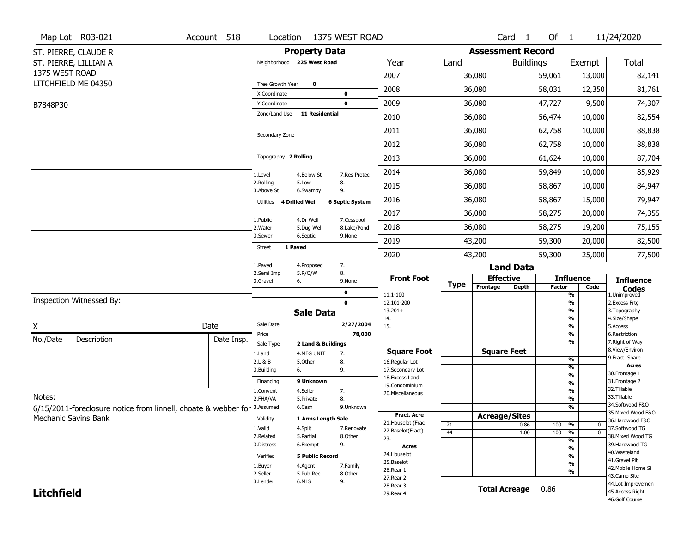|                   | Map Lot R03-021                                                | Account 518 | Location                |                            | 1375 WEST ROAD         |                                         |             |                          | Card <sub>1</sub>    | Of $1$        |                          | 11/24/2020                            |
|-------------------|----------------------------------------------------------------|-------------|-------------------------|----------------------------|------------------------|-----------------------------------------|-------------|--------------------------|----------------------|---------------|--------------------------|---------------------------------------|
|                   | ST. PIERRE, CLAUDE R                                           |             |                         | <b>Property Data</b>       |                        |                                         |             | <b>Assessment Record</b> |                      |               |                          |                                       |
|                   | ST. PIERRE, LILLIAN A                                          |             |                         | Neighborhood 225 West Road |                        | Year                                    | Land        |                          | <b>Buildings</b>     |               | Exempt                   | <b>Total</b>                          |
| 1375 WEST ROAD    |                                                                |             |                         |                            |                        | 2007                                    |             | 36,080                   |                      | 59,061        | 13,000                   | 82,141                                |
|                   | LITCHFIELD ME 04350                                            |             | Tree Growth Year        | $\mathbf 0$                |                        |                                         |             |                          |                      |               |                          |                                       |
|                   |                                                                |             | X Coordinate            |                            | 0                      | 2008                                    |             | 36,080                   |                      | 58,031        | 12,350                   | 81,761                                |
| B7848P30          |                                                                |             | Y Coordinate            |                            | 0                      | 2009                                    |             | 36,080                   |                      | 47,727        | 9,500                    | 74,307                                |
|                   |                                                                |             | Zone/Land Use           | <b>11 Residential</b>      |                        | 2010                                    |             | 36,080                   |                      | 56,474        | 10,000                   | 82,554                                |
|                   |                                                                |             | Secondary Zone          |                            |                        | 2011                                    |             | 36,080                   |                      | 62,758        | 10,000                   | 88,838                                |
|                   |                                                                |             |                         |                            |                        | 2012                                    |             | 36,080                   |                      | 62,758        | 10,000                   | 88,838                                |
|                   |                                                                |             | Topography 2 Rolling    |                            |                        | 2013                                    |             | 36,080                   |                      | 61,624        | 10,000                   | 87,704                                |
|                   |                                                                |             | 1.Level                 | 4.Below St                 | 7.Res Protec           | 2014                                    |             | 36,080                   |                      | 59,849        | 10,000                   | 85,929                                |
|                   |                                                                |             | 2.Rolling<br>3.Above St | 5.Low<br>6.Swampy          | 8.<br>9.               | 2015                                    |             | 36,080                   |                      | 58,867        | 10,000                   | 84,947                                |
|                   |                                                                |             | Utilities               | 4 Drilled Well             | <b>6 Septic System</b> | 2016                                    |             | 36,080                   |                      | 58,867        | 15,000                   | 79,947                                |
|                   |                                                                |             | 1.Public                | 4.Dr Well                  | 7.Cesspool             | 2017                                    |             | 36,080                   |                      | 58,275        | 20,000                   | 74,355                                |
|                   |                                                                |             | 2. Water                | 5.Dug Well                 | 8.Lake/Pond            | 2018                                    |             | 36,080                   |                      | 58,275        | 19,200                   | 75,155                                |
|                   |                                                                |             | 3.Sewer<br>1 Paved      | 6.Septic                   | 9.None                 | 2019                                    |             | 43,200                   |                      | 59,300        | 20,000                   | 82,500                                |
|                   |                                                                |             | <b>Street</b>           |                            |                        | 2020                                    |             | 43,200                   |                      | 59,300        | 25,000                   | 77,500                                |
|                   |                                                                |             | 1.Paved                 | 4.Proposed                 | 7.                     |                                         |             |                          | <b>Land Data</b>     |               |                          |                                       |
|                   |                                                                |             | 2.Semi Imp<br>3.Gravel  | 5.R/O/W<br>6.              | 8.<br>9.None           | <b>Front Foot</b>                       | <b>Type</b> |                          | <b>Effective</b>     |               | <b>Influence</b>         | <b>Influence</b>                      |
|                   |                                                                |             |                         |                            | 0                      | 11.1-100                                |             | Frontage                 | <b>Depth</b>         | <b>Factor</b> | Code<br>%                | <b>Codes</b><br>1.Unimproved          |
|                   | Inspection Witnessed By:                                       |             |                         |                            | $\mathbf 0$            | 12.101-200                              |             |                          |                      |               | %                        | 2. Excess Frtg                        |
|                   |                                                                |             |                         | <b>Sale Data</b>           |                        | $13.201+$<br>14.                        |             |                          |                      |               | %<br>$\frac{9}{6}$       | 3. Topography<br>4.Size/Shape         |
| X                 |                                                                | Date        | Sale Date               |                            | 2/27/2004              | 15.                                     |             |                          |                      |               | %                        | 5.Access                              |
| No./Date          | Description                                                    | Date Insp.  | Price                   |                            | 78,000                 |                                         |             |                          |                      |               | %                        | 6.Restriction                         |
|                   |                                                                |             | Sale Type               | 2 Land & Buildings         |                        | <b>Square Foot</b>                      |             |                          | <b>Square Feet</b>   |               | %                        | 7. Right of Way<br>8.View/Environ     |
|                   |                                                                |             | 1.Land<br>2.L & B       | 4.MFG UNIT<br>5.Other      | 7.<br>8.               | 16.Regular Lot                          |             |                          |                      |               | $\frac{9}{6}$            | 9.Fract Share                         |
|                   |                                                                |             | 3.Building              | 6.                         | 9.                     | 17.Secondary Lot                        |             |                          |                      |               | %                        | <b>Acres</b><br>30. Frontage 1        |
|                   |                                                                |             | Financing               | 9 Unknown                  |                        | 18. Excess Land                         |             |                          |                      |               | $\frac{9}{6}$<br>%       | 31. Frontage 2                        |
|                   |                                                                |             | 1.Convent               | 4.Seller                   | 7.                     | 19.Condominium<br>20.Miscellaneous      |             |                          |                      |               | $\frac{9}{6}$            | 32. Tillable                          |
| Notes:            |                                                                |             | 2.FHA/VA                | 5.Private                  | 8.                     |                                         |             |                          |                      |               | $\overline{\frac{9}{6}}$ | 33.Tillable                           |
|                   | 6/15/2011-foreclosure notice from linnell, choate & webber for |             | 3.Assumed               | 6.Cash                     | 9.Unknown              |                                         |             |                          |                      |               | %                        | 34.Softwood F&O<br>35. Mixed Wood F&O |
|                   | Mechanic Savins Bank                                           |             | Validity                | 1 Arms Length Sale         |                        | <b>Fract. Acre</b>                      |             |                          | <b>Acreage/Sites</b> |               |                          | 36.Hardwood F&O                       |
|                   |                                                                |             | 1.Valid                 | 4.Split                    | 7.Renovate             | 21. Houselot (Frac<br>22.Baselot(Fract) | 21          |                          | 0.86                 | 100           | %<br>0                   | 37.Softwood TG                        |
|                   |                                                                |             | 2.Related               | 5.Partial                  | 8.Other                | 23.                                     | 44          |                          | 1.00                 | 100           | $\overline{0}$<br>%<br>% | 38. Mixed Wood TG                     |
|                   |                                                                |             | 3.Distress              | 6.Exempt                   | 9.                     | <b>Acres</b>                            |             |                          |                      |               | $\frac{9}{6}$            | 39.Hardwood TG                        |
|                   |                                                                |             | Verified                | <b>5 Public Record</b>     |                        | 24. Houselot                            |             |                          |                      |               | %                        | 40. Wasteland                         |
|                   |                                                                |             | 1.Buyer                 | 4.Agent                    | 7.Family               | 25.Baselot                              |             |                          |                      |               | $\frac{9}{6}$            | 41.Gravel Pit                         |
|                   |                                                                |             |                         |                            | 8.Other                | 26.Rear 1                               |             |                          |                      |               | %                        | 42. Mobile Home Si<br>43.Camp Site    |
|                   |                                                                |             | 2.Seller                | 5.Pub Rec                  |                        |                                         |             |                          |                      |               |                          |                                       |
|                   |                                                                |             | 3.Lender                | 6.MLS                      | 9.                     | 27.Rear 2                               |             |                          |                      |               |                          |                                       |
| <b>Litchfield</b> |                                                                |             |                         |                            |                        | 28.Rear 3<br>29. Rear 4                 |             |                          | <b>Total Acreage</b> | 0.86          |                          | 44.Lot Improvemen<br>45.Access Right  |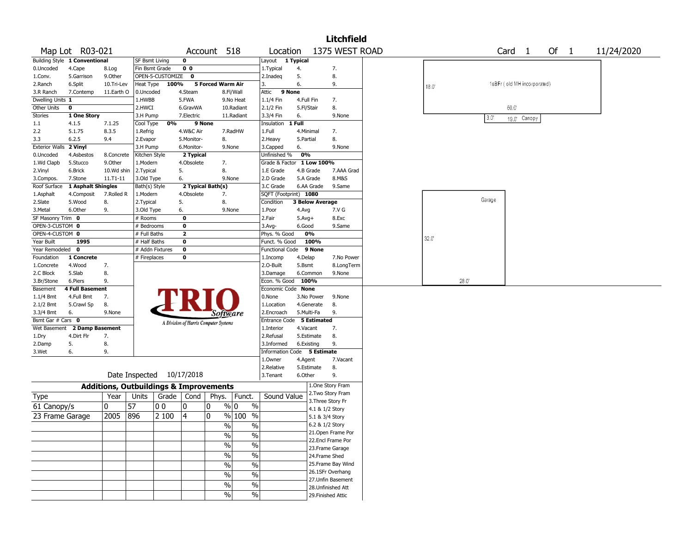|                       |                               |                                                   |                           |                  |                         |                                       |                          |                             |              |                        | <b>Litchfield</b>                      |       |      |        |                             |              |      |            |  |
|-----------------------|-------------------------------|---------------------------------------------------|---------------------------|------------------|-------------------------|---------------------------------------|--------------------------|-----------------------------|--------------|------------------------|----------------------------------------|-------|------|--------|-----------------------------|--------------|------|------------|--|
|                       | Map Lot R03-021               |                                                   |                           |                  |                         | Account 518                           |                          | Location                    |              |                        | 1375 WEST ROAD                         |       |      |        | Card <sub>1</sub>           |              | Of 1 | 11/24/2020 |  |
|                       | Building Style 1 Conventional |                                                   | <b>SF Bsmt Living</b>     |                  | 0                       |                                       |                          | Layout 1 Typical            |              |                        |                                        |       |      |        |                             |              |      |            |  |
| 0.Uncoded             | 4.Cape                        | 8.Log                                             | Fin Bsmt Grade            |                  | 0 <sub>0</sub>          |                                       |                          | 1. Typical                  | 4.           |                        | 7.                                     |       |      |        |                             |              |      |            |  |
| 1.Conv.               | 5.Garrison                    | 9.0ther                                           |                           | OPEN-5-CUSTOMIZE | 0                       |                                       |                          | 2.Inadeg                    | 5.           |                        | 8.                                     |       |      |        |                             |              |      |            |  |
| 2.Ranch               | 6.Split                       | 10.Tri-Lev                                        | Heat Type                 | 100%             |                         | 5 Forced Warm Air                     |                          | 3.                          | 6.           |                        | 9.                                     | 18.0  |      |        | 1sBFr (old MH incorporated) |              |      |            |  |
| 3.R Ranch             | 7.Contemp                     | 11.Earth O                                        | 0.Uncoded                 |                  | 4.Steam                 |                                       | 8.Fl/Wall                | 9 None<br>Attic             |              |                        |                                        |       |      |        |                             |              |      |            |  |
| Dwelling Units 1      |                               |                                                   | 1.HWBB                    |                  | 5.FWA                   |                                       | 9.No Heat                | 1.1/4 Fin                   | 4.Full Fin   |                        | 7.                                     |       |      |        |                             |              |      |            |  |
| Other Units           | 0                             |                                                   | 2.HWCI                    |                  | 6.GravWA                |                                       | 10.Radiant               | 2.1/2 Fin                   | 5.Fl/Stair   |                        | 8.                                     |       |      |        | $60.0^{\circ}$              |              |      |            |  |
| <b>Stories</b>        | 1 One Story                   |                                                   | 3.H Pump                  |                  | 7.Electric              |                                       | 11.Radiant               | 3.3/4 Fin                   | 6.           |                        | 9.None                                 |       |      | 3.0"   |                             | 19.0' Canopy |      |            |  |
| 1.1                   | 4.1.5                         | 7.1.25                                            | Cool Type                 | 0%               | 9 None                  |                                       |                          | Insulation                  | 1 Full       |                        |                                        |       |      |        |                             |              |      |            |  |
| 2.2                   | 5.1.75                        | 8.3.5                                             | 1.Refrig                  |                  | 4.W&C Air               |                                       | 7.RadHW                  | 1.Full                      | 4.Minimal    |                        | 7.                                     |       |      |        |                             |              |      |            |  |
| 3.3                   | 6.2.5                         | 9.4                                               | 2.Evapor                  |                  | 5.Monitor-              | 8.                                    |                          | 2. Heavy                    | 5.Partial    |                        | 8.                                     |       |      |        |                             |              |      |            |  |
| <b>Exterior Walls</b> | 2 Vinyl                       |                                                   | 3.H Pump                  |                  | 6.Monitor-              |                                       | 9.None                   | 3.Capped                    | 6.           |                        | 9.None                                 |       |      |        |                             |              |      |            |  |
| 0.Uncoded             | 4.Asbestos                    | 8.Concrete                                        | Kitchen Style             |                  | 2 Typical               |                                       |                          | Unfinished %                | 0%           |                        |                                        |       |      |        |                             |              |      |            |  |
| 1.Wd Clapb            | 5.Stucco                      | 9.0ther                                           | 1.Modern                  |                  | 4.Obsolete              | 7.                                    |                          | Grade & Factor              |              | 1 Low 100%             |                                        |       |      |        |                             |              |      |            |  |
| 2.Vinyl               | 6.Brick                       | 10.Wd shin                                        | 2.Typical                 |                  | 5.                      | 8.                                    |                          | 1.E Grade                   |              | 4.B Grade              | 7.AAA Grad                             |       |      |        |                             |              |      |            |  |
| 3.Compos.             | 7.Stone                       | $11. T1 - 11$                                     | 3.Old Type                |                  | 6.                      |                                       | 9.None                   | 2.D Grade                   | 5.A Grade    |                        | 8.M&S                                  |       |      |        |                             |              |      |            |  |
| Roof Surface          | 1 Asphalt Shingles            |                                                   | Bath(s) Style             |                  |                         | 2 Typical Bath(s)                     |                          | 3.C Grade                   |              | 6.AA Grade             | 9.Same                                 |       |      |        |                             |              |      |            |  |
| 1.Asphalt             | 4.Composit                    | 7.Rolled R                                        | 1.Modern                  |                  | 4.Obsolete              | 7.                                    |                          | SQFT (Footprint) 1080       |              |                        |                                        |       |      |        |                             |              |      |            |  |
| 2.Slate               | 5.Wood                        | 8.                                                | 2. Typical                |                  | 5.                      | 8.                                    |                          | Condition                   |              | <b>3 Below Average</b> |                                        |       |      | Garage |                             |              |      |            |  |
| 3.Metal               | 6.Other                       | 9.                                                | 3.Old Type                |                  | 6.                      |                                       | 9.None                   | 1.Poor                      | 4.Avg        |                        | 7.V G                                  |       |      |        |                             |              |      |            |  |
| SF Masonry Trim 0     |                               |                                                   | # Rooms                   |                  | 0                       |                                       |                          | 2.Fair                      | $5.$ Avg $+$ |                        | 8.Exc                                  |       |      |        |                             |              |      |            |  |
| OPEN-3-CUSTOM 0       |                               |                                                   | # Bedrooms                |                  | 0                       |                                       |                          | 3.Avg-                      | 6.Good       |                        | 9.Same                                 |       |      |        |                             |              |      |            |  |
| OPEN-4-CUSTOM 0       |                               |                                                   | # Full Baths              |                  | $\overline{\mathbf{2}}$ |                                       |                          | Phys. % Good                |              | 0%                     |                                        |       |      |        |                             |              |      |            |  |
| Year Built            | 1995                          |                                                   | # Half Baths              |                  | 0                       |                                       |                          | Funct. % Good               |              | 100%                   |                                        | 32.0' |      |        |                             |              |      |            |  |
| Year Remodeled        | $\mathbf 0$                   |                                                   |                           | # Addn Fixtures  | $\mathbf 0$             |                                       |                          | <b>Functional Code</b>      |              | 9 None                 |                                        |       |      |        |                             |              |      |            |  |
| Foundation            | 1 Concrete                    |                                                   | # Fireplaces              |                  | 0                       |                                       |                          | 1.Incomp                    | 4.Delap      |                        | 7.No Power                             |       |      |        |                             |              |      |            |  |
| 1.Concrete            | 4.Wood                        | 7.                                                |                           |                  |                         |                                       |                          | 2.O-Built                   | 5.Bsmt       |                        | 8.LongTerm                             |       |      |        |                             |              |      |            |  |
| 2.C Block             | 5.Slab                        | 8.                                                |                           |                  |                         |                                       |                          | 3.Damage                    |              | 6.Common               | 9.None                                 |       |      |        |                             |              |      |            |  |
| 3.Br/Stone            | 6.Piers                       | 9.                                                |                           |                  |                         |                                       |                          | Econ. % Good                | 100%         |                        |                                        |       | 28.0 |        |                             |              |      |            |  |
| Basement              | <b>4 Full Basement</b>        |                                                   |                           |                  |                         |                                       |                          | Economic Code None          |              |                        |                                        |       |      |        |                             |              |      |            |  |
| $1.1/4$ Bmt           | 4.Full Bmt                    | 7.                                                |                           |                  |                         |                                       |                          | 0.None                      |              | 3.No Power             | 9.None                                 |       |      |        |                             |              |      |            |  |
| 2.1/2 Bmt             | 5.Crawl Sp                    | 8.                                                |                           |                  |                         |                                       |                          | 1.Location                  |              | 4.Generate             | 8.                                     |       |      |        |                             |              |      |            |  |
| 3.3/4 Bmt             | 6.                            | 9.None                                            |                           |                  |                         | Software                              |                          | 2.Encroach                  | 5.Multi-Fa   |                        | 9.                                     |       |      |        |                             |              |      |            |  |
| Bsmt Gar # Cars 0     |                               |                                                   |                           |                  |                         | A Division of Harris Computer Systems |                          | Entrance Code 5 Estimated   |              |                        |                                        |       |      |        |                             |              |      |            |  |
|                       | Wet Basement 2 Damp Basement  |                                                   |                           |                  |                         |                                       |                          | 1.Interior                  | 4.Vacant     |                        | 7.                                     |       |      |        |                             |              |      |            |  |
| 1.Dry                 | 4.Dirt Flr                    | 7.                                                |                           |                  |                         |                                       |                          | 2.Refusal                   |              | 5.Estimate             | 8.                                     |       |      |        |                             |              |      |            |  |
| 2.Damp                | 5.                            | 8.                                                |                           |                  |                         |                                       |                          | 3.Informed                  | 6.Existing   |                        | 9.                                     |       |      |        |                             |              |      |            |  |
| 3.Wet                 | 6.                            | 9.                                                |                           |                  |                         |                                       |                          | Information Code 5 Estimate |              |                        |                                        |       |      |        |                             |              |      |            |  |
|                       |                               |                                                   |                           |                  |                         |                                       |                          | 1.0wner                     | 4.Agent      |                        | 7.Vacant                               |       |      |        |                             |              |      |            |  |
|                       |                               |                                                   |                           |                  |                         |                                       |                          | 2.Relative                  |              | 5.Estimate             | 8.                                     |       |      |        |                             |              |      |            |  |
|                       |                               |                                                   | Date Inspected 10/17/2018 |                  |                         |                                       |                          | 3.Tenant                    | 6.Other      |                        | 9.                                     |       |      |        |                             |              |      |            |  |
|                       |                               | <b>Additions, Outbuildings &amp; Improvements</b> |                           |                  |                         |                                       |                          |                             |              |                        | 1.One Story Fram                       |       |      |        |                             |              |      |            |  |
| Type                  |                               | Year                                              | Units                     |                  | Grade   Cond            | Phys.                                 | Funct.                   | Sound Value                 |              |                        | 2. Two Story Fram                      |       |      |        |                             |              |      |            |  |
| 61 Canopy/s           |                               | 0                                                 | 57                        | 00               | 10                      | 0                                     | % 0<br>$\%$              |                             |              |                        | 3. Three Story Fr<br>4.1 & 1/2 Story   |       |      |        |                             |              |      |            |  |
| 23 Frame Garage       |                               | 2005                                              | 896                       | 2 100            | 14                      | 0                                     | % 100<br>$\frac{0}{0}$   |                             |              |                        | 5.1 & 3/4 Story                        |       |      |        |                             |              |      |            |  |
|                       |                               |                                                   |                           |                  |                         |                                       |                          |                             |              |                        | 6.2 & 1/2 Story                        |       |      |        |                             |              |      |            |  |
|                       |                               |                                                   |                           |                  |                         | $\%$                                  | $\%$                     |                             |              |                        | 21. Open Frame Por                     |       |      |        |                             |              |      |            |  |
|                       |                               |                                                   |                           |                  |                         | $\frac{0}{0}$                         | $\%$                     |                             |              |                        | 22.Encl Frame Por                      |       |      |        |                             |              |      |            |  |
|                       |                               |                                                   |                           |                  |                         | $\sqrt{6}$                            | $\%$                     |                             |              |                        |                                        |       |      |        |                             |              |      |            |  |
|                       |                               |                                                   |                           |                  |                         | $\sqrt{6}$                            | $\overline{\frac{0}{6}}$ |                             |              |                        | 23. Frame Garage<br>24.Frame Shed      |       |      |        |                             |              |      |            |  |
|                       |                               |                                                   |                           |                  |                         |                                       |                          |                             |              |                        |                                        |       |      |        |                             |              |      |            |  |
|                       |                               |                                                   |                           |                  |                         | $\frac{0}{0}$                         | $\%$                     |                             |              |                        | 25. Frame Bay Wind<br>26.1SFr Overhang |       |      |        |                             |              |      |            |  |
|                       |                               |                                                   |                           |                  |                         | $\frac{0}{0}$                         | $\%$                     |                             |              |                        |                                        |       |      |        |                             |              |      |            |  |
|                       |                               |                                                   |                           |                  |                         | $\frac{0}{0}$                         | $\%$                     |                             |              |                        | 27. Unfin Basement                     |       |      |        |                             |              |      |            |  |
|                       |                               |                                                   |                           |                  |                         | $\frac{0}{0}$                         | $\frac{0}{0}$            |                             |              |                        | 28. Unfinished Att                     |       |      |        |                             |              |      |            |  |
|                       |                               |                                                   |                           |                  |                         |                                       |                          |                             |              |                        | 29. Finished Attic                     |       |      |        |                             |              |      |            |  |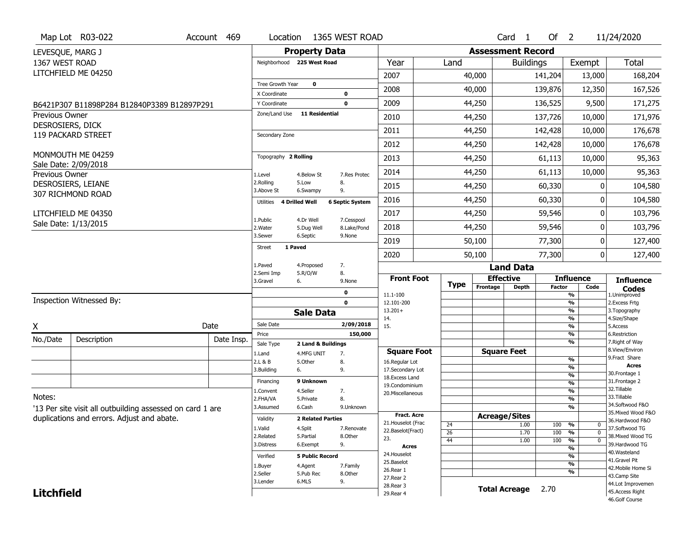| Map Lot R03-022<br>1365 WEST ROAD<br>Account 469<br>Location<br>Card <sub>1</sub>                                      | Of $2$                                               | 11/24/2020                                            |
|------------------------------------------------------------------------------------------------------------------------|------------------------------------------------------|-------------------------------------------------------|
| <b>Property Data</b><br><b>Assessment Record</b><br>LEVESQUE, MARG J                                                   |                                                      |                                                       |
| 1367 WEST ROAD<br>Year<br>Neighborhood 225 West Road<br>Land                                                           | Exempt<br><b>Buildings</b>                           | Total                                                 |
| LITCHFIELD ME 04250<br>2007<br>40,000                                                                                  | 141,204                                              | 13,000<br>168,204                                     |
| $\mathbf 0$<br>Tree Growth Year                                                                                        |                                                      |                                                       |
| 2008<br>40,000<br>X Coordinate<br>$\mathbf 0$                                                                          | 139,876                                              | 167,526<br>12,350                                     |
| 2009<br>44,250<br>$\mathbf 0$<br>Y Coordinate<br>B6421P307 B11898P284 B12840P3389 B12897P291                           | 136,525                                              | 171,275<br>9,500                                      |
| Zone/Land Use<br><b>11 Residential</b><br><b>Previous Owner</b><br>2010<br>44,250                                      | 137,726                                              | 171,976<br>10,000                                     |
| DESROSIERS, DICK<br>2011<br>44,250<br>119 PACKARD STREET<br>Secondary Zone                                             | 142,428                                              | 176,678<br>10,000                                     |
| 2012<br>44,250                                                                                                         | 142,428                                              | 176,678<br>10,000                                     |
| MONMOUTH ME 04259<br>Topography 2 Rolling<br>2013<br>44,250                                                            | 61,113                                               | 10,000<br>95,363                                      |
| Sale Date: 2/09/2018<br>2014<br>44,250<br>Previous Owner<br>1.Level<br>4.Below St<br>7.Res Protec                      | 61,113                                               | 10,000<br>95,363                                      |
| 2.Rolling<br>8.<br>5.Low<br>DESROSIERS, LEIANE<br>2015<br>44,250<br>9.<br>3.Above St<br>6.Swampy                       | 60,330                                               | 104,580<br>0                                          |
| 307 RICHMOND ROAD<br>2016<br>44,250<br>4 Drilled Well<br><b>6 Septic System</b><br>Utilities                           | 60,330                                               | 104,580<br>O                                          |
| 2017<br>44,250<br>LITCHFIELD ME 04350                                                                                  | 59,546                                               | 103,796<br>0                                          |
| 4.Dr Well<br>7.Cesspool<br>1.Public<br>Sale Date: 1/13/2015<br>2018<br>44,250<br>2. Water<br>5.Dug Well<br>8.Lake/Pond | 59,546                                               | 103,796<br>0                                          |
| 3.Sewer<br>6.Septic<br>9.None<br>2019<br>50,100                                                                        | 77,300                                               | 127,400<br>0                                          |
| 1 Paved<br>Street<br>2020<br>50,100                                                                                    | 77,300                                               | 0<br>127,400                                          |
| 1.Paved<br>7.<br>4.Proposed<br><b>Land Data</b>                                                                        |                                                      |                                                       |
| 8.<br>2.Semi Imp<br>5.R/O/W<br><b>Front Foot</b><br><b>Effective</b><br>3.Gravel<br>6.<br>9.None                       | <b>Influence</b>                                     | <b>Influence</b>                                      |
| <b>Type</b><br>Frontage<br><b>Depth</b><br>0                                                                           | <b>Factor</b>                                        | Code<br><b>Codes</b>                                  |
| 11.1-100<br>Inspection Witnessed By:<br>$\mathbf 0$<br>12.101-200                                                      | %<br>%                                               | 1.Unimproved<br>2. Excess Frtg                        |
| $13.201+$<br><b>Sale Data</b>                                                                                          | %                                                    | 3. Topography                                         |
| 14.<br>Sale Date<br>2/09/2018<br>Date<br>15.                                                                           | %<br>%                                               | 4.Size/Shape<br>5.Access                              |
| X<br>150,000<br>Price                                                                                                  | %                                                    | 6.Restriction                                         |
| No./Date<br>Description<br>Date Insp.<br>Sale Type<br>2 Land & Buildings                                               | %                                                    | 7. Right of Way                                       |
| <b>Square Feet</b><br><b>Square Foot</b><br>1.Land<br>4.MFG UNIT<br>7.                                                 | $\frac{9}{6}$                                        | 8.View/Environ<br>9.Fract Share                       |
| 2.L & B<br>5.Other<br>8.<br>16.Regular Lot<br>3.Building<br>9.<br>17.Secondary Lot<br>6.                               | %                                                    | <b>Acres</b>                                          |
| 18. Excess Land                                                                                                        | $\overline{\frac{9}{6}}$                             | 30. Frontage 1                                        |
| 9 Unknown<br>Financing<br>19.Condominium                                                                               | $\overline{\frac{9}{6}}$                             | 31. Frontage 2<br>32.Tillable                         |
| 4.Seller<br>7.<br>1.Convent<br>20.Miscellaneous<br>Notes:<br>8.                                                        | $\overline{\frac{9}{6}}$<br>$\overline{\frac{9}{6}}$ | 33.Tillable                                           |
| 2.FHA/VA<br>5.Private<br>6.Cash<br>3.Assumed<br>9.Unknown                                                              | $\frac{9}{6}$                                        | 34.Softwood F&O                                       |
| '13 Per site visit all outbuilding assessed on card 1 are<br><b>Fract, Acre</b><br><b>Acreage/Sites</b>                |                                                      | 35. Mixed Wood F&O                                    |
| duplications and errors. Adjust and abate.<br>Validity<br><b>2 Related Parties</b><br>21. Houselot (Frac<br>24<br>1.00 | 100<br>%                                             | 36.Hardwood F&O<br>0                                  |
| 1.Valid<br>4.Split<br>7.Renovate<br>22.Baselot(Fract)<br>$\overline{26}$<br>1.70                                       | 100<br>%                                             | 37.Softwood TG<br>$\mathbf 0$                         |
| 2.Related<br>5.Partial<br>8.Other<br>23.<br>44<br>1.00<br>3.Distress<br>9.<br>6.Exempt                                 | 100<br>$\frac{9}{6}$                                 | 38. Mixed Wood TG<br>$\overline{0}$<br>39.Hardwood TG |
| Acres                                                                                                                  | %                                                    | 40. Wasteland                                         |
| 24. Houselot<br><b>5 Public Record</b><br>Verified<br>25.Baselot                                                       | %                                                    | 41.Gravel Pit                                         |
| 1.Buyer<br>4.Agent<br>7.Family<br>26.Rear 1                                                                            | $\frac{9}{6}$<br>%                                   | 42. Mobile Home Si                                    |
| 2.Seller<br>5.Pub Rec<br>8.Other<br>27.Rear 2                                                                          |                                                      | 43.Camp Site                                          |
| 6.MLS<br>9.<br>3.Lender<br>28. Rear 3                                                                                  |                                                      | 44.Lot Improvemen                                     |
| <b>Total Acreage</b><br><b>Litchfield</b><br>29. Rear 4                                                                | 2.70                                                 | 45.Access Right                                       |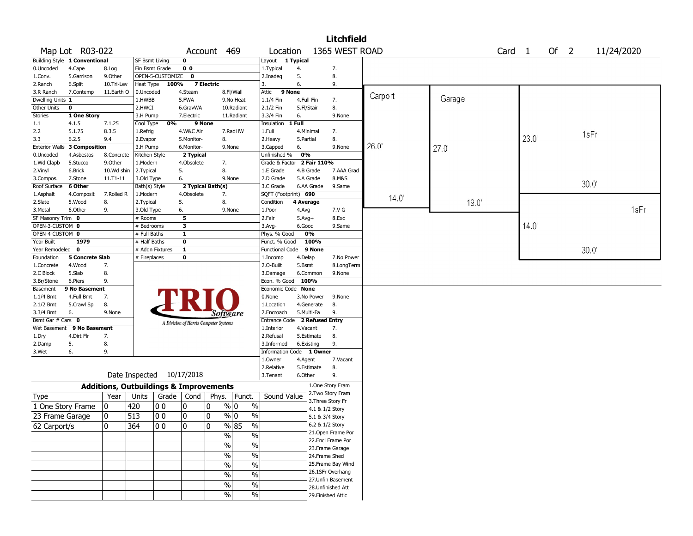|                           |                               |                                                   |                             |                    |                |                                       |               |                               |           |                         | <b>Litchfield</b>                     |                |        |        |      |      |      |            |
|---------------------------|-------------------------------|---------------------------------------------------|-----------------------------|--------------------|----------------|---------------------------------------|---------------|-------------------------------|-----------|-------------------------|---------------------------------------|----------------|--------|--------|------|------|------|------------|
|                           | Map Lot R03-022               |                                                   |                             |                    |                | Account 469                           |               | Location                      |           |                         | 1365 WEST ROAD                        |                |        | Card 1 |      | Of 2 |      | 11/24/2020 |
|                           | Building Style 1 Conventional |                                                   | <b>SF Bsmt Living</b>       |                    | $\mathbf 0$    |                                       |               | Layout 1 Typical              |           |                         |                                       |                |        |        |      |      |      |            |
| 0.Uncoded                 | 4.Cape                        | 8.Log                                             | Fin Bsmt Grade              |                    | 0 <sub>0</sub> |                                       |               | 1. Typical                    | 4.        |                         | 7.                                    |                |        |        |      |      |      |            |
| 1.Conv.                   | 5.Garrison                    | 9.0ther                                           |                             | OPEN-5-CUSTOMIZE   | $\mathbf 0$    |                                       |               | 2.Inadeg                      | 5.        |                         | 8.                                    |                |        |        |      |      |      |            |
| 2.Ranch                   | 6.Split                       | 10.Tri-Lev                                        | Heat Type                   | 100%               |                | <b>7 Electric</b>                     |               | 3.                            | 6.        |                         | 9.                                    |                |        |        |      |      |      |            |
| 3.R Ranch                 | 7.Contemp                     | 11.Earth O                                        | 0.Uncoded                   |                    | 4.Steam        |                                       | 8.Fl/Wall     | Attic                         | 9 None    |                         |                                       | Carport        |        |        |      |      |      |            |
| Dwelling Units 1          |                               |                                                   | 1.HWBB                      |                    | 5.FWA          |                                       | 9.No Heat     | 1.1/4 Fin                     |           | 4.Full Fin              | 7.                                    |                | Garage |        |      |      |      |            |
| Other Units               | $\mathbf 0$                   |                                                   | 2.HWCI                      |                    | 6.GravWA       |                                       | 10.Radiant    | 2.1/2 Fin                     |           | 5.Fl/Stair              | 8.                                    |                |        |        |      |      |      |            |
| Stories                   | 1 One Story                   |                                                   | 3.H Pump                    |                    | 7.Electric     |                                       | 11.Radiant    | 3.3/4 Fin                     | 6.        |                         | 9.None                                |                |        |        |      |      |      |            |
| 1.1                       | 4.1.5                         | 7.1.25                                            | Cool Type                   | 0%                 | 9 None         |                                       |               | Insulation 1 Full             |           |                         |                                       |                |        |        |      |      |      |            |
| 2.2                       | 5.1.75                        | 8.3.5                                             | 1.Refrig                    |                    | 4.W&C Air      |                                       | 7.RadHW       | 1.Full                        |           | 4.Minimal               | 7.                                    |                |        |        |      |      | 1sFr |            |
| 3.3                       | 6.2.5                         | 9.4                                               | 2.Evapor                    |                    | 5.Monitor-     | 8.                                    |               | 2. Heavy                      | 5.Partial |                         | 8.                                    |                |        |        | 23.0 |      |      |            |
| <b>Exterior Walls</b>     | <b>3 Composition</b>          |                                                   | 3.H Pump                    |                    | 6.Monitor-     | 9.None                                |               | 3.Capped                      | 6.        |                         | 9.None                                | 26.0'          | 27.0   |        |      |      |      |            |
| 0.Uncoded                 | 4.Asbestos                    | 8.Concrete                                        | Kitchen Style               |                    | 2 Typical      |                                       |               | Unfinished %                  | 0%        |                         |                                       |                |        |        |      |      |      |            |
| 1.Wd Clapb                | 5.Stucco                      | 9.Other                                           | 1.Modern                    |                    | 4.Obsolete     | 7.                                    |               | Grade & Factor 2 Fair 110%    |           |                         |                                       |                |        |        |      |      |      |            |
| 2.Vinyl                   | 6.Brick                       | 10.Wd shin                                        | 2.Typical                   |                    | 5.             | 8.                                    |               | 1.E Grade                     |           | 4.B Grade               | 7.AAA Grad                            |                |        |        |      |      |      |            |
| 3.Compos.<br>Roof Surface | 7.Stone<br>6 Other            | 11.T1-11                                          | 3.Old Type<br>Bath(s) Style |                    | 6.             | 9.None<br>2 Typical Bath(s)           |               | 2.D Grade<br>3.C Grade        |           | 5.A Grade<br>6.AA Grade | 8.M&S<br>9.Same                       |                |        |        |      |      | 30.0 |            |
| 1.Asphalt                 | 4.Composit                    | 7.Rolled R                                        | 1.Modern                    |                    | 4.Obsolete     | 7.                                    |               | SQFT (Footprint) 690          |           |                         |                                       |                |        |        |      |      |      |            |
| 2.Slate                   | 5.Wood                        | 8.                                                | 2.Typical                   |                    | 5.             | 8.                                    |               | Condition                     | 4 Average |                         |                                       | $14.0^{\circ}$ | 19.0'  |        |      |      |      |            |
| 3. Metal                  | 6.Other                       | 9.                                                | 3.Old Type                  |                    | 6.             | 9.None                                |               | 1.Poor                        | 4.Avg     |                         | 7.V G                                 |                |        |        |      |      |      | 1sFr       |
| SF Masonry Trim 0         |                               |                                                   | # Rooms                     |                    | 5              |                                       |               | 2.Fair                        | $5.Avg+$  |                         | 8.Exc                                 |                |        |        |      |      |      |            |
| OPEN-3-CUSTOM 0           |                               |                                                   | # Bedrooms                  |                    | 3              |                                       |               | $3.Avg-$                      | 6.Good    |                         | 9.Same                                |                |        |        | 14.0 |      |      |            |
| OPEN-4-CUSTOM 0           |                               |                                                   | # Full Baths                |                    | 1              |                                       |               | Phys. % Good                  |           | 0%                      |                                       |                |        |        |      |      |      |            |
| Year Built                | 1979                          |                                                   | # Half Baths                |                    | $\mathbf 0$    |                                       |               | Funct. % Good                 |           | 100%                    |                                       |                |        |        |      |      |      |            |
| Year Remodeled            | $\mathbf{0}$                  |                                                   | # Addn Fixtures             |                    | $\mathbf{1}$   |                                       |               | Functional Code               |           | 9 None                  |                                       |                |        |        |      |      | 30.0 |            |
| Foundation                | 5 Concrete Slab               |                                                   | # Fireplaces                |                    | 0              |                                       |               | 1.Incomp                      | 4.Delap   |                         | 7.No Power                            |                |        |        |      |      |      |            |
| 1.Concrete                | 4.Wood                        | 7.                                                |                             |                    |                |                                       |               | 2.0-Built                     | 5.Bsmt    |                         | 8.LongTerm                            |                |        |        |      |      |      |            |
| 2.C Block                 | 5.Slab                        | 8.                                                |                             |                    |                |                                       |               | 3.Damage                      |           | 6.Common                | 9.None                                |                |        |        |      |      |      |            |
| 3.Br/Stone                | 6.Piers                       | 9.                                                |                             |                    |                |                                       |               | Econ. % Good 100%             |           |                         |                                       |                |        |        |      |      |      |            |
| Basement                  | 9 No Basement                 |                                                   |                             |                    |                |                                       |               | Economic Code None            |           |                         |                                       |                |        |        |      |      |      |            |
| $1.1/4$ Bmt               | 4.Full Bmt                    | 7.                                                |                             |                    |                |                                       |               | 0.None                        |           | 3.No Power              | 9.None                                |                |        |        |      |      |      |            |
| 2.1/2 Bmt                 | 5.Crawl Sp                    | 8.                                                |                             |                    |                |                                       |               | 1.Location                    |           | 4.Generate              | 8.                                    |                |        |        |      |      |      |            |
| 3.3/4 Bmt                 | 6.                            | 9.None                                            |                             |                    |                | <i>Software</i>                       |               | 2.Encroach                    |           | 5.Multi-Fa              | 9.                                    |                |        |        |      |      |      |            |
| Bsmt Gar # Cars 0         |                               |                                                   |                             |                    |                | A Division of Harris Computer Systems |               | Entrance Code 2 Refused Entry |           |                         |                                       |                |        |        |      |      |      |            |
|                           | Wet Basement 9 No Basement    |                                                   |                             |                    |                |                                       |               | 1.Interior                    |           | 4.Vacant                | 7.                                    |                |        |        |      |      |      |            |
| 1.Dry                     | 4.Dirt Flr                    | 7.                                                |                             |                    |                |                                       |               | 2.Refusal                     |           | 5.Estimate              | 8.                                    |                |        |        |      |      |      |            |
| 2.Damp                    | 5.                            | 8.                                                |                             |                    |                |                                       |               | 3.Informed                    |           | 6.Existing              | 9.                                    |                |        |        |      |      |      |            |
| 3.Wet                     | 6.                            | 9.                                                |                             |                    |                |                                       |               | Information Code 1 Owner      |           |                         |                                       |                |        |        |      |      |      |            |
|                           |                               |                                                   |                             |                    |                |                                       |               | 1.0wner<br>2.Relative         | 4.Agent   | 5.Estimate              | 7.Vacant<br>8.                        |                |        |        |      |      |      |            |
|                           |                               |                                                   | Date Inspected 10/17/2018   |                    |                |                                       |               | 3. Tenant                     | 6.Other   |                         | 9.                                    |                |        |        |      |      |      |            |
|                           |                               |                                                   |                             |                    |                |                                       |               |                               |           |                         |                                       |                |        |        |      |      |      |            |
|                           |                               | <b>Additions, Outbuildings &amp; Improvements</b> |                             |                    |                |                                       |               |                               |           |                         | 1.One Story Fram<br>2. Two Story Fram |                |        |        |      |      |      |            |
| <b>Type</b>               |                               | Year                                              | Units                       | Grade $\vert$ Cond |                | Phys.                                 | Funct.        | Sound Value                   |           |                         | 3. Three Story Fr                     |                |        |        |      |      |      |            |
|                           | 1 One Story Frame             | 0                                                 | 420                         | 00                 | 10             | 0                                     | % 0           | $\%$                          |           | 4.1 & 1/2 Story         |                                       |                |        |        |      |      |      |            |
| 23 Frame Garage           |                               | 0                                                 | 513                         | 00                 | 10             | 0                                     | % 0           | $\%$                          |           | 5.1 & 3/4 Story         |                                       |                |        |        |      |      |      |            |
| 62 Carport/s              |                               | 0                                                 | 364                         | 10 O               | 0              | 0                                     | $\sqrt{8}$ 85 | $\frac{9}{6}$                 |           |                         | 6.2 & 1/2 Story                       |                |        |        |      |      |      |            |
|                           |                               |                                                   |                             |                    |                | $\frac{9}{6}$                         |               | $\overline{\frac{0}{0}}$      |           |                         | 21. Open Frame Por                    |                |        |        |      |      |      |            |
|                           |                               |                                                   |                             |                    |                |                                       |               |                               |           |                         | 22.Encl Frame Por                     |                |        |        |      |      |      |            |
|                           |                               |                                                   |                             |                    |                | $\frac{9}{6}$                         |               | $\overline{\frac{0}{0}}$      |           |                         | 23. Frame Garage                      |                |        |        |      |      |      |            |
|                           |                               |                                                   |                             |                    |                | $\sqrt{6}$                            |               | $\overline{\frac{0}{0}}$      |           | 24.Frame Shed           |                                       |                |        |        |      |      |      |            |
|                           |                               |                                                   |                             |                    |                | $\overline{\frac{0}{0}}$              |               | $\frac{0}{0}$                 |           |                         | 25. Frame Bay Wind                    |                |        |        |      |      |      |            |
|                           |                               |                                                   |                             |                    |                | $\%$                                  |               | $\%$                          |           |                         | 26.1SFr Overhang                      |                |        |        |      |      |      |            |
|                           |                               |                                                   |                             |                    |                | %                                     |               | $\overline{\frac{0}{0}}$      |           |                         | 27.Unfin Basement                     |                |        |        |      |      |      |            |
|                           |                               |                                                   |                             |                    |                |                                       |               |                               |           |                         | 28. Unfinished Att                    |                |        |        |      |      |      |            |
|                           |                               |                                                   |                             |                    |                | $\sqrt{6}$                            |               | $\frac{0}{0}$                 |           |                         | 29. Finished Attic                    |                |        |        |      |      |      |            |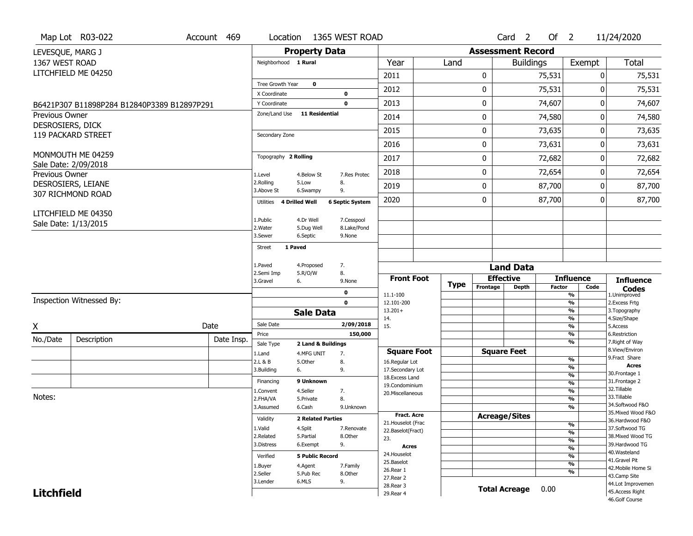|                   | Map Lot R03-022                             | Account 469                 | Location                           |                           | 1365 WEST ROAD         |                                    |                                      |                          | Card <sub>2</sub>    | Of $2$                        |                                  | 11/24/2020                           |  |  |
|-------------------|---------------------------------------------|-----------------------------|------------------------------------|---------------------------|------------------------|------------------------------------|--------------------------------------|--------------------------|----------------------|-------------------------------|----------------------------------|--------------------------------------|--|--|
| LEVESQUE, MARG J  |                                             |                             |                                    | <b>Property Data</b>      |                        |                                    |                                      | <b>Assessment Record</b> |                      |                               |                                  |                                      |  |  |
| 1367 WEST ROAD    |                                             |                             | Neighborhood 1 Rural               |                           |                        | Year                               | Land                                 |                          | <b>Buildings</b>     |                               | Exempt                           | Total                                |  |  |
|                   | LITCHFIELD ME 04250                         |                             |                                    |                           |                        | 2011                               |                                      | 0                        |                      | 75,531                        | 0                                | 75,531                               |  |  |
|                   |                                             |                             | Tree Growth Year                   | $\bf{0}$                  |                        |                                    |                                      |                          |                      |                               |                                  |                                      |  |  |
|                   |                                             |                             | X Coordinate                       |                           | $\mathbf 0$            | 2012                               |                                      | 0                        |                      | 75,531                        | 0                                | 75,531                               |  |  |
|                   | B6421P307 B11898P284 B12840P3389 B12897P291 |                             | Y Coordinate                       |                           | $\mathbf 0$            | 2013                               |                                      | 0                        |                      | 74,607                        | 0                                | 74,607                               |  |  |
| Previous Owner    |                                             |                             | Zone/Land Use                      | <b>11 Residential</b>     |                        | 2014                               |                                      | 0                        |                      | 74,580                        | 0                                | 74,580                               |  |  |
| DESROSIERS, DICK  | 119 PACKARD STREET                          |                             | Secondary Zone                     |                           |                        | 2015                               |                                      | 0                        |                      | 73,635                        |                                  | 0<br>73,635                          |  |  |
|                   |                                             |                             |                                    |                           |                        | 2016                               |                                      | 0                        |                      | 73,631                        |                                  | 0<br>73,631                          |  |  |
|                   | MONMOUTH ME 04259                           |                             | Topography 2 Rolling               |                           |                        | 2017                               |                                      | 0                        |                      | 72,682                        |                                  | 0<br>72,682                          |  |  |
| Previous Owner    | Sale Date: 2/09/2018                        |                             | 1.Level                            | 4.Below St                | 7.Res Protec           | 2018                               |                                      | 0                        |                      | 72,654                        | 0                                | 72,654<br>87,700                     |  |  |
|                   | DESROSIERS, LEIANE                          |                             | 2.Rolling<br>3.Above St            | 5.Low<br>6.Swampy         | 8.<br>9.               | 2019                               |                                      | 0                        |                      | 87,700                        | 0                                |                                      |  |  |
|                   | 307 RICHMOND ROAD                           |                             | Utilities                          | <b>4 Drilled Well</b>     | <b>6 Septic System</b> | 2020                               |                                      | 0                        |                      | 87,700                        | 0                                | 87,700                               |  |  |
|                   | LITCHFIELD ME 04350                         |                             |                                    |                           |                        |                                    |                                      |                          |                      |                               |                                  |                                      |  |  |
|                   | Sale Date: 1/13/2015                        | 1.Public<br>2. Water        | 4.Dr Well<br>5.Dug Well            | 7.Cesspool<br>8.Lake/Pond |                        |                                    |                                      |                          |                      |                               |                                  |                                      |  |  |
|                   |                                             |                             | 3.Sewer                            | 6.Septic                  | 9.None                 |                                    |                                      |                          |                      |                               |                                  |                                      |  |  |
|                   |                                             |                             | 1 Paved<br><b>Street</b>           |                           |                        |                                    |                                      |                          |                      |                               |                                  |                                      |  |  |
|                   |                                             |                             | 1.Paved                            | 4.Proposed                | 7.                     |                                    |                                      |                          |                      |                               |                                  |                                      |  |  |
|                   |                                             | 5.R/O/W<br>8.<br>2.Semi Imp |                                    |                           | <b>Front Foot</b>      |                                    | <b>Land Data</b><br><b>Effective</b> |                          | <b>Influence</b>     |                               |                                  |                                      |  |  |
|                   |                                             | 3.Gravel                    | 6.                                 | 9.None                    |                        | <b>Type</b>                        | Frontage                             | <b>Depth</b>             | <b>Factor</b>        | Code                          | <b>Influence</b><br><b>Codes</b> |                                      |  |  |
|                   | Inspection Witnessed By:                    |                             |                                    |                           | 0                      | 11.1-100                           |                                      |                          |                      |                               | %                                | 1.Unimproved                         |  |  |
|                   |                                             |                             |                                    |                           | $\mathbf 0$            | 12.101-200<br>$13.201+$            |                                      |                          |                      |                               | %<br>%                           | 2. Excess Frtg<br>3. Topography      |  |  |
|                   |                                             |                             | <b>Sale Data</b>                   |                           |                        | 14.                                |                                      |                          |                      |                               | %                                | 4.Size/Shape                         |  |  |
| X                 |                                             | Date                        | Sale Date<br>Price                 |                           | 2/09/2018<br>150,000   | 15.                                |                                      |                          |                      |                               | %<br>%                           | 5.Access<br>6.Restriction            |  |  |
| No./Date          | Description                                 | Date Insp.                  | Sale Type                          | 2 Land & Buildings        |                        |                                    |                                      |                          |                      |                               | %                                | 7. Right of Way                      |  |  |
|                   |                                             |                             | 1.Land                             | 4.MFG UNIT                | 7.                     | <b>Square Foot</b>                 |                                      |                          | <b>Square Feet</b>   |                               |                                  | 8.View/Environ                       |  |  |
|                   |                                             |                             | 2.L & B                            | 5.Other                   | 8.                     | 16.Regular Lot                     |                                      |                          |                      |                               | %<br>%                           | 9. Fract Share<br>Acres              |  |  |
|                   |                                             |                             | 3.Building                         | 6.                        | 9.                     | 17.Secondary Lot<br>18.Excess Land |                                      |                          |                      |                               | $\frac{9}{6}$                    | 30. Frontage 1                       |  |  |
|                   |                                             |                             | Financing                          | 9 Unknown                 |                        | 19.Condominium                     |                                      |                          |                      |                               | %                                | 31. Frontage 2                       |  |  |
| Notes:            |                                             |                             | 1.Convent                          | 4.Seller                  | 7.                     | 20.Miscellaneous                   |                                      |                          |                      |                               | $\frac{9}{6}$                    | 32. Tillable<br>33.Tillable          |  |  |
|                   |                                             | 2.FHA/VA<br>3.Assumed       | 5.Private<br>6.Cash                | 8.<br>9.Unknown           |                        |                                    |                                      |                          |                      | $\overline{\frac{9}{6}}$<br>% | 34.Softwood F&O                  |                                      |  |  |
|                   |                                             |                             |                                    |                           |                        | <b>Fract. Acre</b>                 |                                      |                          | <b>Acreage/Sites</b> |                               |                                  | 35. Mixed Wood F&O                   |  |  |
|                   |                                             |                             | Validity                           | <b>2 Related Parties</b>  |                        | 21. Houselot (Frac                 |                                      |                          |                      |                               | %                                | 36.Hardwood F&O                      |  |  |
|                   |                                             |                             | 1.Valid                            | 4.Split                   | 7.Renovate             | 22.Baselot(Fract)                  |                                      |                          |                      |                               | %                                | 37.Softwood TG                       |  |  |
|                   |                                             |                             | 2.Related<br>3.Distress            | 5.Partial<br>6.Exempt     | 8.Other<br>9.          | 23.                                |                                      |                          |                      |                               | %                                | 38. Mixed Wood TG<br>39.Hardwood TG  |  |  |
|                   |                                             |                             |                                    |                           |                        | <b>Acres</b><br>24. Houselot       |                                      |                          |                      |                               | %                                | 40. Wasteland                        |  |  |
|                   |                                             |                             | <b>5 Public Record</b><br>Verified |                           |                        |                                    |                                      |                          |                      |                               | %                                | 41.Gravel Pit                        |  |  |
|                   |                                             |                             |                                    |                           |                        |                                    |                                      |                          |                      |                               |                                  |                                      |  |  |
|                   |                                             |                             | 1.Buyer                            | 4.Agent                   | 7.Family               | 25.Baselot<br>26.Rear 1            |                                      |                          |                      |                               | %                                | 42. Mobile Home Si                   |  |  |
|                   |                                             |                             | 2.Seller                           | 5.Pub Rec                 | 8.Other                | 27.Rear 2                          |                                      |                          |                      |                               | %                                | 43.Camp Site                         |  |  |
| <b>Litchfield</b> |                                             |                             | 3.Lender                           | 6.MLS                     | 9.                     | 28. Rear 3<br>29. Rear 4           |                                      |                          | <b>Total Acreage</b> | 0.00                          |                                  | 44.Lot Improvemen<br>45.Access Right |  |  |